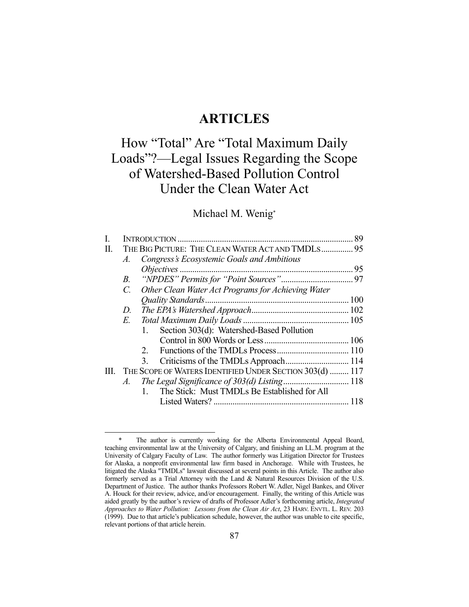## **ARTICLES**

# How "Total" Are "Total Maximum Daily Loads"?—Legal Issues Regarding the Scope of Watershed-Based Pollution Control Under the Clean Water Act

## Michael M. Wenig\*

| П. | THE BIG PICTURE: THE CLEAN WATER ACT AND TMDLS 95                 |                                                    |  |  |  |
|----|-------------------------------------------------------------------|----------------------------------------------------|--|--|--|
|    | A.                                                                | Congress's Ecosystemic Goals and Ambitious         |  |  |  |
|    |                                                                   |                                                    |  |  |  |
|    |                                                                   |                                                    |  |  |  |
|    | Other Clean Water Act Programs for Achieving Water<br>$C_{\cdot}$ |                                                    |  |  |  |
|    |                                                                   |                                                    |  |  |  |
|    | D.                                                                |                                                    |  |  |  |
|    | E.                                                                |                                                    |  |  |  |
|    |                                                                   | Section 303(d): Watershed-Based Pollution<br>1.    |  |  |  |
|    |                                                                   |                                                    |  |  |  |
|    |                                                                   | 2 <sub>1</sub>                                     |  |  |  |
|    |                                                                   | 3.                                                 |  |  |  |
| Ш. | THE SCOPE OF WATERS IDENTIFIED UNDER SECTION 303(d)  117          |                                                    |  |  |  |
|    | A.                                                                |                                                    |  |  |  |
|    |                                                                   | The Stick: Must TMDLs Be Established for All<br>1. |  |  |  |
|    |                                                                   |                                                    |  |  |  |
|    |                                                                   |                                                    |  |  |  |

The author is currently working for the Alberta Environmental Appeal Board, teaching environmental law at the University of Calgary, and finishing an LL.M. program at the University of Calgary Faculty of Law. The author formerly was Litigation Director for Trustees for Alaska, a nonprofit environmental law firm based in Anchorage. While with Trustees, he litigated the Alaska "TMDLs" lawsuit discussed at several points in this Article. The author also formerly served as a Trial Attorney with the Land & Natural Resources Division of the U.S. Department of Justice. The author thanks Professors Robert W. Adler, Nigel Bankes, and Oliver A. Houck for their review, advice, and/or encouragement. Finally, the writing of this Article was aided greatly by the author's review of drafts of Professor Adler's forthcoming article, *Integrated Approaches to Water Pollution: Lessons from the Clean Air Act*, 23 HARV. ENVTL. L. REV. 203 (1999). Due to that article's publication schedule, however, the author was unable to cite specific, relevant portions of that article herein.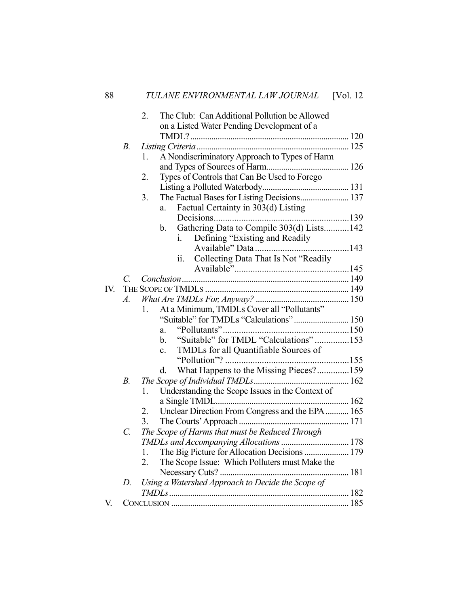|     |                  | 2. | The Club: Can Additional Pollution be Allowed              |  |
|-----|------------------|----|------------------------------------------------------------|--|
|     |                  |    | on a Listed Water Pending Development of a                 |  |
|     |                  |    |                                                            |  |
|     | $B$ .            |    |                                                            |  |
|     |                  | 1. | A Nondiscriminatory Approach to Types of Harm              |  |
|     |                  |    |                                                            |  |
|     |                  | 2. | Types of Controls that Can Be Used to Forego               |  |
|     |                  |    |                                                            |  |
|     |                  | 3. | The Factual Bases for Listing Decisions 137                |  |
|     |                  |    | Factual Certainty in 303(d) Listing<br>a.                  |  |
|     |                  |    |                                                            |  |
|     |                  |    | Gathering Data to Compile 303(d) Lists142<br>$\mathbf b$ . |  |
|     |                  |    | Defining "Existing and Readily<br>$\mathbf{i}$ .           |  |
|     |                  |    |                                                            |  |
|     |                  |    | Collecting Data That Is Not "Readily<br>ii.                |  |
|     |                  |    |                                                            |  |
|     | C.               |    |                                                            |  |
| IV. |                  |    |                                                            |  |
|     | $\overline{A}$ . |    |                                                            |  |
|     |                  | 1. | At a Minimum, TMDLs Cover all "Pollutants"                 |  |
|     |                  |    | "Suitable" for TMDLs "Calculations" 150                    |  |
|     |                  |    | a.                                                         |  |
|     |                  |    | "Suitable" for TMDL "Calculations"153<br>b.                |  |
|     |                  |    | TMDLs for all Quantifiable Sources of<br>$\mathbf{c}$ .    |  |
|     |                  |    |                                                            |  |
|     |                  |    | What Happens to the Missing Pieces?159<br>d.               |  |
|     | $B$ .            |    |                                                            |  |
|     |                  | 1. | Understanding the Scope Issues in the Context of           |  |
|     |                  |    |                                                            |  |
|     |                  | 2. | Unclear Direction From Congress and the EPA  165           |  |
|     |                  | 3. |                                                            |  |
|     | $\mathcal{C}$ .  |    | The Scope of Harms that must be Reduced Through            |  |
|     |                  |    | TMDLs and Accompanying Allocations  178                    |  |
|     |                  | 1. | The Big Picture for Allocation Decisions  179              |  |
|     |                  | 2. | The Scope Issue: Which Polluters must Make the             |  |
|     |                  |    |                                                            |  |
|     | D.               |    | Using a Watershed Approach to Decide the Scope of          |  |
|     |                  |    |                                                            |  |
| V.  |                  |    |                                                            |  |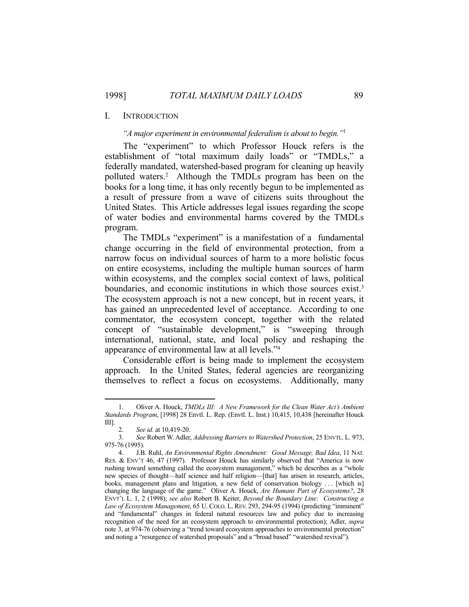## I. INTRODUCTION

#### *"A major experiment in environmental federalism is about to begin."*<sup>1</sup>

 The "experiment" to which Professor Houck refers is the establishment of "total maximum daily loads" or "TMDLs," a federally mandated, watershed-based program for cleaning up heavily polluted waters.2 Although the TMDLs program has been on the books for a long time, it has only recently begun to be implemented as a result of pressure from a wave of citizens suits throughout the United States. This Article addresses legal issues regarding the scope of water bodies and environmental harms covered by the TMDLs program.

 The TMDLs "experiment" is a manifestation of a fundamental change occurring in the field of environmental protection, from a narrow focus on individual sources of harm to a more holistic focus on entire ecosystems, including the multiple human sources of harm within ecosystems, and the complex social context of laws, political boundaries, and economic institutions in which those sources exist.<sup>3</sup> The ecosystem approach is not a new concept, but in recent years, it has gained an unprecedented level of acceptance. According to one commentator, the ecosystem concept, together with the related concept of "sustainable development," is "sweeping through international, national, state, and local policy and reshaping the appearance of environmental law at all levels."4

 Considerable effort is being made to implement the ecosystem approach. In the United States, federal agencies are reorganizing themselves to reflect a focus on ecosystems. Additionally, many

 <sup>1.</sup> Oliver A. Houck, *TMDLs III: A New Framework for the Clean Water Act's Ambient Standards Program*, [1998] 28 Envtl. L. Rep. (Envtl. L. Inst.) 10,415, 10,438 [hereinafter Houck III].

 <sup>2.</sup> *See id.* at 10,419-20.

 <sup>3.</sup> *See* Robert W. Adler, *Addressing Barriers to Watershed Protection*, 25 ENVTL. L. 973, 975-76 (1995).

 <sup>4.</sup> J.B. Ruhl, *An Environmental Rights Amendment: Good Message, Bad Idea*, 11 NAT. RES. & ENV'T 46, 47 (1997). Professor Houck has similarly observed that "America is now rushing toward something called the ecosystem management," which he describes as a "whole new species of thought—half science and half religion—[that] has arisen in research, articles, books, management plans and litigation, a new field of conservation biology . . . [which is] changing the language of the game." Oliver A. Houck, *Are Humans Part of Ecosystems?*, 28 ENVT'L L. 1, 2 (1998); *see also* Robert B. Keiter, *Beyond the Boundary Line: Constructing a Law of Ecosystem Management*, 65 U. COLO. L. REV. 293, 294-95 (1994) (predicting "imminent" and "fundamental" changes in federal natural resources law and policy due to increasing recognition of the need for an ecosystem approach to environmental protection); Adler, *supra* note 3, at 974-76 (observing a "trend toward ecosystem approaches to environmental protection" and noting a "resurgence of watershed proposals" and a "broad based" "watershed revival").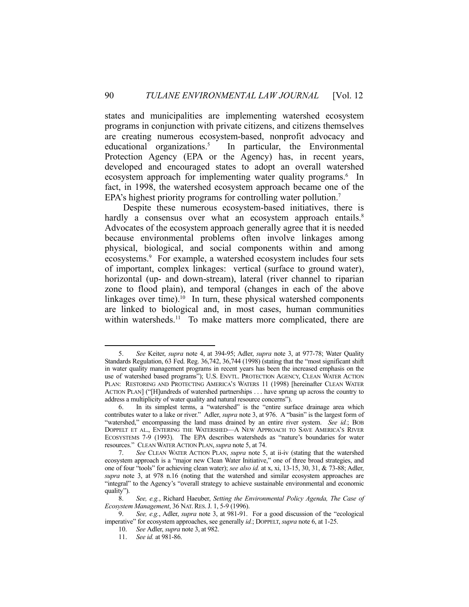states and municipalities are implementing watershed ecosystem programs in conjunction with private citizens, and citizens themselves are creating numerous ecosystem-based, nonprofit advocacy and educational organizations.<sup>5</sup> In particular, the Environmental Protection Agency (EPA or the Agency) has, in recent years, developed and encouraged states to adopt an overall watershed ecosystem approach for implementing water quality programs.<sup>6</sup> In fact, in 1998, the watershed ecosystem approach became one of the EPA's highest priority programs for controlling water pollution.<sup>7</sup>

 Despite these numerous ecosystem-based initiatives, there is hardly a consensus over what an ecosystem approach entails.<sup>8</sup> Advocates of the ecosystem approach generally agree that it is needed because environmental problems often involve linkages among physical, biological, and social components within and among ecosystems.<sup>9</sup> For example, a watershed ecosystem includes four sets of important, complex linkages: vertical (surface to ground water), horizontal (up- and down-stream), lateral (river channel to riparian zone to flood plain), and temporal (changes in each of the above linkages over time).<sup>10</sup> In turn, these physical watershed components are linked to biological and, in most cases, human communities within watersheds.<sup>11</sup> To make matters more complicated, there are

 <sup>5.</sup> *See* Keiter, *supra* note 4, at 394-95; Adler, *supra* note 3, at 977-78; Water Quality Standards Regulation, 63 Fed. Reg. 36,742, 36,744 (1998) (stating that the "most significant shift in water quality management programs in recent years has been the increased emphasis on the use of watershed based programs"); U.S. ENVTL. PROTECTION AGENCY, CLEAN WATER ACTION PLAN: RESTORING AND PROTECTING AMERICA'S WATERS 11 (1998) [hereinafter CLEAN WATER ACTION PLAN] ("[H]undreds of watershed partnerships . . . have sprung up across the country to address a multiplicity of water quality and natural resource concerns").

 <sup>6.</sup> In its simplest terms, a "watershed" is the "entire surface drainage area which contributes water to a lake or river." Adler, *supra* note 3, at 976. A "basin" is the largest form of "watershed," encompassing the land mass drained by an entire river system. *See id.*; BOB DOPPELT ET AL., ENTERING THE WATERSHED—A NEW APPROACH TO SAVE AMERICA'S RIVER ECOSYSTEMS 7-9 (1993). The EPA describes watersheds as "nature's boundaries for water resources." CLEAN WATER ACTION PLAN, *supra* note 5, at 74.

 <sup>7.</sup> *See* CLEAN WATER ACTION PLAN, *supra* note 5, at ii-iv (stating that the watershed ecosystem approach is a "major new Clean Water Initiative," one of three broad strategies, and one of four "tools" for achieving clean water); *see also id.* at x, xi, 13-15, 30, 31, & 73-88; Adler, *supra* note 3, at 978 n.16 (noting that the watershed and similar ecosystem approaches are "integral" to the Agency's "overall strategy to achieve sustainable environmental and economic quality").

 <sup>8.</sup> *See, e.g.*, Richard Haeuber, *Setting the Environmental Policy Agenda, The Case of Ecosystem Management*, 36 NAT. RES.J. 1, 5-9 (1996).

 <sup>9.</sup> *See, e.g.*, Adler, *supra* note 3, at 981-91. For a good discussion of the "ecological imperative" for ecosystem approaches, see generally *id.*; DOPPELT, *supra* note 6, at 1-25.

 <sup>10.</sup> *See* Adler, *supra* note 3, at 982.

 <sup>11.</sup> *See id.* at 981-86.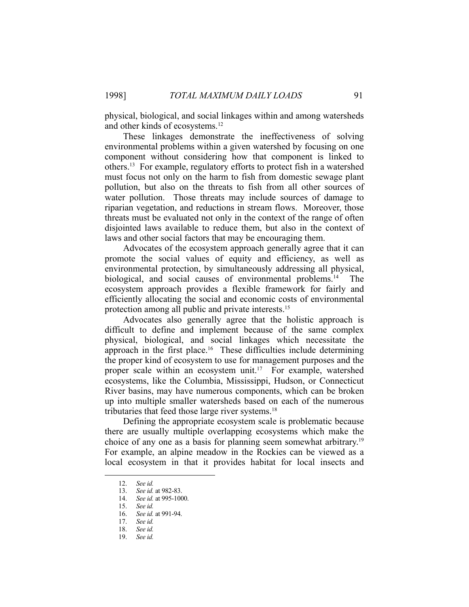physical, biological, and social linkages within and among watersheds and other kinds of ecosystems.12

 These linkages demonstrate the ineffectiveness of solving environmental problems within a given watershed by focusing on one component without considering how that component is linked to others.13 For example, regulatory efforts to protect fish in a watershed must focus not only on the harm to fish from domestic sewage plant pollution, but also on the threats to fish from all other sources of water pollution. Those threats may include sources of damage to riparian vegetation, and reductions in stream flows. Moreover, those threats must be evaluated not only in the context of the range of often disjointed laws available to reduce them, but also in the context of laws and other social factors that may be encouraging them.

 Advocates of the ecosystem approach generally agree that it can promote the social values of equity and efficiency, as well as environmental protection, by simultaneously addressing all physical, biological, and social causes of environmental problems.<sup>14</sup> The ecosystem approach provides a flexible framework for fairly and efficiently allocating the social and economic costs of environmental protection among all public and private interests.15

 Advocates also generally agree that the holistic approach is difficult to define and implement because of the same complex physical, biological, and social linkages which necessitate the approach in the first place.<sup>16</sup> These difficulties include determining the proper kind of ecosystem to use for management purposes and the proper scale within an ecosystem unit.<sup>17</sup> For example, watershed ecosystems, like the Columbia, Mississippi, Hudson, or Connecticut River basins, may have numerous components, which can be broken up into multiple smaller watersheds based on each of the numerous tributaries that feed those large river systems.<sup>18</sup>

 Defining the appropriate ecosystem scale is problematic because there are usually multiple overlapping ecosystems which make the choice of any one as a basis for planning seem somewhat arbitrary.19 For example, an alpine meadow in the Rockies can be viewed as a local ecosystem in that it provides habitat for local insects and

 <sup>12.</sup> *See id.*

 <sup>13.</sup> *See id.* at 982-83.

 <sup>14.</sup> *See id.* at 995-1000.

 <sup>15.</sup> *See id.*

 <sup>16.</sup> *See id.* at 991-94.

 <sup>17.</sup> *See id.* 

 <sup>18.</sup> *See id.* 

 <sup>19.</sup> *See id.*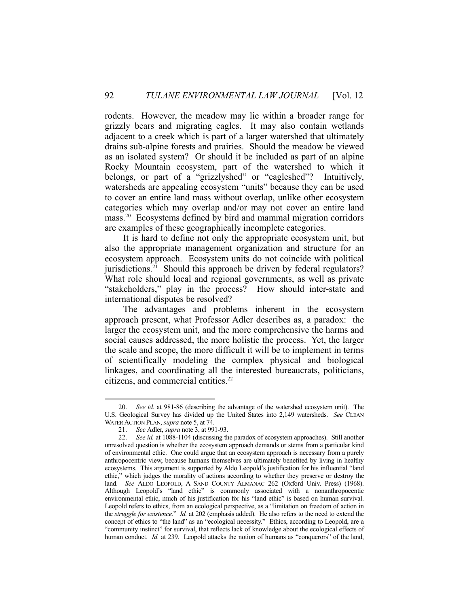rodents. However, the meadow may lie within a broader range for grizzly bears and migrating eagles. It may also contain wetlands adjacent to a creek which is part of a larger watershed that ultimately drains sub-alpine forests and prairies. Should the meadow be viewed as an isolated system? Or should it be included as part of an alpine Rocky Mountain ecosystem, part of the watershed to which it belongs, or part of a "grizzlyshed" or "eagleshed"? Intuitively, watersheds are appealing ecosystem "units" because they can be used to cover an entire land mass without overlap, unlike other ecosystem categories which may overlap and/or may not cover an entire land mass.20 Ecosystems defined by bird and mammal migration corridors are examples of these geographically incomplete categories.

 It is hard to define not only the appropriate ecosystem unit, but also the appropriate management organization and structure for an ecosystem approach. Ecosystem units do not coincide with political jurisdictions.<sup>21</sup> Should this approach be driven by federal regulators? What role should local and regional governments, as well as private "stakeholders," play in the process? How should inter-state and international disputes be resolved?

 The advantages and problems inherent in the ecosystem approach present, what Professor Adler describes as, a paradox: the larger the ecosystem unit, and the more comprehensive the harms and social causes addressed, the more holistic the process. Yet, the larger the scale and scope, the more difficult it will be to implement in terms of scientifically modeling the complex physical and biological linkages, and coordinating all the interested bureaucrats, politicians, citizens, and commercial entities.22

 <sup>20.</sup> *See id.* at 981-86 (describing the advantage of the watershed ecosystem unit). The U.S. Geological Survey has divided up the United States into 2,149 watersheds. *See* CLEAN WATER ACTION PLAN, *supra* note 5, at 74.

 <sup>21.</sup> *See* Adler, *supra* note 3, at 991-93.

See id. at 1088-1104 (discussing the paradox of ecosystem approaches). Still another unresolved question is whether the ecosystem approach demands or stems from a particular kind of environmental ethic. One could argue that an ecosystem approach is necessary from a purely anthropocentric view, because humans themselves are ultimately benefited by living in healthy ecosystems. This argument is supported by Aldo Leopold's justification for his influential "land ethic," which judges the morality of actions according to whether they preserve or destroy the land. *See* ALDO LEOPOLD, A SAND COUNTY ALMANAC 262 (Oxford Univ. Press) (1968). Although Leopold's "land ethic" is commonly associated with a nonanthropocentic environmental ethic, much of his justification for his "land ethic" is based on human survival. Leopold refers to ethics, from an ecological perspective, as a "limitation on freedom of action in the *struggle for existence.*" *Id.* at 202 (emphasis added). He also refers to the need to extend the concept of ethics to "the land" as an "ecological necessity." Ethics, according to Leopold, are a "community instinct" for survival, that reflects lack of knowledge about the ecological effects of human conduct. *Id.* at 239. Leopold attacks the notion of humans as "conquerors" of the land,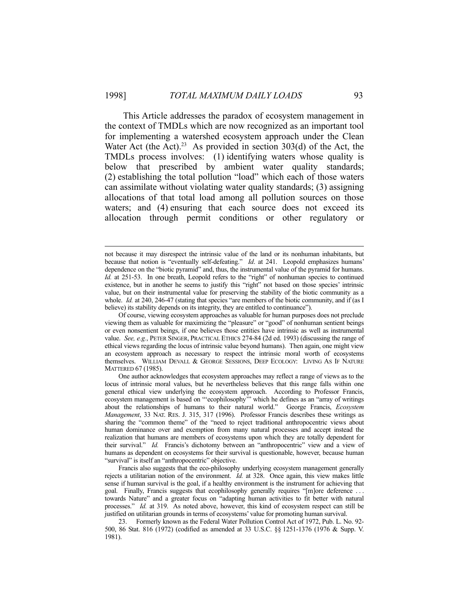This Article addresses the paradox of ecosystem management in the context of TMDLs which are now recognized as an important tool for implementing a watershed ecosystem approach under the Clean Water Act (the Act).<sup>23</sup> As provided in section  $303(d)$  of the Act, the TMDLs process involves: (1) identifying waters whose quality is below that prescribed by ambient water quality standards; (2) establishing the total pollution "load" which each of those waters can assimilate without violating water quality standards; (3) assigning allocations of that total load among all pollution sources on those waters; and (4) ensuring that each source does not exceed its allocation through permit conditions or other regulatory or

not because it may disrespect the intrinsic value of the land or its nonhuman inhabitants, but because that notion is "eventually self-defeating." *Id*. at 241. Leopold emphasizes humans' dependence on the "biotic pyramid" and, thus, the instrumental value of the pyramid for humans. *Id.* at 251-53. In one breath, Leopold refers to the "right" of nonhuman species to continued existence, but in another he seems to justify this "right" not based on those species' intrinsic value, but on their instrumental value for preserving the stability of the biotic community as a whole. *Id.* at 240, 246-47 (stating that species "are members of the biotic community, and if (as I believe) its stability depends on its integrity, they are entitled to continuance").

Of course, viewing ecosystem approaches as valuable for human purposes does not preclude viewing them as valuable for maximizing the "pleasure" or "good" of nonhuman sentient beings or even nonsentient beings, if one believes those entities have intrinsic as well as instrumental value. *See, e.g.*, PETER SINGER, PRACTICAL ETHICS 274-84 (2d ed. 1993) (discussing the range of ethical views regarding the locus of intrinsic value beyond humans). Then again, one might view an ecosystem approach as necessary to respect the intrinsic moral worth of ecosystems themselves. WILLIAM DEVALL & GEORGE SESSIONS, DEEP ECOLOGY: LIVING AS IF NATURE MATTERED 67 (1985).

One author acknowledges that ecosystem approaches may reflect a range of views as to the locus of intrinsic moral values, but he nevertheless believes that this range falls within one general ethical view underlying the ecosystem approach. According to Professor Francis, ecosystem management is based on "'ecophilosophy'" which he defines as an "array of writings about the relationships of humans to their natural world." George Francis, *Ecosystem Management*, 33 NAT. RES. J. 315, 317 (1996). Professor Francis describes these writings as sharing the "common theme" of the "need to reject traditional anthropocentric views about human dominance over and exemption from many natural processes and accept instead the realization that humans are members of ecosystems upon which they are totally dependent for their survival." *Id.* Francis's dichotomy between an "anthropocentric" view and a view of humans as dependent on ecosystems for their survival is questionable, however, because human "survival" is itself an "anthropocentric" objective.

Francis also suggests that the eco-philosophy underlying ecosystem management generally rejects a utilitarian notion of the environment. *Id.* at 328. Once again, this view makes little sense if human survival is the goal, if a healthy environment is the instrument for achieving that goal. Finally, Francis suggests that ecophilosophy generally requires "[m]ore deference . . . towards Nature" and a greater focus on "adapting human activities to fit better with natural processes." *Id.* at 319. As noted above, however, this kind of ecosystem respect can still be justified on utilitarian grounds in terms of ecosystems' value for promoting human survival.

 <sup>23.</sup> Formerly known as the Federal Water Pollution Control Act of 1972, Pub. L. No. 92- 500, 86 Stat. 816 (1972) (codified as amended at 33 U.S.C. §§ 1251-1376 (1976 & Supp. V. 1981).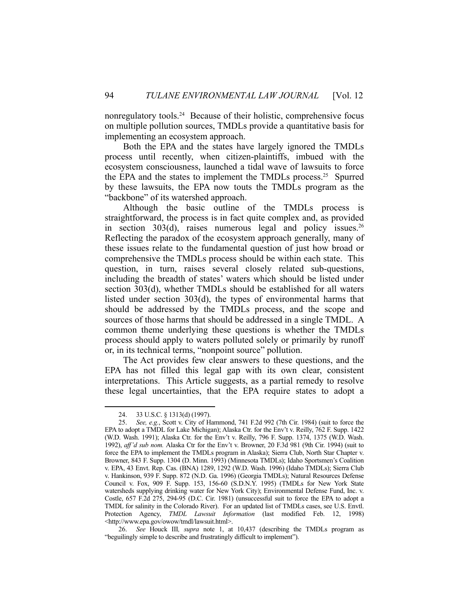nonregulatory tools.24 Because of their holistic, comprehensive focus on multiple pollution sources, TMDLs provide a quantitative basis for implementing an ecosystem approach.

 Both the EPA and the states have largely ignored the TMDLs process until recently, when citizen-plaintiffs, imbued with the ecosystem consciousness, launched a tidal wave of lawsuits to force the EPA and the states to implement the TMDLs process.<sup>25</sup> Spurred by these lawsuits, the EPA now touts the TMDLs program as the "backbone" of its watershed approach.

 Although the basic outline of the TMDLs process is straightforward, the process is in fact quite complex and, as provided in section  $303(d)$ , raises numerous legal and policy issues.<sup>26</sup> Reflecting the paradox of the ecosystem approach generally, many of these issues relate to the fundamental question of just how broad or comprehensive the TMDLs process should be within each state. This question, in turn, raises several closely related sub-questions, including the breadth of states' waters which should be listed under section 303(d), whether TMDLs should be established for all waters listed under section 303(d), the types of environmental harms that should be addressed by the TMDLs process, and the scope and sources of those harms that should be addressed in a single TMDL. A common theme underlying these questions is whether the TMDLs process should apply to waters polluted solely or primarily by runoff or, in its technical terms, "nonpoint source" pollution.

 The Act provides few clear answers to these questions, and the EPA has not filled this legal gap with its own clear, consistent interpretations. This Article suggests, as a partial remedy to resolve these legal uncertainties, that the EPA require states to adopt a

 <sup>24. 33</sup> U.S.C. § 1313(d) (1997).

 <sup>25.</sup> *See, e.g.*, Scott v. City of Hammond, 741 F.2d 992 (7th Cir. 1984) (suit to force the EPA to adopt a TMDL for Lake Michigan); Alaska Ctr. for the Env't v. Reilly, 762 F. Supp. 1422 (W.D. Wash. 1991); Alaska Ctr. for the Env't v. Reilly, 796 F. Supp. 1374, 1375 (W.D. Wash. 1992), *aff'd sub nom.* Alaska Ctr for the Env't v. Browner, 20 F.3d 981 (9th Cir. 1994) (suit to force the EPA to implement the TMDLs program in Alaska); Sierra Club, North Star Chapter v. Browner, 843 F. Supp. 1304 (D. Minn. 1993) (Minnesota TMDLs); Idaho Sportsmen's Coalition v. EPA, 43 Envt. Rep. Cas. (BNA) 1289, 1292 (W.D. Wash. 1996) (Idaho TMDLs); Sierra Club v. Hankinson, 939 F. Supp. 872 (N.D. Ga. 1996) (Georgia TMDLs); Natural Resources Defense Council v. Fox, 909 F. Supp. 153, 156-60 (S.D.N.Y. 1995) (TMDLs for New York State watersheds supplying drinking water for New York City); Environmental Defense Fund, Inc. v. Costle, 657 F.2d 275, 294-95 (D.C. Cir. 1981) (unsuccessful suit to force the EPA to adopt a TMDL for salinity in the Colorado River). For an updated list of TMDLs cases, see U.S. Envtl. Protection Agency, *TMDL Lawsuit Information* (last modified Feb. 12, 1998) <http://www.epa.gov/owow/tmdl/lawsuit.html>.

 <sup>26.</sup> *See* Houck III*, supra* note 1, at 10,437 (describing the TMDLs program as "beguilingly simple to describe and frustratingly difficult to implement").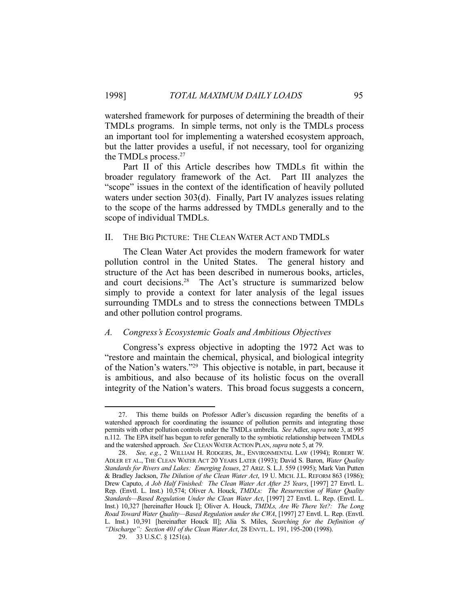watershed framework for purposes of determining the breadth of their TMDLs programs. In simple terms, not only is the TMDLs process an important tool for implementing a watershed ecosystem approach, but the latter provides a useful, if not necessary, tool for organizing the TMDLs process.27

 Part II of this Article describes how TMDLs fit within the broader regulatory framework of the Act. Part III analyzes the "scope" issues in the context of the identification of heavily polluted waters under section 303(d). Finally, Part IV analyzes issues relating to the scope of the harms addressed by TMDLs generally and to the scope of individual TMDLs.

#### II. THE BIG PICTURE: THE CLEAN WATER ACT AND TMDLS

 The Clean Water Act provides the modern framework for water pollution control in the United States. The general history and structure of the Act has been described in numerous books, articles, and court decisions.<sup>28</sup> The Act's structure is summarized below simply to provide a context for later analysis of the legal issues surrounding TMDLs and to stress the connections between TMDLs and other pollution control programs.

#### *A. Congress's Ecosystemic Goals and Ambitious Objectives*

 Congress's express objective in adopting the 1972 Act was to "restore and maintain the chemical, physical, and biological integrity of the Nation's waters."29 This objective is notable, in part, because it is ambitious, and also because of its holistic focus on the overall integrity of the Nation's waters. This broad focus suggests a concern,

 <sup>27.</sup> This theme builds on Professor Adler's discussion regarding the benefits of a watershed approach for coordinating the issuance of pollution permits and integrating those permits with other pollution controls under the TMDLs umbrella. *See* Adler, *supra* note 3, at 995 n.112. The EPA itself has begun to refer generally to the symbiotic relationship between TMDLs and the watershed approach. *See* CLEAN WATER ACTION PLAN, *supra* note 5, at 79.

 <sup>28.</sup> *See, e.g.*, 2 WILLIAM H. RODGERS, JR., ENVIRONMENTAL LAW (1994); ROBERT W. ADLER ET AL., THE CLEAN WATER ACT 20 YEARS LATER (1993); David S. Baron, *Water Quality Standards for Rivers and Lakes: Emerging Issues*, 27 ARIZ. S. L.J. 559 (1995); Mark Van Putten & Bradley Jackson, *The Dilution of the Clean Water Act*, 19 U. MICH. J.L. REFORM 863 (1986); Drew Caputo, *A Job Half Finished: The Clean Water Act After 25 Years*, [1997] 27 Envtl. L. Rep. (Envtl. L. Inst.) 10,574; Oliver A. Houck, *TMDLs: The Resurrection of Water Quality Standards—Based Regulation Under the Clean Water Act*, [1997] 27 Envtl. L. Rep. (Envtl. L. Inst.) 10,327 [hereinafter Houck I]; Oliver A. Houck, *TMDLs, Are We There Yet?: The Long Road Toward Water Quality—Based Regulation under the CWA*, [1997] 27 Envtl. L. Rep. (Envtl. L. Inst.) 10,391 [hereinafter Houck II]; Alia S. Miles, *Searching for the Definition of "Discharge": Section 401 of the Clean Water Act*, 28 ENVTL. L. 191, 195-200 (1998).

 <sup>29. 33</sup> U.S.C. § 1251(a).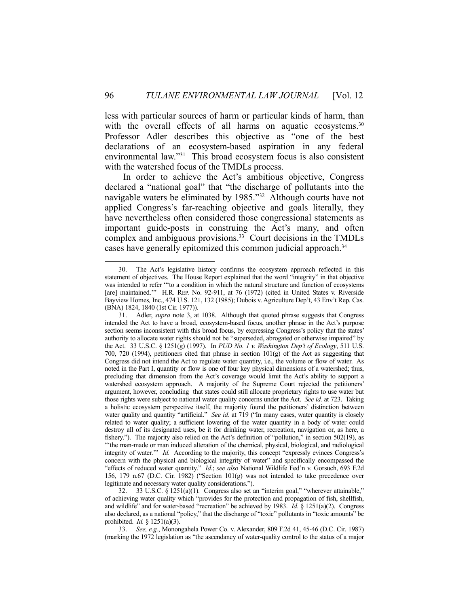less with particular sources of harm or particular kinds of harm, than with the overall effects of all harms on aquatic ecosystems.<sup>30</sup> Professor Adler describes this objective as "one of the best declarations of an ecosystem-based aspiration in any federal environmental law."31 This broad ecosystem focus is also consistent with the watershed focus of the TMDLs process.

 In order to achieve the Act's ambitious objective, Congress declared a "national goal" that "the discharge of pollutants into the navigable waters be eliminated by 1985."32 Although courts have not applied Congress's far-reaching objective and goals literally, they have nevertheless often considered those congressional statements as important guide-posts in construing the Act's many, and often complex and ambiguous provisions.<sup>33</sup> Court decisions in the TMDLs cases have generally epitomized this common judicial approach.<sup>34</sup>

 32. 33 U.S.C. § 1251(a)(1). Congress also set an "interim goal," "wherever attainable," of achieving water quality which "provides for the protection and propagation of fish, shellfish, and wildlife" and for water-based "recreation" be achieved by 1983. *Id.* § 1251(a)(2). Congress also declared, as a national "policy," that the discharge of "toxic" pollutants in "toxic amounts" be prohibited. *Id.* § 1251(a)(3).

 33. *See, e.g.*, Monongahela Power Co. v. Alexander, 809 F.2d 41, 45-46 (D.C. Cir. 1987) (marking the 1972 legislation as "the ascendancy of water-quality control to the status of a major

 <sup>30.</sup> The Act's legislative history confirms the ecosystem approach reflected in this statement of objectives. The House Report explained that the word "integrity" in that objective was intended to refer "'to a condition in which the natural structure and function of ecosystems [are] maintained.'" H.R. REP. No. 92-911, at 76 (1972) (cited in United States v. Riverside Bayview Homes*,* Inc., 474 U.S. 121, 132 (1985); Dubois v. Agriculture Dep't, 43 Env't Rep. Cas. (BNA) 1824, 1840 (1st Cir. 1977)).

 <sup>31.</sup> Adler, *supra* note 3, at 1038. Although that quoted phrase suggests that Congress intended the Act to have a broad, ecosystem-based focus, another phrase in the Act's purpose section seems inconsistent with this broad focus, by expressing Congress's policy that the states' authority to allocate water rights should not be "superseded, abrogated or otherwise impaired" by the Act. 33 U.S.C. § 1251(g) (1997). In *PUD No. 1 v. Washington Dep't of Ecology*, 511 U.S. 700, 720 (1994), petitioners cited that phrase in section 101(g) of the Act as suggesting that Congress did not intend the Act to regulate water quantity, i.e., the volume or flow of water. As noted in the Part I, quantity or flow is one of four key physical dimensions of a watershed; thus, precluding that dimension from the Act's coverage would limit the Act's ability to support a watershed ecosystem approach. A majority of the Supreme Court rejected the petitioners' argument, however, concluding that states could still allocate proprietary rights to use water but those rights were subject to national water quality concerns under the Act. *See id.* at 723. Taking a holistic ecosystem perspective itself, the majority found the petitioners' distinction between water quality and quantity "artificial." *See id*. at 719 ("In many cases, water quantity is closely related to water quality; a sufficient lowering of the water quantity in a body of water could destroy all of its designated uses, be it for drinking water, recreation, navigation or, as here, a fishery."). The majority also relied on the Act's definition of "pollution," in section 502(19), as "'the man-made or man induced alteration of the chemical, physical, biological, and radiological integrity of water.'" *Id.* According to the majority, this concept "expressly evinces Congress's concern with the physical and biological integrity of water" and specifically encompassed the "effects of reduced water quantity." *Id.*; *see also* National Wildlife Fed'n v. Gorsuch, 693 F.2d 156, 179 n.67 (D.C. Cir. 1982) ("Section 101(g) was not intended to take precedence over legitimate and necessary water quality considerations.").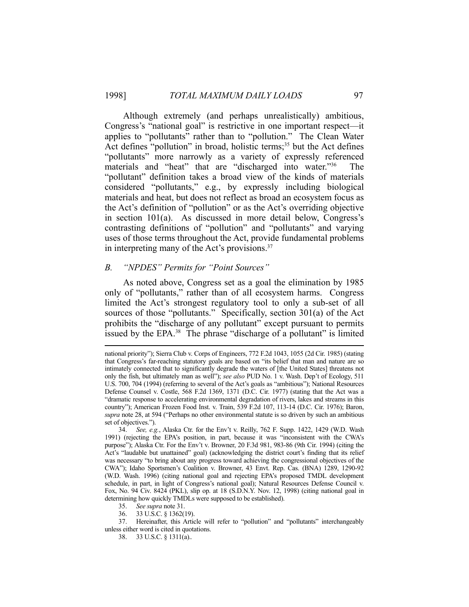Although extremely (and perhaps unrealistically) ambitious, Congress's "national goal" is restrictive in one important respect—it applies to "pollutants" rather than to "pollution." The Clean Water Act defines "pollution" in broad, holistic terms;<sup>35</sup> but the Act defines "pollutants" more narrowly as a variety of expressly referenced materials and "heat" that are "discharged into water."36 The "pollutant" definition takes a broad view of the kinds of materials considered "pollutants," e.g., by expressly including biological materials and heat, but does not reflect as broad an ecosystem focus as the Act's definition of "pollution" or as the Act's overriding objective in section 101(a). As discussed in more detail below, Congress's contrasting definitions of "pollution" and "pollutants" and varying uses of those terms throughout the Act, provide fundamental problems in interpreting many of the Act's provisions.37

#### *B. "NPDES" Permits for "Point Sources"*

 As noted above, Congress set as a goal the elimination by 1985 only of "pollutants," rather than of all ecosystem harms. Congress limited the Act's strongest regulatory tool to only a sub-set of all sources of those "pollutants." Specifically, section 301(a) of the Act prohibits the "discharge of any pollutant" except pursuant to permits issued by the EPA.38 The phrase "discharge of a pollutant" is limited

national priority"); Sierra Club v. Corps of Engineers, 772 F.2d 1043, 1055 (2d Cir. 1985) (stating that Congress's far-reaching statutory goals are based on "its belief that man and nature are so intimately connected that to significantly degrade the waters of [the United States] threatens not only the fish, but ultimately man as well"); *see also* PUD No. 1 v. Wash. Dep't of Ecology, 511 U.S. 700, 704 (1994) (referring to several of the Act's goals as "ambitious"); National Resources Defense Counsel v. Costle, 568 F.2d 1369, 1371 (D.C. Cir. 1977) (stating that the Act was a "dramatic response to accelerating environmental degradation of rivers, lakes and streams in this country"); American Frozen Food Inst. v. Train, 539 F.2d 107, 113-14 (D.C. Cir. 1976); Baron, *supra* note 28, at 594 ("Perhaps no other environmental statute is so driven by such an ambitious set of objectives.").

 <sup>34.</sup> *See, e.g.*, Alaska Ctr. for the Env't v. Reilly, 762 F. Supp. 1422, 1429 (W.D. Wash 1991) (rejecting the EPA's position, in part, because it was "inconsistent with the CWA's purpose"); Alaska Ctr. For the Env't v. Browner, 20 F.3d 981, 983-86 (9th Cir. 1994) (citing the Act's "laudable but unattained" goal) (acknowledging the district court's finding that its relief was necessary "to bring about any progress toward achieving the congressional objectives of the CWA"); Idaho Sportsmen's Coalition v. Browner, 43 Envt. Rep. Cas. (BNA) 1289, 1290-92 (W.D. Wash. 1996) (citing national goal and rejecting EPA's proposed TMDL development schedule, in part, in light of Congress's national goal); Natural Resources Defense Council v. Fox, No. 94 Civ. 8424 (PKL), slip op. at 18 (S.D.N.Y. Nov. 12, 1998) (citing national goal in determining how quickly TMDLs were supposed to be established).

<sup>35.</sup> *See supra* note 31.<br>36. 33 U S C 8 1362(1)

 <sup>36. 33</sup> U.S.C. § 1362(19).

 <sup>37.</sup> Hereinafter, this Article will refer to "pollution" and "pollutants" interchangeably unless either word is cited in quotations.

 <sup>38. 33</sup> U.S.C. § 1311(a).*.*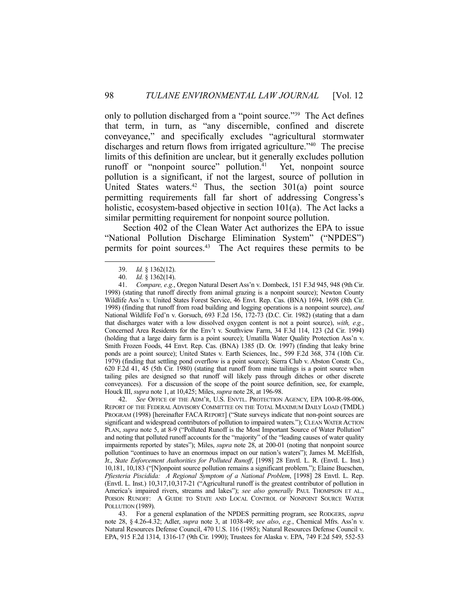only to pollution discharged from a "point source."<sup>39</sup> The Act defines that term, in turn, as "any discernible, confined and discrete conveyance," and specifically excludes "agricultural stormwater discharges and return flows from irrigated agriculture."40 The precise limits of this definition are unclear, but it generally excludes pollution runoff or "nonpoint source" pollution.<sup>41</sup> Yet, nonpoint source pollution is a significant, if not the largest, source of pollution in United States waters.<sup>42</sup> Thus, the section  $301(a)$  point source permitting requirements fall far short of addressing Congress's holistic, ecosystem-based objective in section 101(a). The Act lacks a similar permitting requirement for nonpoint source pollution.

 Section 402 of the Clean Water Act authorizes the EPA to issue "National Pollution Discharge Elimination System" ("NPDES") permits for point sources.43 The Act requires these permits to be

 42. *See* OFFICE OF THE ADM'R, U.S. ENVTL. PROTECTION AGENCY, EPA 100-R-98-006, REPORT OF THE FEDERAL ADVISORY COMMITTEE ON THE TOTAL MAXIMUM DAILY LOAD (TMDL) PROGRAM (1998) [hereinafter FACA REPORT] ("State surveys indicate that non-point sources are significant and widespread contributors of pollution to impaired waters."); CLEAN WATER ACTION PLAN, *supra* note 5, at 8-9 ("Polluted Runoff is the Most Important Source of Water Pollution" and noting that polluted runoff accounts for the "majority" of the "leading causes of water quality impairments reported by states"); Miles, *supra* note 28, at 200-01 (noting that nonpoint source pollution "continues to have an enormous impact on our nation's waters"); James M. McElfish, Jr., *State Enforcement Authorities for Polluted Runoff*, [1998] 28 Envtl. L. R. (Envtl. L. Inst.) 10,181, 10,183 ("[N]onpoint source pollution remains a significant problem."); Elaine Bueschen, *Pfiesteria Piscidida: A Regional Symptom of a National Problem*, [1998] 28 Envtl. L. Rep. (Envtl. L. Inst.) 10,317,10,317-21 ("Agricultural runoff is the greatest contributor of pollution in America's impaired rivers, streams and lakes"); *see also generally* PAUL THOMPSON ET AL., POISON RUNOFF: A GUIDE TO STATE AND LOCAL CONTROL OF NONPOINT SOURCE WATER POLLUTION (1989).

 43. For a general explanation of the NPDES permitting program, see RODGERS, *supra* note 28, § 4.26-4.32; Adler, *supra* note 3, at 1038-49; *see also*, *e.g.*, Chemical Mfrs. Ass'n v. Natural Resources Defense Council, 470 U.S. 116 (1985); Natural Resources Defense Council v. EPA, 915 F.2d 1314, 1316-17 (9th Cir. 1990); Trustees for Alaska v. EPA, 749 F.2d 549, 552-53

 <sup>39.</sup> *Id.* § 1362(12).

 <sup>40.</sup> *Id.* § 1362(14).

 <sup>41.</sup> *Compare, e.g.*, Oregon Natural Desert Ass'n v. Dombeck, 151 F.3d 945, 948 (9th Cir. 1998) (stating that runoff directly from animal grazing is a nonpoint source); Newton County Wildlife Ass'n v. United States Forest Service, 46 Envt. Rep. Cas. (BNA) 1694, 1698 (8th Cir. 1998) (finding that runoff from road building and logging operations is a nonpoint source), *and*  National Wildlife Fed'n v. Gorsuch, 693 F.2d 156, 172-73 (D.C. Cir. 1982) (stating that a dam that discharges water with a low dissolved oxygen content is not a point source), *with, e.g.*, Concerned Area Residents for the Env't v. Southview Farm, 34 F.3d 114, 123 (2d Cir. 1994) (holding that a large dairy farm is a point source); Umatilla Water Quality Protection Ass'n v. Smith Frozen Foods, 44 Envt. Rep. Cas. (BNA) 1385 (D. Or. 1997) (finding that leaky brine ponds are a point source); United States v. Earth Sciences, Inc., 599 F.2d 368, 374 (10th Cir. 1979) (finding that settling pond overflow is a point source); Sierra Club v. Abston Constr. Co., 620 F.2d 41, 45 (5th Cir. 1980) (stating that runoff from mine tailings is a point source when tailing piles are designed so that runoff will likely pass through ditches or other discrete conveyances). For a discussion of the scope of the point source definition, see, for example, Houck III, *supra* note 1, at 10,425; Miles, *supra* note 28, at 196-98.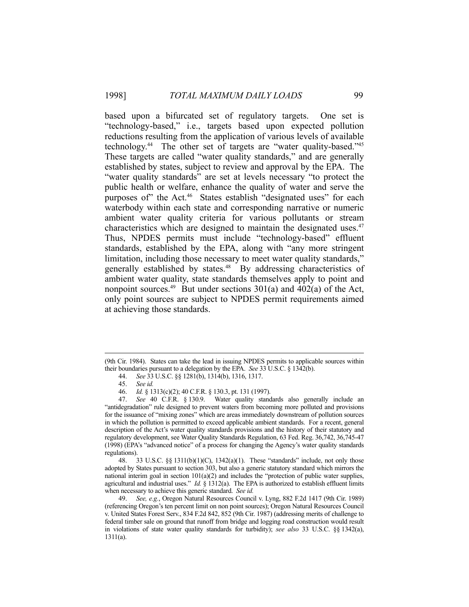based upon a bifurcated set of regulatory targets. One set is "technology-based," i.e., targets based upon expected pollution reductions resulting from the application of various levels of available technology.44 The other set of targets are "water quality-based."45 These targets are called "water quality standards," and are generally established by states, subject to review and approval by the EPA. The "water quality standards" are set at levels necessary "to protect the public health or welfare, enhance the quality of water and serve the purposes of" the Act.<sup>46</sup> States establish "designated uses" for each waterbody within each state and corresponding narrative or numeric ambient water quality criteria for various pollutants or stream characteristics which are designed to maintain the designated uses.<sup>47</sup> Thus, NPDES permits must include "technology-based" effluent standards, established by the EPA, along with "any more stringent limitation, including those necessary to meet water quality standards," generally established by states.<sup>48</sup> By addressing characteristics of ambient water quality, state standards themselves apply to point and nonpoint sources.<sup>49</sup> But under sections  $301(a)$  and  $402(a)$  of the Act, only point sources are subject to NPDES permit requirements aimed at achieving those standards.

 48. 33 U.S.C. §§ 1311(b)(1)(C), 1342(a)(1). These "standards" include, not only those adopted by States pursuant to section 303, but also a generic statutory standard which mirrors the national interim goal in section 101(a)(2) and includes the "protection of public water supplies, agricultural and industrial uses." *Id.* § 1312(a). The EPA is authorized to establish effluent limits when necessary to achieve this generic standard. *See id.* 

 <sup>(9</sup>th Cir. 1984). States can take the lead in issuing NPDES permits to applicable sources within their boundaries pursuant to a delegation by the EPA. *See* 33 U.S.C. § 1342(b).

 <sup>44.</sup> *See* 33 U.S.C. §§ 1281(b), 1314(b), 1316, 1317.

 <sup>45.</sup> *See id.* 

 <sup>46.</sup> *Id.* § 1313(c)(2); 40 C.F.R. § 130.3, pt. 131 (1997).

 <sup>47.</sup> *See* 40 C.F.R. § 130.9. Water quality standards also generally include an "antidegradation" rule designed to prevent waters from becoming more polluted and provisions for the issuance of "mixing zones" which are areas immediately downstream of pollution sources in which the pollution is permitted to exceed applicable ambient standards. For a recent, general description of the Act's water quality standards provisions and the history of their statutory and regulatory development, see Water Quality Standards Regulation, 63 Fed. Reg. 36,742, 36,745-47 (1998) (EPA's "advanced notice" of a process for changing the Agency's water quality standards regulations).

 <sup>49.</sup> *See, e.g.*, Oregon Natural Resources Council v. Lyng, 882 F.2d 1417 (9th Cir. 1989) (referencing Oregon's ten percent limit on non point sources); Oregon Natural Resources Council v. United States Forest Serv., 834 F.2d 842, 852 (9th Cir. 1987) (addressing merits of challenge to federal timber sale on ground that runoff from bridge and logging road construction would result in violations of state water quality standards for turbidity); *see also* 33 U.S.C. §§ 1342(a), 1311(a).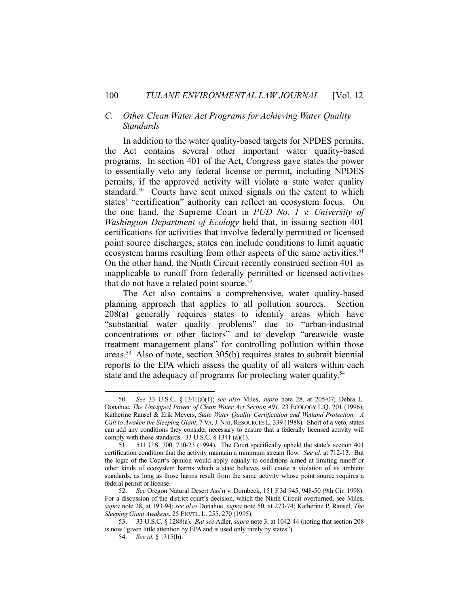## *C. Other Clean Water Act Programs for Achieving Water Quality Standards*

 In addition to the water quality-based targets for NPDES permits, the Act contains several other important water quality-based programs. In section 401 of the Act, Congress gave states the power to essentially veto any federal license or permit, including NPDES permits, if the approved activity will violate a state water quality standard.<sup>50</sup> Courts have sent mixed signals on the extent to which states' "certification" authority can reflect an ecosystem focus. On the one hand, the Supreme Court in *PUD No. 1 v. University of Washington Department of Ecology* held that, in issuing section 401 certifications for activities that involve federally permitted or licensed point source discharges, states can include conditions to limit aquatic ecosystem harms resulting from other aspects of the same activities.<sup>51</sup> On the other hand, the Ninth Circuit recently construed section 401 as inapplicable to runoff from federally permitted or licensed activities that do not have a related point source. $52$ 

 The Act also contains a comprehensive, water quality-based planning approach that applies to all pollution sources. Section 208(a) generally requires states to identify areas which have "substantial water quality problems" due to "urban-industrial concentrations or other factors" and to develop "areawide waste treatment management plans" for controlling pollution within those areas.53 Also of note, section 305(b) requires states to submit biennial reports to the EPA which assess the quality of all waters within each state and the adequacy of programs for protecting water quality.<sup>54</sup>

 <sup>50.</sup> *See* 33 U.S.C. § 1341(a)(1); *see also* Miles, *supra* note 28, at 205-07; Debra L. Donahue, *The Untapped Power of Clean Water Act Section 401*, 23 ECOLOGY L.Q. 201 (1996); Katherine Ransel & Erik Meyers, *State Water Quality Certification and Wetland Protection: A Call to Awaken the Sleeping Giant*, 7 VA.J. NAT.RESOURCES L. 339 (1988). Short of a veto, states can add any conditions they consider necessary to ensure that a federally licensed activity will comply with those standards. 33 U.S.C. § 1341 (a)(1).

 <sup>51. 511</sup> U.S. 700, 710-23 (1994). The Court specifically upheld the state's section 401 certification condition that the activity maintain a minimum stream flow. *See id.* at 712-13. But the logic of the Court's opinion would apply equally to conditions aimed at limiting runoff or other kinds of ecosystem harms which a state believes will cause a violation of its ambient standards, as long as those harms result from the same activity whose point source requires a federal permit or license.

 <sup>52.</sup> *See* Oregon Natural Desert Ass'n v. Dombeck, 151 F.3d 945, 948-50 (9th Cir. 1998). For a discussion of the district court's decision, which the Ninth Circuit overturned, see Miles, *supra* note 28, at 193-94; *see also* Donahue, *supra* note 50, at 273-74; Katherine P. Ransel, *The Sleeping Giant Awakens*, 25 ENVTL. L. 255, 270 (1995).

 <sup>53. 33</sup> U.S.C. § 1288(a). *But see* Adler, *supra* note 3, at 1042-44 (noting that section 208 is now "given little attention by EPA and is used only rarely by states").

 <sup>54.</sup> *See id.* § 1315(b).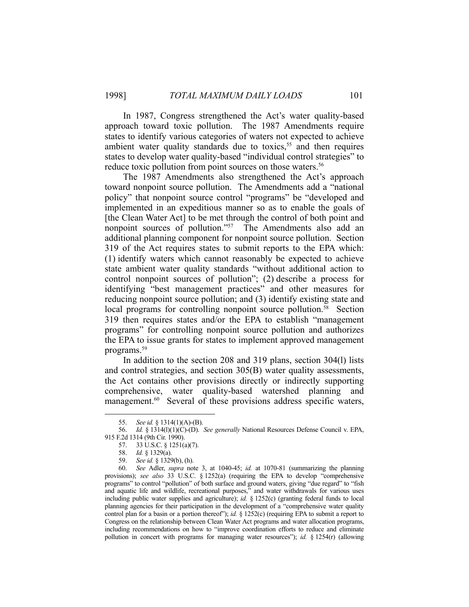In 1987, Congress strengthened the Act's water quality-based approach toward toxic pollution. The 1987 Amendments require states to identify various categories of waters not expected to achieve ambient water quality standards due to toxics, $55$  and then requires states to develop water quality-based "individual control strategies" to reduce toxic pollution from point sources on those waters.<sup>56</sup>

 The 1987 Amendments also strengthened the Act's approach toward nonpoint source pollution. The Amendments add a "national policy" that nonpoint source control "programs" be "developed and implemented in an expeditious manner so as to enable the goals of [the Clean Water Act] to be met through the control of both point and nonpoint sources of pollution."<sup>57</sup> The Amendments also add an additional planning component for nonpoint source pollution. Section 319 of the Act requires states to submit reports to the EPA which: (1) identify waters which cannot reasonably be expected to achieve state ambient water quality standards "without additional action to control nonpoint sources of pollution"; (2) describe a process for identifying "best management practices" and other measures for reducing nonpoint source pollution; and (3) identify existing state and local programs for controlling nonpoint source pollution. $58$  Section 319 then requires states and/or the EPA to establish "management programs" for controlling nonpoint source pollution and authorizes the EPA to issue grants for states to implement approved management programs.59

 In addition to the section 208 and 319 plans, section 304(l) lists and control strategies, and section 305(B) water quality assessments, the Act contains other provisions directly or indirectly supporting comprehensive, water quality-based watershed planning and management.<sup>60</sup> Several of these provisions address specific waters,

 <sup>55.</sup> *See id.* § 1314(1)(A)-(B).

 <sup>56.</sup> *Id.* § 1314(l)(1)(C)-(D). *See generally* National Resources Defense Council v. EPA, 915 F.2d 1314 (9th Cir. 1990).

 <sup>57. 33</sup> U.S.C. § 1251(a)(7).

 <sup>58.</sup> *Id.* § 1329(a).

 <sup>59.</sup> *See id.* § 1329(b), (h).

 <sup>60.</sup> *See* Adler, *supra* note 3, at 1040-45; *id.* at 1070-81 (summarizing the planning provisions); *see also* 33 U.S.C. § 1252(a) (requiring the EPA to develop "comprehensive programs" to control "pollution" of both surface and ground waters, giving "due regard" to "fish and aquatic life and wildlife, recreational purposes," and water withdrawals for various uses including public water supplies and agriculture); *id.* § 1252(c) (granting federal funds to local planning agencies for their participation in the development of a "comprehensive water quality control plan for a basin or a portion thereof"); *id.* § 1252(c) (requiring EPA to submit a report to Congress on the relationship between Clean Water Act programs and water allocation programs, including recommendations on how to "improve coordination efforts to reduce and eliminate pollution in concert with programs for managing water resources"); *id.* § 1254(r) (allowing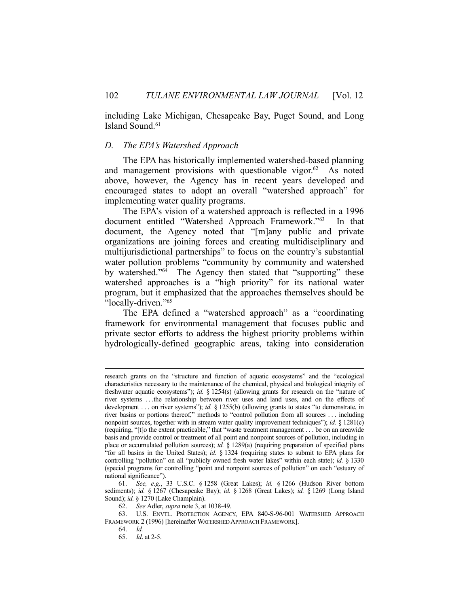including Lake Michigan, Chesapeake Bay, Puget Sound, and Long Island Sound.<sup>61</sup>

#### *D. The EPA's Watershed Approach*

 The EPA has historically implemented watershed-based planning and management provisions with questionable vigor. $62$  As noted above, however, the Agency has in recent years developed and encouraged states to adopt an overall "watershed approach" for implementing water quality programs.

 The EPA's vision of a watershed approach is reflected in a 1996 document entitled "Watershed Approach Framework."63 In that document, the Agency noted that "[m]any public and private organizations are joining forces and creating multidisciplinary and multijurisdictional partnerships" to focus on the country's substantial water pollution problems "community by community and watershed by watershed."<sup>64</sup> The Agency then stated that "supporting" these watershed approaches is a "high priority" for its national water program, but it emphasized that the approaches themselves should be "locally-driven."65

 The EPA defined a "watershed approach" as a "coordinating framework for environmental management that focuses public and private sector efforts to address the highest priority problems within hydrologically-defined geographic areas, taking into consideration

research grants on the "structure and function of aquatic ecosystems" and the "ecological characteristics necessary to the maintenance of the chemical, physical and biological integrity of freshwater aquatic ecosystems"); *id.* § 1254(s) (allowing grants for research on the "nature of river systems . . .the relationship between river uses and land uses, and on the effects of development . . . on river systems"); *id.* § 1255(b) (allowing grants to states "to demonstrate, in river basins or portions thereof," methods to "control pollution from all sources . . . including nonpoint sources, together with in stream water quality improvement techniques"); *id.* § 1281(c) (requiring, "[t]o the extent practicable," that "waste treatment management . . . be on an areawide basis and provide control or treatment of all point and nonpoint sources of pollution, including in place or accumulated pollution sources); *id.* § 1289(a) (requiring preparation of specified plans "for all basins in the United States); *id.* § 1324 (requiring states to submit to EPA plans for controlling "pollution" on all "publicly owned fresh water lakes" within each state); *id.* § 1330 (special programs for controlling "point and nonpoint sources of pollution" on each "estuary of national significance").

 <sup>61.</sup> *See, e.g.*, 33 U.S.C. § 1258 (Great Lakes); *id.* § 1266 (Hudson River bottom sediments); *id.* § 1267 (Chesapeake Bay); *id.* § 1268 (Great Lakes); *id.* § 1269 (Long Island Sound); *id.* § 1270 (Lake Champlain).

 <sup>62.</sup> *See* Adler, *supra* note 3, at 1038-49.

 <sup>63.</sup> U.S. ENVTL. PROTECTION AGENCY, EPA 840-S-96-001 WATERSHED APPROACH FRAMEWORK 2 (1996) [hereinafter WATERSHED APPROACH FRAMEWORK].

 <sup>64.</sup> *Id.* 

 <sup>65.</sup> *Id*. at 2-5.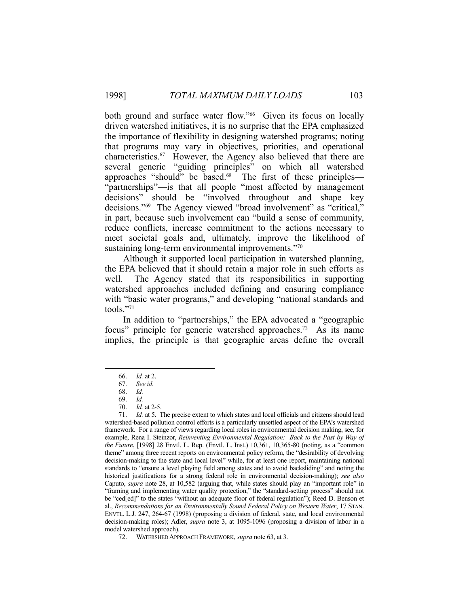both ground and surface water flow."<sup>66</sup> Given its focus on locally driven watershed initiatives, it is no surprise that the EPA emphasized the importance of flexibility in designing watershed programs; noting that programs may vary in objectives, priorities, and operational characteristics.67 However, the Agency also believed that there are several generic "guiding principles" on which all watershed approaches "should" be based.<sup>68</sup> The first of these principles— "partnerships"—is that all people "most affected by management decisions" should be "involved throughout and shape key decisions."69 The Agency viewed "broad involvement" as "critical," in part, because such involvement can "build a sense of community, reduce conflicts, increase commitment to the actions necessary to meet societal goals and, ultimately, improve the likelihood of sustaining long-term environmental improvements."70

 Although it supported local participation in watershed planning, the EPA believed that it should retain a major role in such efforts as well. The Agency stated that its responsibilities in supporting watershed approaches included defining and ensuring compliance with "basic water programs," and developing "national standards and  $tools.$ "71

 In addition to "partnerships," the EPA advocated a "geographic focus" principle for generic watershed approaches.<sup>72</sup> As its name implies, the principle is that geographic areas define the overall

 <sup>66.</sup> *Id.* at 2.

 <sup>67.</sup> *See id.* 

 <sup>68.</sup> *Id.*

 <sup>69.</sup> *Id.* 

 <sup>70.</sup> *Id.* at 2-5.

 <sup>71.</sup> *Id.* at 5. The precise extent to which states and local officials and citizens should lead watershed-based pollution control efforts is a particularly unsettled aspect of the EPA's watershed framework. For a range of views regarding local roles in environmental decision making, see, for example, Rena I. Steinzor, *Reinventing Environmental Regulation: Back to the Past by Way of the Future*, [1998] 28 Envtl. L. Rep. (Envtl. L. Inst.) 10,361, 10,365-80 (noting, as a "common theme" among three recent reports on environmental policy reform, the "desirability of devolving decision-making to the state and local level" while, for at least one report, maintaining national standards to "ensure a level playing field among states and to avoid backsliding" and noting the historical justifications for a strong federal role in environmental decision-making); *see also*  Caputo, *supra* note 28, at 10,582 (arguing that, while states should play an "important role" in "framing and implementing water quality protection," the "standard-setting process" should not be "ced[ed]" to the states "without an adequate floor of federal regulation"); Reed D. Benson et al., *Recommendations for an Environmentally Sound Federal Policy on Western Water*, 17 STAN. ENVTL. L.J. 247, 264-67 (1998) (proposing a division of federal, state, and local environmental decision-making roles); Adler, *supra* note 3, at 1095-1096 (proposing a division of labor in a model watershed approach).

 <sup>72.</sup> WATERSHED APPROACH FRAMEWORK, *supra* note 63, at 3.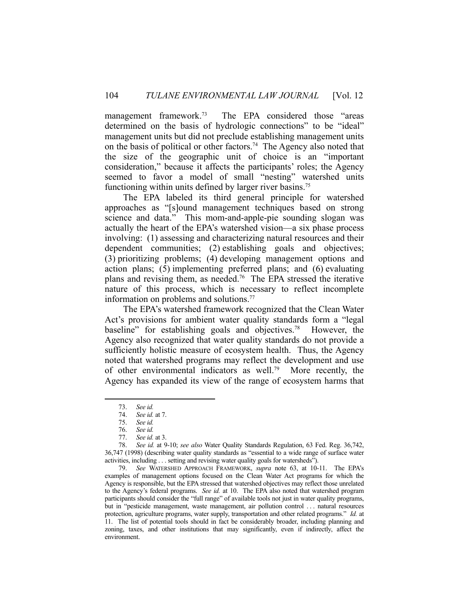management framework.<sup>73</sup> The EPA considered those "areas determined on the basis of hydrologic connections" to be "ideal" management units but did not preclude establishing management units on the basis of political or other factors.<sup>74</sup> The Agency also noted that the size of the geographic unit of choice is an "important consideration," because it affects the participants' roles; the Agency seemed to favor a model of small "nesting" watershed units functioning within units defined by larger river basins.<sup>75</sup>

 The EPA labeled its third general principle for watershed approaches as "[s]ound management techniques based on strong science and data." This mom-and-apple-pie sounding slogan was actually the heart of the EPA's watershed vision—a six phase process involving: (1) assessing and characterizing natural resources and their dependent communities; (2) establishing goals and objectives; (3) prioritizing problems; (4) developing management options and action plans; (5) implementing preferred plans; and (6) evaluating plans and revising them, as needed.76 The EPA stressed the iterative nature of this process, which is necessary to reflect incomplete information on problems and solutions.<sup>77</sup>

 The EPA's watershed framework recognized that the Clean Water Act's provisions for ambient water quality standards form a "legal baseline" for establishing goals and objectives.<sup>78</sup> However, the Agency also recognized that water quality standards do not provide a sufficiently holistic measure of ecosystem health. Thus, the Agency noted that watershed programs may reflect the development and use of other environmental indicators as well.79 More recently, the Agency has expanded its view of the range of ecosystem harms that

 <sup>73.</sup> *See id.* 

 <sup>74.</sup> *See id.* at 7.

 <sup>75.</sup> *See id.*

 <sup>76.</sup> *See id.* 

 <sup>77.</sup> *See id.* at 3.

 <sup>78.</sup> *See id.* at 9-10; *see also* Water Quality Standards Regulation, 63 Fed. Reg. 36,742, 36,747 (1998) (describing water quality standards as "essential to a wide range of surface water activities, including . . . setting and revising water quality goals for watersheds").

 <sup>79.</sup> *See* WATERSHED APPROACH FRAMEWORK, *supra* note 63, at 10-11. The EPA's examples of management options focused on the Clean Water Act programs for which the Agency is responsible, but the EPA stressed that watershed objectives may reflect those unrelated to the Agency's federal programs. *See id.* at 10. The EPA also noted that watershed program participants should consider the "full range" of available tools not just in water quality programs, but in "pesticide management, waste management, air pollution control . . . natural resources protection, agriculture programs, water supply, transportation and other related programs." *Id.* at 11. The list of potential tools should in fact be considerably broader, including planning and zoning, taxes, and other institutions that may significantly, even if indirectly, affect the environment.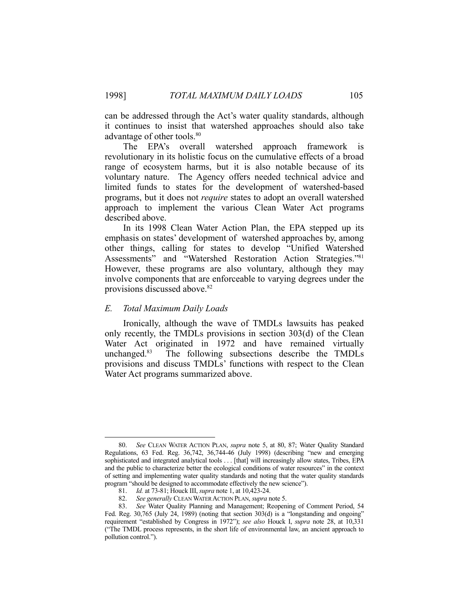can be addressed through the Act's water quality standards, although it continues to insist that watershed approaches should also take advantage of other tools.80

 The EPA's overall watershed approach framework is revolutionary in its holistic focus on the cumulative effects of a broad range of ecosystem harms, but it is also notable because of its voluntary nature. The Agency offers needed technical advice and limited funds to states for the development of watershed-based programs, but it does not *require* states to adopt an overall watershed approach to implement the various Clean Water Act programs described above.

 In its 1998 Clean Water Action Plan, the EPA stepped up its emphasis on states' development of watershed approaches by, among other things, calling for states to develop "Unified Watershed Assessments" and "Watershed Restoration Action Strategies."81 However, these programs are also voluntary, although they may involve components that are enforceable to varying degrees under the provisions discussed above.<sup>82</sup>

#### *E. Total Maximum Daily Loads*

 Ironically, although the wave of TMDLs lawsuits has peaked only recently, the TMDLs provisions in section 303(d) of the Clean Water Act originated in 1972 and have remained virtually unchanged.83 The following subsections describe the TMDLs provisions and discuss TMDLs' functions with respect to the Clean Water Act programs summarized above.

<sup>&</sup>lt;u>.</u> 80. *See* CLEAN WATER ACTION PLAN, *supra* note 5, at 80, 87; Water Quality Standard Regulations, 63 Fed. Reg. 36,742, 36,744-46 (July 1998) (describing "new and emerging sophisticated and integrated analytical tools . . . [that] will increasingly allow states, Tribes, EPA and the public to characterize better the ecological conditions of water resources" in the context of setting and implementing water quality standards and noting that the water quality standards program "should be designed to accommodate effectively the new science").

 <sup>81.</sup> *Id.* at 73-81; Houck III, *supra* note 1, at 10,423-24.

 <sup>82.</sup> *See generally* CLEAN WATER ACTION PLAN, *supra* note 5.

 <sup>83.</sup> *See* Water Quality Planning and Management; Reopening of Comment Period, 54 Fed. Reg. 30,765 (July 24, 1989) (noting that section 303(d) is a "longstanding and ongoing" requirement "established by Congress in 1972"); *see also* Houck I, *supra* note 28, at 10,331 ("The TMDL process represents, in the short life of environmental law, an ancient approach to pollution control.").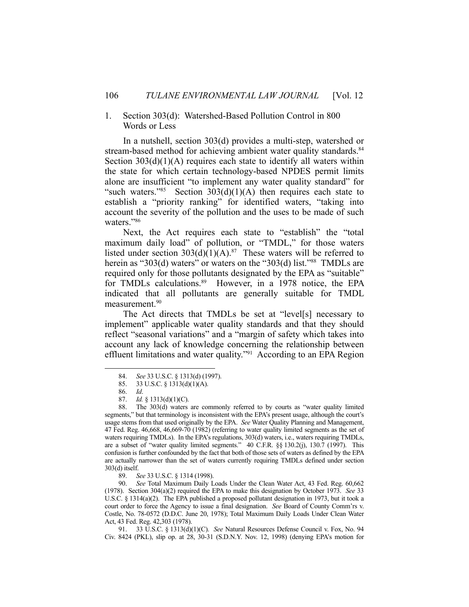#### 1. Section 303(d): Watershed-Based Pollution Control in 800 Words or Less

 In a nutshell, section 303(d) provides a multi-step, watershed or stream-based method for achieving ambient water quality standards.<sup>84</sup> Section  $303(d)(1)(A)$  requires each state to identify all waters within the state for which certain technology-based NPDES permit limits alone are insufficient "to implement any water quality standard" for "such waters."<sup>85</sup> Section 303(d)(1)(A) then requires each state to establish a "priority ranking" for identified waters, "taking into account the severity of the pollution and the uses to be made of such waters."86

 Next, the Act requires each state to "establish" the "total maximum daily load" of pollution, or "TMDL," for those waters listed under section  $303(d)(1)(A).$ <sup>87</sup> These waters will be referred to herein as "303(d) waters" or waters on the "303(d) list."<sup>88</sup> TMDLs are required only for those pollutants designated by the EPA as "suitable" for TMDLs calculations.<sup>89</sup> However, in a 1978 notice, the EPA indicated that all pollutants are generally suitable for TMDL measurement.<sup>90</sup>

 The Act directs that TMDLs be set at "level[s] necessary to implement" applicable water quality standards and that they should reflect "seasonal variations" and a "margin of safety which takes into account any lack of knowledge concerning the relationship between effluent limitations and water quality."<sup>91</sup> According to an EPA Region

 <sup>84.</sup> *See* 33 U.S.C. § 1313(d) (1997).

 <sup>85. 33</sup> U.S.C. § 1313(d)(1)(A).

 <sup>86.</sup> *Id*.

 <sup>87.</sup> *Id.* § 1313(d)(1)(C).

 <sup>88.</sup> The 303(d) waters are commonly referred to by courts as "water quality limited segments," but that terminology is inconsistent with the EPA's present usage, although the court's usage stems from that used originally by the EPA. *See* Water Quality Planning and Management, 47 Fed. Reg. 46,668, 46,669-70 (1982) (referring to water quality limited segments as the set of waters requiring TMDLs). In the EPA's regulations, 303(d) waters, i.e., waters requiring TMDLs, are a subset of "water quality limited segments." 40 C.F.R. §§ 130.2(j), 130.7 (1997). This confusion is further confounded by the fact that both of those sets of waters as defined by the EPA are actually narrower than the set of waters currently requiring TMDLs defined under section 303(d) itself.

 <sup>89.</sup> *See* 33 U.S.C. § 1314 (1998).

 <sup>90.</sup> *See* Total Maximum Daily Loads Under the Clean Water Act, 43 Fed. Reg. 60,662 (1978). Section 304(a)(2) required the EPA to make this designation by October 1973. *See* 33 U.S.C. § 1314(a)(2). The EPA published a proposed pollutant designation in 1973, but it took a court order to force the Agency to issue a final designation. *See* Board of County Comm'rs v. Costle, No. 78-0572 (D.D.C. June 20, 1978); Total Maximum Daily Loads Under Clean Water Act, 43 Fed. Reg. 42,303 (1978).

 <sup>91. 33</sup> U.S.C. § 1313(d)(1)(C). *See* Natural Resources Defense Council v. Fox, No. 94 Civ. 8424 (PKL), slip op. at 28, 30-31 (S.D.N.Y. Nov. 12, 1998) (denying EPA's motion for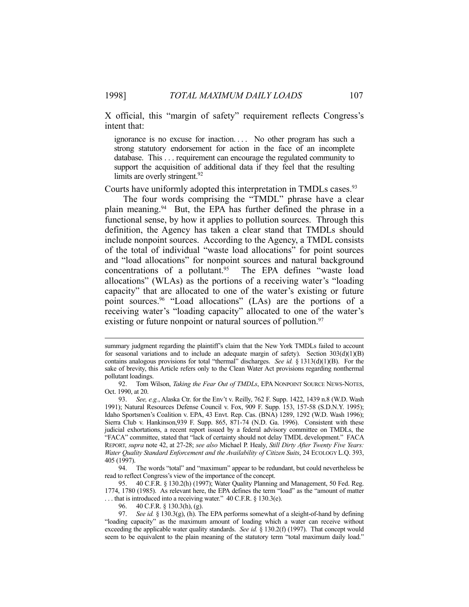X official, this "margin of safety" requirement reflects Congress's intent that:

ignorance is no excuse for inaction.... No other program has such a strong statutory endorsement for action in the face of an incomplete database. This . . . requirement can encourage the regulated community to support the acquisition of additional data if they feel that the resulting limits are overly stringent.<sup>92</sup>

Courts have uniformly adopted this interpretation in TMDLs cases.<sup>93</sup>

 The four words comprising the "TMDL" phrase have a clear plain meaning.94 But, the EPA has further defined the phrase in a functional sense, by how it applies to pollution sources. Through this definition, the Agency has taken a clear stand that TMDLs should include nonpoint sources. According to the Agency, a TMDL consists of the total of individual "waste load allocations" for point sources and "load allocations" for nonpoint sources and natural background concentrations of a pollutant.<sup>95</sup> The EPA defines "waste load allocations" (WLAs) as the portions of a receiving water's "loading capacity" that are allocated to one of the water's existing or future point sources.96 "Load allocations" (LAs) are the portions of a receiving water's "loading capacity" allocated to one of the water's existing or future nonpoint or natural sources of pollution.<sup>97</sup>

summary judgment regarding the plaintiff's claim that the New York TMDLs failed to account for seasonal variations and to include an adequate margin of safety). Section  $303(d)(1)(B)$ contains analogous provisions for total "thermal" discharges. *See id.* § 1313(d)(1)(B). For the sake of brevity, this Article refers only to the Clean Water Act provisions regarding nonthermal pollutant loadings.

 <sup>92.</sup> Tom Wilson, *Taking the Fear Out of TMDLs*, EPA NONPOINT SOURCE NEWS-NOTES, Oct. 1990, at 20.

 <sup>93.</sup> *See, e.g.*, Alaska Ctr. for the Env't v. Reilly, 762 F. Supp. 1422, 1439 n.8 (W.D. Wash 1991); Natural Resources Defense Council v. Fox, 909 F. Supp. 153, 157-58 (S.D.N.Y. 1995); Idaho Sportsmen's Coalition v. EPA, 43 Envt. Rep. Cas. (BNA) 1289, 1292 (W.D. Wash 1996); Sierra Club v. Hankinson,939 F. Supp. 865, 871-74 (N.D. Ga. 1996). Consistent with these judicial exhortations, a recent report issued by a federal advisory committee on TMDLs, the "FACA" committee, stated that "lack of certainty should not delay TMDL development." FACA REPORT, *supra* note 42, at 27-28; *see also* Michael P. Healy, *Still Dirty After Twenty Five Years: Water Quality Standard Enforcement and the Availability of Citizen Suits*, 24 ECOLOGY L.Q. 393, 405 (1997).

The words "total" and "maximum" appear to be redundant, but could nevertheless be read to reflect Congress's view of the importance of the concept.

 <sup>95. 40</sup> C.F.R. § 130.2(h) (1997); Water Quality Planning and Management, 50 Fed. Reg. 1774, 1780 (1985). As relevant here, the EPA defines the term "load" as the "amount of matter . . . that is introduced into a receiving water." 40 C.F.R. § 130.3(e).

 <sup>96. 40</sup> C.F.R. § 130.3(h), (g).

 <sup>97.</sup> *See id.* § 130.3(g), (h). The EPA performs somewhat of a sleight-of-hand by defining "loading capacity" as the maximum amount of loading which a water can receive without exceeding the applicable water quality standards. *See id.* § 130.2(f) (1997). That concept would seem to be equivalent to the plain meaning of the statutory term "total maximum daily load."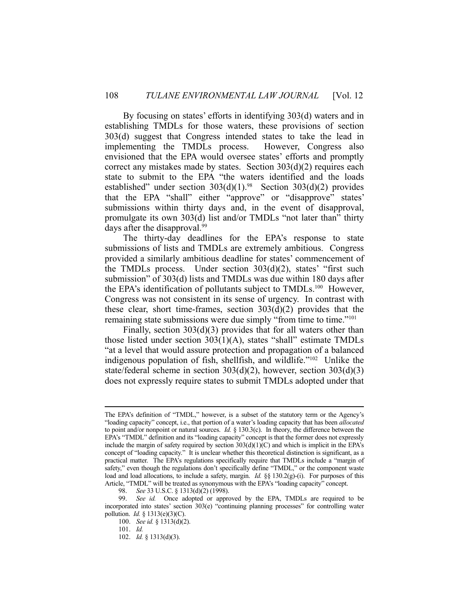By focusing on states' efforts in identifying 303(d) waters and in establishing TMDLs for those waters, these provisions of section 303(d) suggest that Congress intended states to take the lead in implementing the TMDLs process. However, Congress also envisioned that the EPA would oversee states' efforts and promptly correct any mistakes made by states. Section 303(d)(2) requires each state to submit to the EPA "the waters identified and the loads established" under section  $303(d)(1)$ .<sup>98</sup> Section  $303(d)(2)$  provides that the EPA "shall" either "approve" or "disapprove" states' submissions within thirty days and, in the event of disapproval, promulgate its own 303(d) list and/or TMDLs "not later than" thirty days after the disapproval.<sup>99</sup>

 The thirty-day deadlines for the EPA's response to state submissions of lists and TMDLs are extremely ambitious. Congress provided a similarly ambitious deadline for states' commencement of the TMDLs process. Under section 303(d)(2), states' "first such submission" of 303(d) lists and TMDLs was due within 180 days after the EPA's identification of pollutants subject to TMDLs.100 However, Congress was not consistent in its sense of urgency. In contrast with these clear, short time-frames, section  $303(d)(2)$  provides that the remaining state submissions were due simply "from time to time."<sup>101</sup>

 Finally, section 303(d)(3) provides that for all waters other than those listed under section  $303(1)(A)$ , states "shall" estimate TMDLs "at a level that would assure protection and propagation of a balanced indigenous population of fish, shellfish, and wildlife."102 Unlike the state/federal scheme in section 303(d)(2), however, section 303(d)(3) does not expressly require states to submit TMDLs adopted under that

98. *See* 33 U.S.C. § 1313(d)(2) (1998).

The EPA's definition of "TMDL," however, is a subset of the statutory term or the Agency's "loading capacity" concept, i.e., that portion of a water's loading capacity that has been *allocated* to point and/or nonpoint or natural sources. *Id.* § 130.3(c). In theory, the difference between the EPA's "TMDL" definition and its "loading capacity" concept is that the former does not expressly include the margin of safety required by section  $303(d)(1)(C)$  and which is implicit in the EPA's concept of "loading capacity." It is unclear whether this theoretical distinction is significant, as a practical matter. The EPA's regulations specifically require that TMDLs include a "margin of safety," even though the regulations don't specifically define "TMDL," or the component waste load and load allocations, to include a safety, margin. *Id.* §§ 130.2(g)-(i). For purposes of this Article, "TMDL" will be treated as synonymous with the EPA's "loading capacity" concept.

 <sup>99.</sup> *See id.* Once adopted or approved by the EPA, TMDLs are required to be incorporated into states' section 303(e) "continuing planning processes" for controlling water pollution. *Id.* § 1313(e)(3)(C).

 <sup>100.</sup> *See id.* § 1313(d)(2).

 <sup>101.</sup> *Id.* 

 <sup>102.</sup> *Id.* § 1313(d)(3).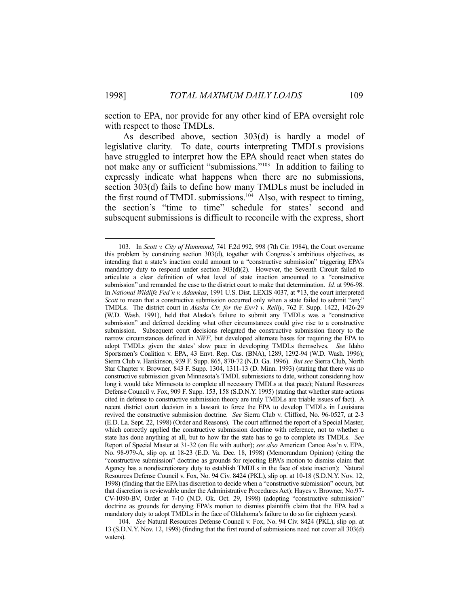section to EPA, nor provide for any other kind of EPA oversight role with respect to those TMDLs.

 As described above, section 303(d) is hardly a model of legislative clarity. To date, courts interpreting TMDLs provisions have struggled to interpret how the EPA should react when states do not make any or sufficient "submissions."103 In addition to failing to expressly indicate what happens when there are no submissions, section 303(d) fails to define how many TMDLs must be included in the first round of TMDL submissions.<sup>104</sup> Also, with respect to timing, the section's "time to time" schedule for states' second and subsequent submissions is difficult to reconcile with the express, short

 <sup>103.</sup> In *Scott v. City of Hammond*, 741 F.2d 992, 998 (7th Cir. 1984), the Court overcame this problem by construing section 303(d), together with Congress's ambitious objectives, as intending that a state's inaction could amount to a "constructive submission" triggering EPA's mandatory duty to respond under section 303(d)(2). However, the Seventh Circuit failed to articulate a clear definition of what level of state inaction amounted to a "constructive submission" and remanded the case to the district court to make that determination. *Id.* at 996-98. In *National Wildlife Fed'n v. Adamkas*, 1991 U.S. Dist. LEXIS 4037, at \*13, the court interpreted *Scott* to mean that a constructive submission occurred only when a state failed to submit "any" TMDLs. The district court in *Alaska Ctr. for the Env't v. Reilly*, 762 F. Supp. 1422, 1426-29 (W.D. Wash. 1991), held that Alaska's failure to submit any TMDLs was a "constructive submission" and deferred deciding what other circumstances could give rise to a constructive submission. Subsequent court decisions relegated the constructive submission theory to the narrow circumstances defined in *NWF*, but developed alternate bases for requiring the EPA to adopt TMDLs given the states' slow pace in developing TMDLs themselves. *See* Idaho Sportsmen's Coalition v. EPA, 43 Envt. Rep. Cas. (BNA), 1289, 1292-94 (W.D. Wash. 1996); Sierra Club v. Hankinson, 939 F. Supp. 865, 870-72 (N.D. Ga. 1996). *But see* Sierra Club, North Star Chapter v. Browner*,* 843 F. Supp. 1304, 1311-13 (D. Minn. 1993) (stating that there was no constructive submission given Minnesota's TMDL submissions to date, without considering how long it would take Minnesota to complete all necessary TMDLs at that pace); Natural Resources Defense Council v. Fox, 909 F. Supp. 153, 158 (S.D.N.Y. 1995) (stating that whether state actions cited in defense to constructive submission theory are truly TMDLs are triable issues of fact). A recent district court decision in a lawsuit to force the EPA to develop TMDLs in Louisiana revived the constructive submission doctrine. *See* Sierra Club v. Clifford, No. 96-0527, at 2-3 (E.D. La. Sept. 22, 1998) (Order and Reasons). The court affirmed the report of a Special Master, which correctly applied the constructive submission doctrine with reference, not to whether a state has done anything at all, but to how far the state has to go to complete its TMDLs. *See* Report of Special Master at 31-32 (on file with author); *see also* American Canoe Ass'n v. EPA, No. 98-979-A, slip op. at 18-23 (E.D. Va. Dec. 18, 1998) (Memorandum Opinion) (citing the "constructive submission" doctrine as grounds for rejecting EPA's motion to dismiss claim that Agency has a nondiscretionary duty to establish TMDLs in the face of state inaction); Natural Resources Defense Council v. Fox, No. 94 Civ. 8424 (PKL), slip op. at 10-18 (S.D.N.Y. Nov. 12, 1998) (finding that the EPA has discretion to decide when a "constructive submission" occurs, but that discretion is reviewable under the Administrative Procedures Act); Hayes v. Browner, No.97- CV-1090-BV, Order at 7-10 (N.D. Ok. Oct. 29, 1998) (adopting "constructive submission" doctrine as grounds for denying EPA's motion to dismiss plaintiffs claim that the EPA had a mandatory duty to adopt TMDLs in the face of Oklahoma's failure to do so for eighteen years).

 <sup>104.</sup> *See* Natural Resources Defense Council v. Fox, No. 94 Civ. 8424 (PKL), slip op. at 13 (S.D.N.Y. Nov. 12, 1998) (finding that the first round of submissions need not cover all 303(d) waters).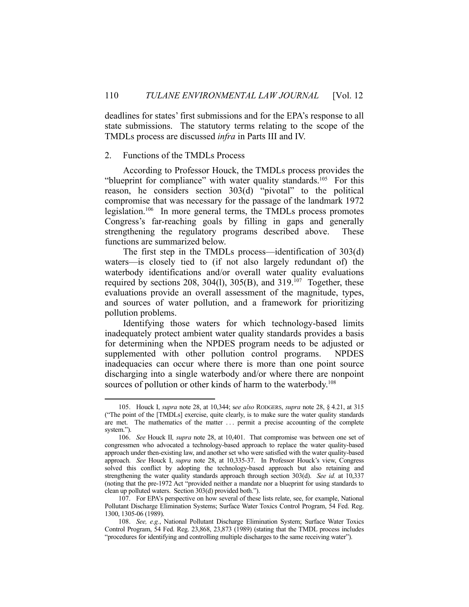deadlines for states' first submissions and for the EPA's response to all state submissions. The statutory terms relating to the scope of the TMDLs process are discussed *infra* in Parts III and IV.

#### 2. Functions of the TMDLs Process

<u>.</u>

 According to Professor Houck, the TMDLs process provides the "blueprint for compliance" with water quality standards.<sup>105</sup> For this reason, he considers section 303(d) "pivotal" to the political compromise that was necessary for the passage of the landmark 1972 legislation.106 In more general terms, the TMDLs process promotes Congress's far-reaching goals by filling in gaps and generally strengthening the regulatory programs described above. These functions are summarized below.

 The first step in the TMDLs process—identification of 303(d) waters—is closely tied to (if not also largely redundant of) the waterbody identifications and/or overall water quality evaluations required by sections 208, 304(1), 305(B), and  $319.^{107}$  Together, these evaluations provide an overall assessment of the magnitude, types, and sources of water pollution, and a framework for prioritizing pollution problems.

 Identifying those waters for which technology-based limits inadequately protect ambient water quality standards provides a basis for determining when the NPDES program needs to be adjusted or supplemented with other pollution control programs. NPDES inadequacies can occur where there is more than one point source discharging into a single waterbody and/or where there are nonpoint sources of pollution or other kinds of harm to the waterbody.<sup>108</sup>

 <sup>105.</sup> Houck I, *supra* note 28, at 10,344; s*ee also* RODGERS, *supra* note 28, § 4.21, at 315 ("The point of the [TMDLs] exercise, quite clearly, is to make sure the water quality standards are met. The mathematics of the matter . . . permit a precise accounting of the complete system.").

 <sup>106.</sup> *See* Houck II*, supra* note 28, at 10,401. That compromise was between one set of congressmen who advocated a technology-based approach to replace the water quality-based approach under then-existing law, and another set who were satisfied with the water quality-based approach. *See* Houck I, *supra* note 28, at 10,335-37. In Professor Houck's view, Congress solved this conflict by adopting the technology-based approach but also retaining and strengthening the water quality standards approach through section 303(d). *See id.* at 10,337 (noting that the pre-1972 Act "provided neither a mandate nor a blueprint for using standards to clean up polluted waters. Section 303(d) provided both.").

 <sup>107.</sup> For EPA's perspective on how several of these lists relate, see, for example, National Pollutant Discharge Elimination Systems; Surface Water Toxics Control Program, 54 Fed. Reg. 1300, 1305-06 (1989).

 <sup>108.</sup> *See, e.g.*, National Pollutant Discharge Elimination System; Surface Water Toxics Control Program, 54 Fed. Reg. 23,868, 23,873 (1989) (stating that the TMDL process includes "procedures for identifying and controlling multiple discharges to the same receiving water").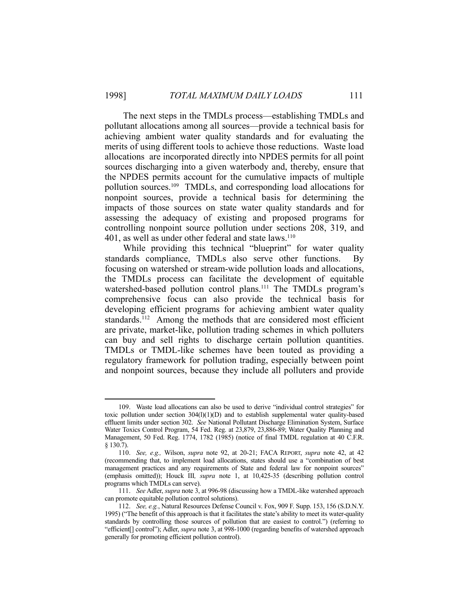<u>.</u>

 The next steps in the TMDLs process—establishing TMDLs and pollutant allocations among all sources—provide a technical basis for achieving ambient water quality standards and for evaluating the merits of using different tools to achieve those reductions. Waste load allocations are incorporated directly into NPDES permits for all point sources discharging into a given waterbody and, thereby, ensure that the NPDES permits account for the cumulative impacts of multiple pollution sources.109 TMDLs, and corresponding load allocations for nonpoint sources, provide a technical basis for determining the impacts of those sources on state water quality standards and for assessing the adequacy of existing and proposed programs for controlling nonpoint source pollution under sections 208, 319, and 401, as well as under other federal and state laws.<sup>110</sup>

While providing this technical "blueprint" for water quality standards compliance, TMDLs also serve other functions. By focusing on watershed or stream-wide pollution loads and allocations, the TMDLs process can facilitate the development of equitable watershed-based pollution control plans.<sup>111</sup> The TMDLs program's comprehensive focus can also provide the technical basis for developing efficient programs for achieving ambient water quality standards.<sup>112</sup> Among the methods that are considered most efficient are private, market-like, pollution trading schemes in which polluters can buy and sell rights to discharge certain pollution quantities. TMDLs or TMDL-like schemes have been touted as providing a regulatory framework for pollution trading, especially between point and nonpoint sources, because they include all polluters and provide

 <sup>109.</sup> Waste load allocations can also be used to derive "individual control strategies" for toxic pollution under section  $304(1)(1)(D)$  and to establish supplemental water quality-based effluent limits under section 302. *See* National Pollutant Discharge Elimination System, Surface Water Toxics Control Program, 54 Fed. Reg. at 23,879, 23,886-89; Water Quality Planning and Management, 50 Fed. Reg. 1774, 1782 (1985) (notice of final TMDL regulation at 40 C.F.R. § 130.7).

 <sup>110.</sup> *See, e.g.,* Wilson, *supra* note 92, at 20-21; FACA REPORT, *supra* note 42, at 42 (recommending that, to implement load allocations, states should use a "combination of best management practices and any requirements of State and federal law for nonpoint sources" (emphasis omitted)); Houck III*, supra* note 1, at 10,425-35 (describing pollution control programs which TMDLs can serve).

 <sup>111.</sup> *See* Adler, *supra* note 3, at 996-98 (discussing how a TMDL-like watershed approach can promote equitable pollution control solutions).

 <sup>112.</sup> *See, e.g.*, Natural Resources Defense Council v. Fox, 909 F. Supp. 153, 156 (S.D.N.Y. 1995) ("The benefit of this approach is that it facilitates the state's ability to meet its water-quality standards by controlling those sources of pollution that are easiest to control.") (referring to "efficient[] control"); Adler, *supra* note 3, at 998-1000 (regarding benefits of watershed approach generally for promoting efficient pollution control).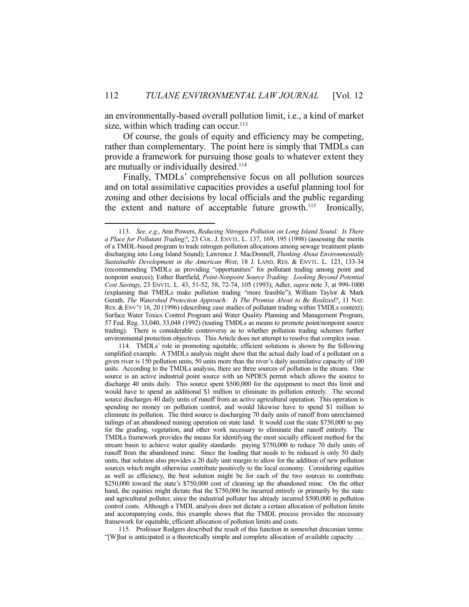an environmentally-based overall pollution limit, i.e., a kind of market size, within which trading can occur. $113$ 

 Of course, the goals of equity and efficiency may be competing, rather than complementary. The point here is simply that TMDLs can provide a framework for pursuing those goals to whatever extent they are mutually or individually desired.<sup>114</sup>

 Finally, TMDLs' comprehensive focus on all pollution sources and on total assimilative capacities provides a useful planning tool for zoning and other decisions by local officials and the public regarding the extent and nature of acceptable future growth.115 Ironically,

1

 114. TMDLs' role in promoting equitable, efficient solutions is shown by the following simplified example. A TMDLs analysis might show that the actual daily load of a pollutant on a given river is 150 pollution units, 50 units more than the river's daily assimilative capacity of 100 units. According to the TMDLs analysis, there are three sources of pollution in the stream. One source is an active industrial point source with an NPDES permit which allows the source to discharge 40 units daily. This source spent \$500,000 for the equipment to meet this limit and would have to spend an additional \$1 million to eliminate its pollution entirely. The second source discharges 40 daily units of runoff from an active agricultural operation. This operation is spending no money on pollution control, and would likewise have to spend \$1 million to eliminate its pollution. The third source is discharging 70 daily units of runoff from unreclaimed tailings of an abandoned mining operation on state land. It would cost the state \$750,000 to pay for the grading, vegetation, and other work necessary to eliminate that runoff entirely. The TMDLs framework provides the means for identifying the most socially efficient method for the stream basin to achieve water quality standards: paying \$750,000 to reduce 70 daily units of runoff from the abandoned mine. Since the loading that needs to be reduced is only 50 daily units, that solution also provides a 20 daily unit margin to allow for the addition of new pollution sources which might otherwise contribute positively to the local economy. Considering equities as well as efficiency, the best solution might be for each of the two sources to contribute \$250,000 toward the state's \$750,000 cost of cleaning up the abandoned mine. On the other hand, the equities might dictate that the \$750,000 be incurred entirely or primarily by the state and agricultural polluter, since the industrial polluter has already incurred \$500,000 in pollution control costs. Although a TMDL analysis does not dictate a certain allocation of pollution limits and accompanying costs, this example shows that the TMDL process provides the necessary framework for equitable, efficient allocation of pollution limits and costs.

 115. Professor Rodgers described the result of this function in somewhat draconian terms: "[W]hat is anticipated is a theoretically simple and complete allocation of available capacity. . . .

 <sup>113.</sup> *See, e.g.*, Ann Powers, *Reducing Nitrogen Pollution on Long Island Sound: Is There a Place for Pollutant Trading?*, 23 COL. J. ENVTL. L. 137, 169, 195 (1998) (assessing the merits of a TMDL-based program to trade nitrogen pollution allocations among sewage treatment plants discharging into Long Island Sound); Lawrence J. MacDonnell, *Thinking About Environmentally Sustainable Development in the American West*, 18 J. LAND, RES. & ENVTL. L. 123, 133-34 (recommending TMDLs as providing "opportunities" for pollutant trading among point and nonpoint sources); Esther Bartfield, *Point-Nonpoint Source Trading: Looking Beyond Potential Cost Savings*, 23 ENVTL. L. 43, 51-52, 58, 72-74, 105 (1993); Adler, *supra* note 3, at 999-1000 (explaining that TMDLs make pollution trading "more feasible"); William Taylor & Mark Gerath, *The Watershed Protection Approach: Is The Promise About to Be Realized?*, 11 NAT. RES. & ENV'T 16, 20 (1996) (describing case studies of pollutant trading within TMDLs context); Surface Water Toxics Control Program and Water Quality Planning and Management Program, 57 Fed. Reg. 33,040, 33,048 (1992) (touting TMDLs as means to promote point/nonpoint source trading). There is considerable controversy as to whether pollution trading schemes further environmental protection objectives. This Article does not attempt to resolve that complex issue.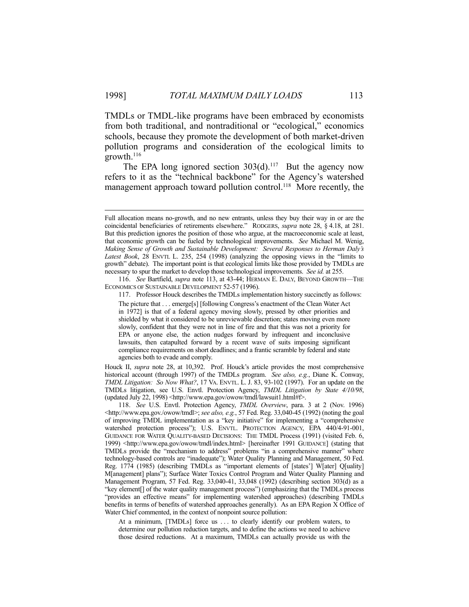TMDLs or TMDL-like programs have been embraced by economists from both traditional, and nontraditional or "ecological," economics schools, because they promote the development of both market-driven pollution programs and consideration of the ecological limits to growth.116

The EPA long ignored section  $303(d)$ .<sup>117</sup> But the agency now refers to it as the "technical backbone" for the Agency's watershed management approach toward pollution control.<sup>118</sup> More recently, the

Houck II, *supra* note 28, at 10,392. Prof. Houck's article provides the most comprehensive historical account (through 1997) of the TMDLs program. *See also, e.g.*, Diane K. Conway, *TMDL Litigation: So Now What?*, 17 VA. ENVTL. L. J. 83, 93-102 (1997). For an update on the TMDLs litigation, see U.S. Envtl. Protection Agency, *TMDL Litigation by State 4/10/98*, (updated July 22, 1998) <http://www.epa.gov/owow/tmdl/lawsuit1.html#f>.

At a minimum, [TMDLs] force us . . . to clearly identify our problem waters, to determine our pollution reduction targets, and to define the actions we need to achieve those desired reductions. At a maximum, TMDLs can actually provide us with the

Full allocation means no-growth, and no new entrants, unless they buy their way in or are the coincidental beneficiaries of retirements elsewhere." RODGERS, *supra* note 28, § 4.18, at 281. But this prediction ignores the position of those who argue, at the macroeconomic scale at least, that economic growth can be fueled by technological improvements. *See* Michael M. Wenig, *Making Sense of Growth and Sustainable Development: Several Responses to Herman Daly's Latest Book*, 28 ENVTL L. 235, 254 (1998) (analyzing the opposing views in the "limits to growth" debate). The important point is that ecological limits like those provided by TMDLs are necessary to spur the market to develop those technological improvements. *See id.* at 255.

 <sup>116.</sup> *See* Bartfield, *supra* note 113, at 43-44; HERMAN E. DALY, BEYOND GROWTH—THE ECONOMICS OF SUSTAINABLE DEVELOPMENT 52-57 (1996).

 <sup>117.</sup> Professor Houck describes the TMDLs implementation history succinctly as follows:

The picture that . . . emerge[s] [following Congress's enactment of the Clean Water Act in 1972] is that of a federal agency moving slowly, pressed by other priorities and shielded by what it considered to be unreviewable discretion; states moving even more slowly, confident that they were not in line of fire and that this was not a priority for EPA or anyone else, the action nudges forward by infrequent and inconclusive lawsuits, then catapulted forward by a recent wave of suits imposing significant compliance requirements on short deadlines; and a frantic scramble by federal and state agencies both to evade and comply.

 <sup>118.</sup> *See* U.S. Envtl. Protection Agency, *TMDL Overview*, para. 3 at 2 (Nov. 1996) <http://www.epa.gov./owow/tmdl>; *see also, e.g.*, 57 Fed. Reg. 33,040-45 (1992) (noting the goal of improving TMDL implementation as a "key initiative" for implementing a "comprehensive watershed protection process"); U.S. ENVTL. PROTECTION AGENCY, EPA 440/4-91-001, GUIDANCE FOR WATER QUALITY-BASED DECISIONS: THE TMDL Process (1991) (visited Feb. 6, 1999) <http://www.epa.gov/owow/tmdl/index.html> [hereinafter 1991 GUIDANCE] (stating that TMDLs provide the "mechanism to address" problems "in a comprehensive manner" where technology-based controls are "inadequate"); Water Quality Planning and Management, 50 Fed. Reg. 1774 (1985) (describing TMDLs as "important elements of [states'] W[ater] Q[uality] M[anagement] plans"); Surface Water Toxics Control Program and Water Quality Planning and Management Program, 57 Fed. Reg. 33,040-41, 33,048 (1992) (describing section 303(d) as a "key element[] of the water quality management process") (emphasizing that the TMDLs process "provides an effective means" for implementing watershed approaches) (describing TMDLs benefits in terms of benefits of watershed approaches generally). As an EPA Region X Office of Water Chief commented, in the context of nonpoint source pollution: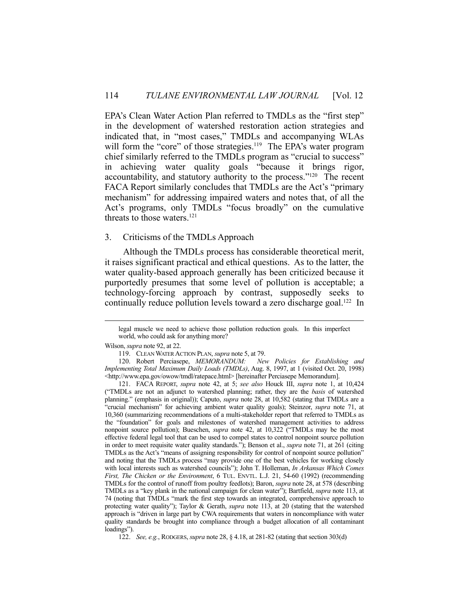EPA's Clean Water Action Plan referred to TMDLs as the "first step" in the development of watershed restoration action strategies and indicated that, in "most cases," TMDLs and accompanying WLAs will form the "core" of those strategies.<sup>119</sup> The EPA's water program chief similarly referred to the TMDLs program as "crucial to success" in achieving water quality goals "because it brings rigor, accountability, and statutory authority to the process."120 The recent FACA Report similarly concludes that TMDLs are the Act's "primary mechanism" for addressing impaired waters and notes that, of all the Act's programs, only TMDLs "focus broadly" on the cumulative threats to those waters.<sup>121</sup>

## 3. Criticisms of the TMDLs Approach

 Although the TMDLs process has considerable theoretical merit, it raises significant practical and ethical questions. As to the latter, the water quality-based approach generally has been criticized because it purportedly presumes that some level of pollution is acceptable; a technology-forcing approach by contrast, supposedly seeks to continually reduce pollution levels toward a zero discharge goal.<sup>122</sup> In

legal muscle we need to achieve those pollution reduction goals. In this imperfect world, who could ask for anything more?

Wilson, *supra* note 92, at 22.

 <sup>119.</sup> CLEAN WATER ACTION PLAN, *supra* note 5, at 79.

 <sup>120.</sup> Robert Perciasepe, *MEMORANDUM: New Policies for Establishing and Implementing Total Maximum Daily Loads (TMDLs)*, Aug. 8, 1997, at 1 (visited Oct. 20, 1998) <http://www.epa.gov/owow/tmdl/ratepace.html> [hereinafter Perciasepe Memorandum].

 <sup>121.</sup> FACA REPORT, *supra* note 42, at 5; *see also* Houck III, *supra* note 1, at 10,424 ("TMDLs are not an adjunct to watershed planning; rather, they are the *basis* of watershed planning." (emphasis in original)); Caputo, *supra* note 28, at 10,582 (stating that TMDLs are a "crucial mechanism" for achieving ambient water quality goals); Steinzor, *supra* note 71, at 10,360 (summarizing recommendations of a multi-stakeholder report that referred to TMDLs as the "foundation" for goals and milestones of watershed management activities to address nonpoint source pollution); Bueschen, *supra* note 42, at 10,322 ("TMDLs may be the most effective federal legal tool that can be used to compel states to control nonpoint source pollution in order to meet requisite water quality standards."); Benson et al., *supra* note 71, at 261 (citing TMDLs as the Act's "means of assigning responsibility for control of nonpoint source pollution" and noting that the TMDLs process "may provide one of the best vehicles for working closely with local interests such as watershed councils"); John T. Holleman, *In Arkansas Which Comes First, The Chicken or the Environment*, 6 TUL. ENVTL. L.J. 21, 54-60 (1992) (recommending TMDLs for the control of runoff from poultry feedlots); Baron, *supra* note 28, at 578 (describing TMDLs as a "key plank in the national campaign for clean water"); Bartfield, *supra* note 113, at 74 (noting that TMDLs "mark the first step towards an integrated, comprehensive approach to protecting water quality"); Taylor & Gerath, *supra* note 113, at 20 (stating that the watershed approach is "driven in large part by CWA requirements that waters in noncompliance with water quality standards be brought into compliance through a budget allocation of all contaminant loadings").

 <sup>122.</sup> *See, e.g.*, RODGERS, *supra* note 28, § 4.18, at 281-82 (stating that section 303(d)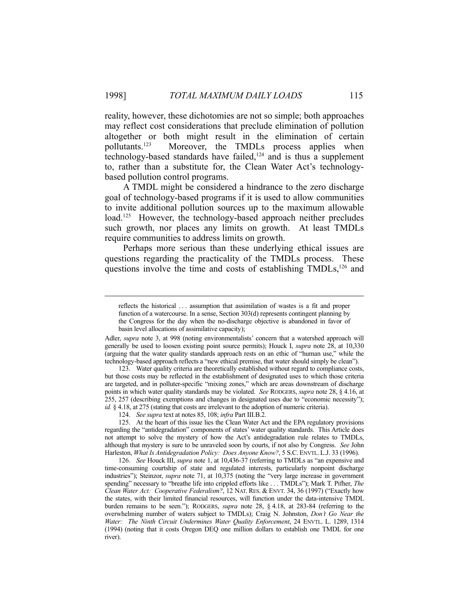reality, however, these dichotomies are not so simple; both approaches may reflect cost considerations that preclude elimination of pollution altogether or both might result in the elimination of certain pollutants.123 Moreover, the TMDLs process applies when technology-based standards have failed, $124$  and is thus a supplement to, rather than a substitute for, the Clean Water Act's technologybased pollution control programs.

 A TMDL might be considered a hindrance to the zero discharge goal of technology-based programs if it is used to allow communities to invite additional pollution sources up to the maximum allowable load.<sup>125</sup> However, the technology-based approach neither precludes such growth, nor places any limits on growth. At least TMDLs require communities to address limits on growth.

 Perhaps more serious than these underlying ethical issues are questions regarding the practicality of the TMDLs process. These questions involve the time and costs of establishing  $TMD<sub>L</sub>$ <sup>126</sup> and

 123. Water quality criteria are theoretically established without regard to compliance costs, but those costs may be reflected in the establishment of designated uses to which those criteria are targeted, and in polluter-specific "mixing zones," which are areas downstream of discharge points in which water quality standards may be violated. *See* RODGERS, *supra* note 28, § 4.16, at 255, 257 (describing exemptions and changes in designated uses due to "economic necessity"); *id.* § 4.18, at 275 (stating that costs are irrelevant to the adoption of numeric criteria).

 126. *See* Houck III, *supra* note 1, at 10,436-37 (referring to TMDLs as "an expensive and time-consuming courtship of state and regulated interests, particularly nonpoint discharge industries"); Steinzor, *supra* note 71, at 10,375 (noting the "very large increase in government spending" necessary to "breathe life into crippled efforts like . . . TMDLs"); Mark T. Pifher, *The Clean Water Act: Cooperative Federalism?*, 12 NAT. RES. & ENVT. 34, 36 (1997) ("Exactly how the states, with their limited financial resources, will function under the data-intensive TMDL burden remains to be seen."); RODGERS, *supra* note 28, § 4.18, at 283-84 (referring to the overwhelming number of waters subject to TMDLs); Craig N. Johnston, *Don't Go Near the Water: The Ninth Circuit Undermines Water Quality Enforcement*, 24 ENVTL. L. 1289, 1314 (1994) (noting that it costs Oregon DEQ one million dollars to establish one TMDL for one river).

reflects the historical . . . assumption that assimilation of wastes is a fit and proper function of a watercourse. In a sense, Section 303(d) represents contingent planning by the Congress for the day when the no-discharge objective is abandoned in favor of basin level allocations of assimilative capacity);

Adler, *supra* note 3, at 998 (noting environmentalists' concern that a watershed approach will generally be used to loosen existing point source permits); Houck I, *supra* note 28, at 10,330 (arguing that the water quality standards approach rests on an ethic of "human use," while the technology-based approach reflects a "new ethical premise, that water should simply be clean").

 <sup>124.</sup> *See supra* text at notes 85, 108; *infra* Part III.B.2.

 <sup>125.</sup> At the heart of this issue lies the Clean Water Act and the EPA regulatory provisions regarding the "antidegradation" components of states' water quality standards. This Article does not attempt to solve the mystery of how the Act's antidegradation rule relates to TMDLs, although that mystery is sure to be unraveled soon by courts, if not also by Congress. *See* John Harleston, *What Is Antidegradation Policy: Does Anyone Know?*, 5 S.C. ENVTL. L.J. 33 (1996).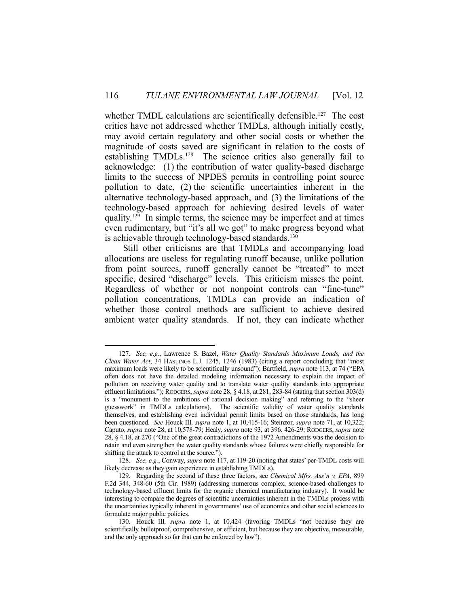whether TMDL calculations are scientifically defensible.<sup>127</sup> The cost critics have not addressed whether TMDLs, although initially costly, may avoid certain regulatory and other social costs or whether the magnitude of costs saved are significant in relation to the costs of establishing TMDLs.<sup>128</sup> The science critics also generally fail to acknowledge: (1) the contribution of water quality-based discharge limits to the success of NPDES permits in controlling point source pollution to date, (2) the scientific uncertainties inherent in the alternative technology-based approach, and (3) the limitations of the technology-based approach for achieving desired levels of water quality.<sup>129</sup> In simple terms, the science may be imperfect and at times even rudimentary, but "it's all we got" to make progress beyond what is achievable through technology-based standards.<sup>130</sup>

 Still other criticisms are that TMDLs and accompanying load allocations are useless for regulating runoff because, unlike pollution from point sources, runoff generally cannot be "treated" to meet specific, desired "discharge" levels. This criticism misses the point. Regardless of whether or not nonpoint controls can "fine-tune" pollution concentrations, TMDLs can provide an indication of whether those control methods are sufficient to achieve desired ambient water quality standards. If not, they can indicate whether

 <sup>127.</sup> *See, e.g.*, Lawrence S. Bazel, *Water Quality Standards Maximum Loads, and the Clean Water Act*, 34 HASTINGS L.J. 1245, 1246 (1983) (citing a report concluding that "most maximum loads were likely to be scientifically unsound"); Bartfield, *supra* note 113, at 74 ("EPA often does not have the detailed modeling information necessary to explain the impact of pollution on receiving water quality and to translate water quality standards into appropriate effluent limitations."); RODGERS, *supra* note 28, § 4.18, at 281, 283-84 (stating that section 303(d) is a "monument to the ambitions of rational decision making" and referring to the "sheer guesswork" in TMDLs calculations). The scientific validity of water quality standards themselves, and establishing even individual permit limits based on those standards, has long been questioned. *See* Houck III*, supra* note 1, at 10,415-16; Steinzor, *supra* note 71, at 10,322; Caputo, *supra* note 28, at 10,578-79; Healy, *supra* note 93, at 396, 426-29; RODGERS, *supra* note 28, § 4.18, at 270 ("One of the great contradictions of the 1972 Amendments was the decision to retain and even strengthen the water quality standards whose failures were chiefly responsible for shifting the attack to control at the source.").

 <sup>128.</sup> *See, e.g.*, Conway, *supra* note 117, at 119-20 (noting that states' per-TMDL costs will likely decrease as they gain experience in establishing TMDLs).

 <sup>129.</sup> Regarding the second of these three factors, see *Chemical Mfrs. Ass'n v. EPA*, 899 F.2d 344, 348-60 (5th Cir. 1989) (addressing numerous complex, science-based challenges to technology-based effluent limits for the organic chemical manufacturing industry). It would be interesting to compare the degrees of scientific uncertainties inherent in the TMDLs process with the uncertainties typically inherent in governments' use of economics and other social sciences to formulate major public policies.

 <sup>130.</sup> Houck III*, supra* note 1, at 10,424 (favoring TMDLs "not because they are scientifically bulletproof, comprehensive, or efficient, but because they are objective, measurable, and the only approach so far that can be enforced by law").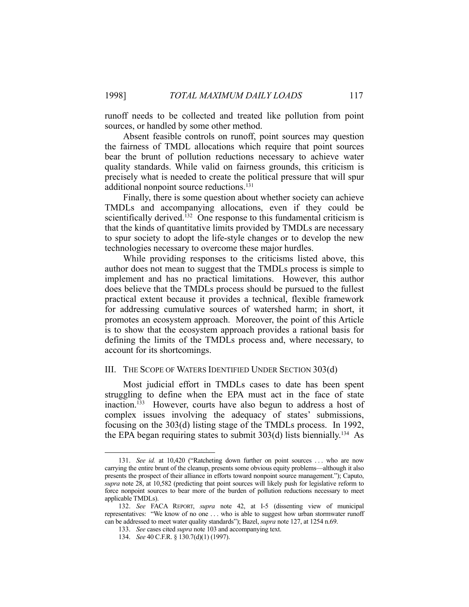runoff needs to be collected and treated like pollution from point sources, or handled by some other method.

 Absent feasible controls on runoff, point sources may question the fairness of TMDL allocations which require that point sources bear the brunt of pollution reductions necessary to achieve water quality standards. While valid on fairness grounds, this criticism is precisely what is needed to create the political pressure that will spur additional nonpoint source reductions.<sup>131</sup>

 Finally, there is some question about whether society can achieve TMDLs and accompanying allocations, even if they could be scientifically derived.<sup>132</sup> One response to this fundamental criticism is that the kinds of quantitative limits provided by TMDLs are necessary to spur society to adopt the life-style changes or to develop the new technologies necessary to overcome these major hurdles.

 While providing responses to the criticisms listed above, this author does not mean to suggest that the TMDLs process is simple to implement and has no practical limitations. However, this author does believe that the TMDLs process should be pursued to the fullest practical extent because it provides a technical, flexible framework for addressing cumulative sources of watershed harm; in short, it promotes an ecosystem approach. Moreover, the point of this Article is to show that the ecosystem approach provides a rational basis for defining the limits of the TMDLs process and, where necessary, to account for its shortcomings.

#### III. THE SCOPE OF WATERS IDENTIFIED UNDER SECTION 303(d)

 Most judicial effort in TMDLs cases to date has been spent struggling to define when the EPA must act in the face of state inaction.133 However, courts have also begun to address a host of complex issues involving the adequacy of states' submissions, focusing on the 303(d) listing stage of the TMDLs process. In 1992, the EPA began requiring states to submit  $303(d)$  lists biennially.<sup>134</sup> As

<sup>131.</sup> *See id.* at 10,420 ("Ratcheting down further on point sources ... who are now carrying the entire brunt of the cleanup, presents some obvious equity problems—although it also presents the prospect of their alliance in efforts toward nonpoint source management."); Caputo, *supra* note 28, at 10,582 (predicting that point sources will likely push for legislative reform to force nonpoint sources to bear more of the burden of pollution reductions necessary to meet applicable TMDLs).

 <sup>132.</sup> *See* FACA REPORT, *supra* note 42, at I-5 (dissenting view of municipal representatives: "We know of no one . . . who is able to suggest how urban stormwater runoff can be addressed to meet water quality standards"); Bazel, *supra* note 127, at 1254 n.69.

 <sup>133.</sup> *See* cases cited *supra* note 103 and accompanying text.

 <sup>134.</sup> *See* 40 C.F.R. § 130.7(d)(1) (1997).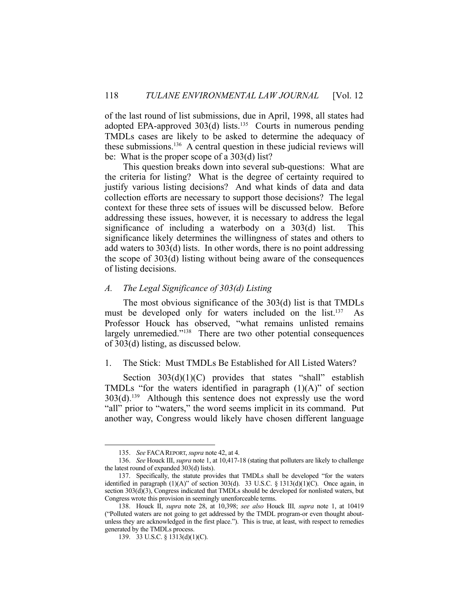of the last round of list submissions, due in April, 1998, all states had adopted EPA-approved  $303(d)$  lists.<sup>135</sup> Courts in numerous pending TMDLs cases are likely to be asked to determine the adequacy of these submissions.<sup>136</sup> A central question in these judicial reviews will be: What is the proper scope of a 303(d) list?

 This question breaks down into several sub-questions: What are the criteria for listing? What is the degree of certainty required to justify various listing decisions? And what kinds of data and data collection efforts are necessary to support those decisions? The legal context for these three sets of issues will be discussed below. Before addressing these issues, however, it is necessary to address the legal significance of including a waterbody on a 303(d) list. This significance likely determines the willingness of states and others to add waters to 303(d) lists. In other words, there is no point addressing the scope of 303(d) listing without being aware of the consequences of listing decisions.

### *A. The Legal Significance of 303(d) Listing*

 The most obvious significance of the 303(d) list is that TMDLs must be developed only for waters included on the list.<sup>137</sup> As Professor Houck has observed, "what remains unlisted remains largely unremedied."<sup>138</sup> There are two other potential consequences of 303(d) listing, as discussed below.

#### 1. The Stick: Must TMDLs Be Established for All Listed Waters?

Section  $303(d)(1)(C)$  provides that states "shall" establish TMDLs "for the waters identified in paragraph  $(1)(A)$ " of section 303(d).139 Although this sentence does not expressly use the word "all" prior to "waters," the word seems implicit in its command. Put another way, Congress would likely have chosen different language

 <sup>135.</sup> *See* FACAREPORT, *supra* note 42, at 4.

 <sup>136.</sup> *See* Houck III, *supra* note 1, at 10,417-18 (stating that polluters are likely to challenge the latest round of expanded 303(d) lists).

 <sup>137.</sup> Specifically, the statute provides that TMDLs shall be developed "for the waters identified in paragraph  $(1)(A)$ " of section 303(d). 33 U.S.C. § 1313(d)(1)(C). Once again, in section 303(d)(3), Congress indicated that TMDLs should be developed for nonlisted waters, but Congress wrote this provision in seemingly unenforceable terms.

 <sup>138.</sup> Houck II, *supra* note 28, at 10,398; *see also* Houck III*, supra* note 1, at 10419 ("Polluted waters are not going to get addressed by the TMDL program-or even thought aboutunless they are acknowledged in the first place."). This is true, at least, with respect to remedies generated by the TMDLs process.

 <sup>139. 33</sup> U.S.C. § 1313(d)(1)(C).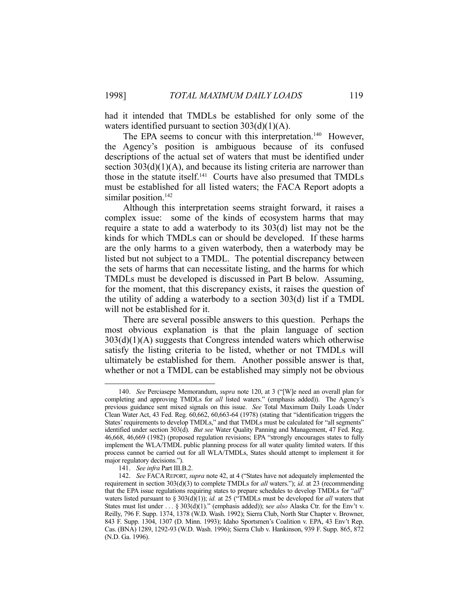had it intended that TMDLs be established for only some of the waters identified pursuant to section  $303(d)(1)(A)$ .

The EPA seems to concur with this interpretation.<sup>140</sup> However, the Agency's position is ambiguous because of its confused descriptions of the actual set of waters that must be identified under section  $303(d)(1)(A)$ , and because its listing criteria are narrower than those in the statute itself.141 Courts have also presumed that TMDLs must be established for all listed waters; the FACA Report adopts a similar position.<sup>142</sup>

 Although this interpretation seems straight forward, it raises a complex issue: some of the kinds of ecosystem harms that may require a state to add a waterbody to its 303(d) list may not be the kinds for which TMDLs can or should be developed. If these harms are the only harms to a given waterbody, then a waterbody may be listed but not subject to a TMDL. The potential discrepancy between the sets of harms that can necessitate listing, and the harms for which TMDLs must be developed is discussed in Part B below. Assuming, for the moment, that this discrepancy exists, it raises the question of the utility of adding a waterbody to a section 303(d) list if a TMDL will not be established for it.

 There are several possible answers to this question. Perhaps the most obvious explanation is that the plain language of section 303(d)(1)(A) suggests that Congress intended waters which otherwise satisfy the listing criteria to be listed, whether or not TMDLs will ultimately be established for them. Another possible answer is that, whether or not a TMDL can be established may simply not be obvious

 <sup>140.</sup> *See* Perciasepe Memorandum, *supra* note 120, at 3 ("[W]e need an overall plan for completing and approving TMDLs for *all* listed waters." (emphasis added)). The Agency's previous guidance sent mixed signals on this issue. *See* Total Maximum Daily Loads Under Clean Water Act, 43 Fed. Reg. 60,662, 60,663-64 (1978) (stating that "identification triggers the States' requirements to develop TMDLs," and that TMDLs must be calculated for "all segments" identified under section 303(d). *But see* Water Quality Panning and Management, 47 Fed. Reg. 46,668, 46,669 (1982) (proposed regulation revisions; EPA "strongly encourages states to fully implement the WLA/TMDL public planning process for all water quality limited waters. If this process cannot be carried out for all WLA/TMDLs, States should attempt to implement it for major regulatory decisions.").

 <sup>141.</sup> *See infra* Part III.B.2.

 <sup>142.</sup> *See* FACA REPORT, *supra* note 42, at 4 ("States have not adequately implemented the requirement in section 303(d)(3) to complete TMDLs for *all* waters."); *id.* at 23 (recommending that the EPA issue regulations requiring states to prepare schedules to develop TMDLs for "*all*" waters listed pursuant to § 303(d)(1)); *id.* at 25 ("TMDLs must be developed for *all* waters that States must list under . . . § 303(d)(1)." (emphasis added)); s*ee also* Alaska Ctr. for the Env't v. Reilly, 796 F. Supp. 1374, 1378 (W.D. Wash. 1992); Sierra Club, North Star Chapter v. Browner, 843 F. Supp. 1304, 1307 (D. Minn. 1993); Idaho Sportsmen's Coalition v. EPA, 43 Env't Rep. Cas. (BNA) 1289, 1292-93 (W.D. Wash. 1996); Sierra Club v. Hankinson, 939 F. Supp. 865, 872 (N.D. Ga. 1996).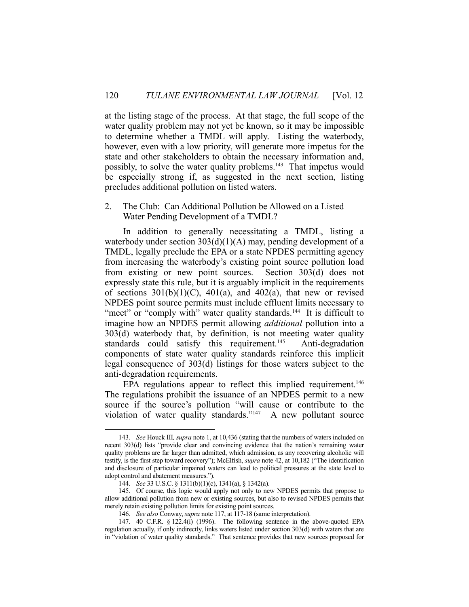at the listing stage of the process. At that stage, the full scope of the water quality problem may not yet be known, so it may be impossible to determine whether a TMDL will apply. Listing the waterbody, however, even with a low priority, will generate more impetus for the state and other stakeholders to obtain the necessary information and, possibly, to solve the water quality problems.<sup>143</sup> That impetus would be especially strong if, as suggested in the next section, listing precludes additional pollution on listed waters.

### 2. The Club: Can Additional Pollution be Allowed on a Listed Water Pending Development of a TMDL?

 In addition to generally necessitating a TMDL, listing a waterbody under section  $303(d)(1)(A)$  may, pending development of a TMDL, legally preclude the EPA or a state NPDES permitting agency from increasing the waterbody's existing point source pollution load from existing or new point sources. Section 303(d) does not expressly state this rule, but it is arguably implicit in the requirements of sections  $301(b)(1)(C)$ ,  $401(a)$ , and  $402(a)$ , that new or revised NPDES point source permits must include effluent limits necessary to "meet" or "comply with" water quality standards.<sup>144</sup> It is difficult to imagine how an NPDES permit allowing *additional* pollution into a 303(d) waterbody that, by definition, is not meeting water quality standards could satisfy this requirement.<sup>145</sup> Anti-degradation components of state water quality standards reinforce this implicit legal consequence of 303(d) listings for those waters subject to the anti-degradation requirements.

EPA regulations appear to reflect this implied requirement.<sup>146</sup> The regulations prohibit the issuance of an NPDES permit to a new source if the source's pollution "will cause or contribute to the violation of water quality standards."147 A new pollutant source

 <sup>143.</sup> *See* Houck III*, supra* note 1, at 10,436 (stating that the numbers of waters included on recent 303(d) lists "provide clear and convincing evidence that the nation's remaining water quality problems are far larger than admitted, which admission, as any recovering alcoholic will testify, is the first step toward recovery"); McElfish, *supra* note 42, at 10,182 ("The identification and disclosure of particular impaired waters can lead to political pressures at the state level to adopt control and abatement measures.").

 <sup>144.</sup> *See* 33 U.S.C. § 1311(b)(1)(c), 1341(a), § 1342(a).

 <sup>145.</sup> Of course, this logic would apply not only to new NPDES permits that propose to allow additional pollution from new or existing sources, but also to revised NPDES permits that merely retain existing pollution limits for existing point sources.

 <sup>146.</sup> *See also* Conway, *supra* note 117, at 117-18 (same interpretation).

 <sup>147. 40</sup> C.F.R. § 122.4(i) (1996). The following sentence in the above-quoted EPA regulation actually, if only indirectly, links waters listed under section 303(d) with waters that are in "violation of water quality standards." That sentence provides that new sources proposed for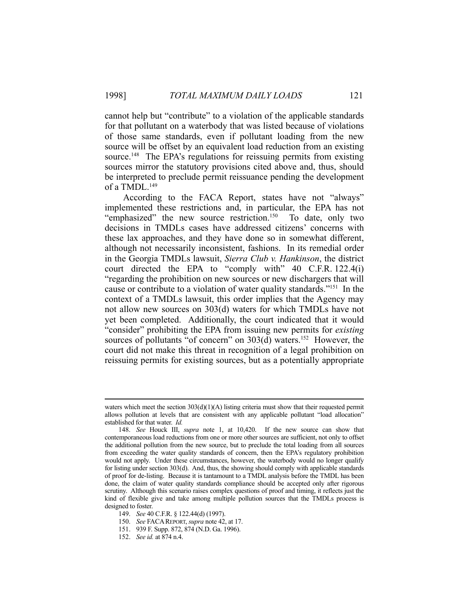cannot help but "contribute" to a violation of the applicable standards for that pollutant on a waterbody that was listed because of violations of those same standards, even if pollutant loading from the new source will be offset by an equivalent load reduction from an existing source.<sup>148</sup> The EPA's regulations for reissuing permits from existing sources mirror the statutory provisions cited above and, thus, should be interpreted to preclude permit reissuance pending the development of a TMDL.<sup>149</sup>

 According to the FACA Report, states have not "always" implemented these restrictions and, in particular, the EPA has not "emphasized" the new source restriction.<sup>150</sup> To date, only two decisions in TMDLs cases have addressed citizens' concerns with these lax approaches, and they have done so in somewhat different, although not necessarily inconsistent, fashions. In its remedial order in the Georgia TMDLs lawsuit, *Sierra Club v. Hankinson*, the district court directed the EPA to "comply with" 40 C.F.R. 122.4(i) "regarding the prohibition on new sources or new dischargers that will cause or contribute to a violation of water quality standards."151 In the context of a TMDLs lawsuit, this order implies that the Agency may not allow new sources on 303(d) waters for which TMDLs have not yet been completed. Additionally, the court indicated that it would "consider" prohibiting the EPA from issuing new permits for *existing* sources of pollutants "of concern" on 303(d) waters.<sup>152</sup> However, the court did not make this threat in recognition of a legal prohibition on reissuing permits for existing sources, but as a potentially appropriate

waters which meet the section  $303(d)(1)(A)$  listing criteria must show that their requested permit allows pollution at levels that are consistent with any applicable pollutant "load allocation" established for that water. *Id.*

 <sup>148.</sup> *See* Houck III, *supra* note 1, at 10,420. If the new source can show that contemporaneous load reductions from one or more other sources are sufficient, not only to offset the additional pollution from the new source, but to preclude the total loading from all sources from exceeding the water quality standards of concern, then the EPA's regulatory prohibition would not apply. Under these circumstances, however, the waterbody would no longer qualify for listing under section 303(d). And, thus, the showing should comply with applicable standards of proof for de-listing. Because it is tantamount to a TMDL analysis before the TMDL has been done, the claim of water quality standards compliance should be accepted only after rigorous scrutiny. Although this scenario raises complex questions of proof and timing, it reflects just the kind of flexible give and take among multiple pollution sources that the TMDLs process is designed to foster.

 <sup>149.</sup> *See* 40 C.F.R. § 122.44(d) (1997).

 <sup>150.</sup> *See* FACAREPORT, *supra* note 42, at 17.

 <sup>151. 939</sup> F. Supp. 872, 874 (N.D. Ga. 1996).

 <sup>152.</sup> *See id.* at 874 n.4.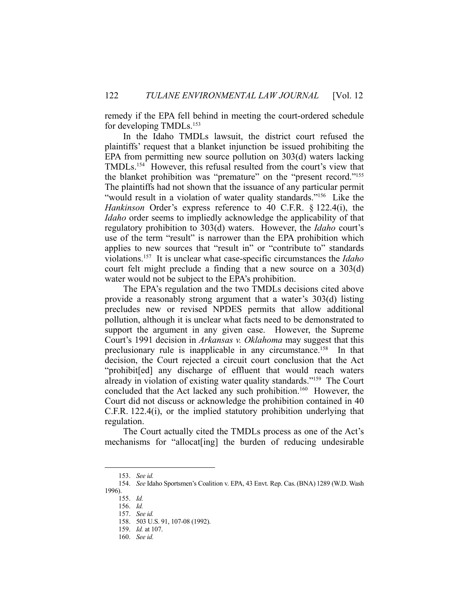remedy if the EPA fell behind in meeting the court-ordered schedule for developing TMDLs.<sup>153</sup>

 In the Idaho TMDLs lawsuit, the district court refused the plaintiffs' request that a blanket injunction be issued prohibiting the EPA from permitting new source pollution on 303(d) waters lacking TMDLs.154 However, this refusal resulted from the court's view that the blanket prohibition was "premature" on the "present record."155 The plaintiffs had not shown that the issuance of any particular permit "would result in a violation of water quality standards."156 Like the *Hankinson* Order's express reference to 40 C.F.R. § 122.4(i), the *Idaho* order seems to impliedly acknowledge the applicability of that regulatory prohibition to 303(d) waters. However, the *Idaho* court's use of the term "result" is narrower than the EPA prohibition which applies to new sources that "result in" or "contribute to" standards violations.157 It is unclear what case-specific circumstances the *Idaho*  court felt might preclude a finding that a new source on a 303(d) water would not be subject to the EPA's prohibition.

 The EPA's regulation and the two TMDLs decisions cited above provide a reasonably strong argument that a water's 303(d) listing precludes new or revised NPDES permits that allow additional pollution, although it is unclear what facts need to be demonstrated to support the argument in any given case. However, the Supreme Court's 1991 decision in *Arkansas v. Oklahoma* may suggest that this preclusionary rule is inapplicable in any circumstance.<sup>158</sup> In that decision, the Court rejected a circuit court conclusion that the Act "prohibit[ed] any discharge of effluent that would reach waters already in violation of existing water quality standards."159 The Court concluded that the Act lacked any such prohibition.<sup>160</sup> However, the Court did not discuss or acknowledge the prohibition contained in 40 C.F.R. 122.4(i), or the implied statutory prohibition underlying that regulation.

 The Court actually cited the TMDLs process as one of the Act's mechanisms for "allocat[ing] the burden of reducing undesirable

 <sup>153.</sup> *See id.*

 <sup>154.</sup> *See* Idaho Sportsmen's Coalition v. EPA, 43 Envt. Rep. Cas. (BNA) 1289 (W.D. Wash 1996).

 <sup>155.</sup> *Id.* 

 <sup>156.</sup> *Id.*

 <sup>157.</sup> *See id.* 

 <sup>158. 503</sup> U.S. 91, 107-08 (1992).

 <sup>159.</sup> *Id.* at 107.

 <sup>160.</sup> *See id.*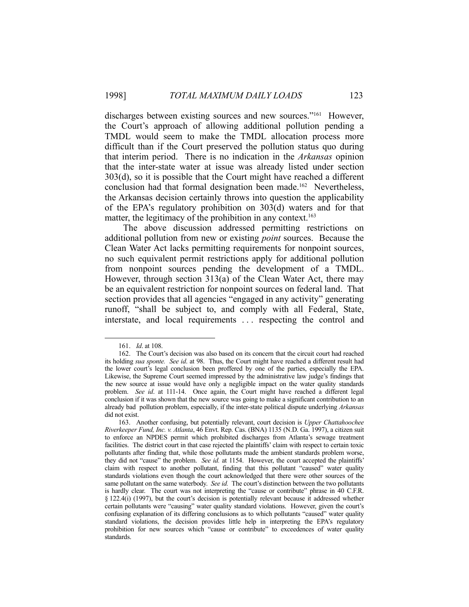discharges between existing sources and new sources."<sup>161</sup> However, the Court's approach of allowing additional pollution pending a TMDL would seem to make the TMDL allocation process more difficult than if the Court preserved the pollution status quo during that interim period. There is no indication in the *Arkansas* opinion that the inter-state water at issue was already listed under section 303(d), so it is possible that the Court might have reached a different conclusion had that formal designation been made.<sup>162</sup> Nevertheless, the Arkansas decision certainly throws into question the applicability of the EPA's regulatory prohibition on 303(d) waters and for that matter, the legitimacy of the prohibition in any context.<sup>163</sup>

 The above discussion addressed permitting restrictions on additional pollution from new or existing *point* sources. Because the Clean Water Act lacks permitting requirements for nonpoint sources, no such equivalent permit restrictions apply for additional pollution from nonpoint sources pending the development of a TMDL. However, through section 313(a) of the Clean Water Act, there may be an equivalent restriction for nonpoint sources on federal land. That section provides that all agencies "engaged in any activity" generating runoff, "shall be subject to, and comply with all Federal, State, interstate, and local requirements . . . respecting the control and

 <sup>161.</sup> *Id*. at 108.

 <sup>162.</sup> The Court's decision was also based on its concern that the circuit court had reached its holding *sua sponte. See id*. at 98. Thus, the Court might have reached a different result had the lower court's legal conclusion been proffered by one of the parties, especially the EPA. Likewise, the Supreme Court seemed impressed by the administrative law judge's findings that the new source at issue would have only a negligible impact on the water quality standards problem. *See id*. at 111-14. Once again, the Court might have reached a different legal conclusion if it was shown that the new source was going to make a significant contribution to an already bad pollution problem, especially, if the inter-state political dispute underlying *Arkansas* did not exist.

 <sup>163.</sup> Another confusing, but potentially relevant, court decision is *Upper Chattahoochee Riverkeeper Fund, Inc. v. Atlanta*, 46 Envt. Rep. Cas. (BNA) 1135 (N.D. Ga. 1997), a citizen suit to enforce an NPDES permit which prohibited discharges from Atlanta's sewage treatment facilities. The district court in that case rejected the plaintiffs' claim with respect to certain toxic pollutants after finding that, while those pollutants made the ambient standards problem worse, they did not "cause" the problem. *See id.* at 1154. However, the court accepted the plaintiffs' claim with respect to another pollutant, finding that this pollutant "caused" water quality standards violations even though the court acknowledged that there were other sources of the same pollutant on the same waterbody. *See id.* The court's distinction between the two pollutants is hardly clear. The court was not interpreting the "cause or contribute" phrase in 40 C.F.R. § 122.4(i) (1997), but the court's decision is potentially relevant because it addressed whether certain pollutants were "causing" water quality standard violations. However, given the court's confusing explanation of its differing conclusions as to which pollutants "caused" water quality standard violations, the decision provides little help in interpreting the EPA's regulatory prohibition for new sources which "cause or contribute" to exceedences of water quality standards.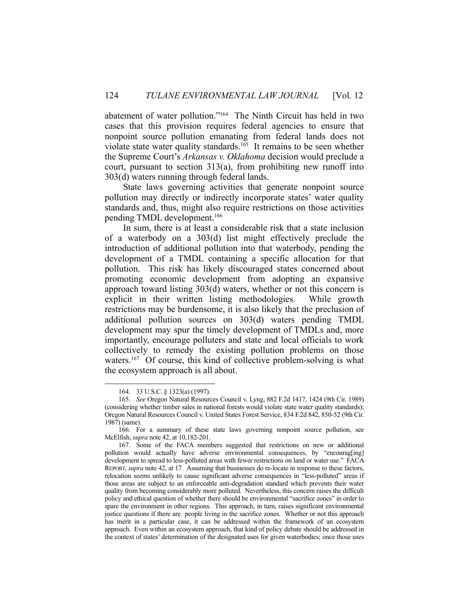abatement of water pollution."164 The Ninth Circuit has held in two cases that this provision requires federal agencies to ensure that nonpoint source pollution emanating from federal lands does not violate state water quality standards.<sup>165</sup> It remains to be seen whether the Supreme Court's *Arkansas v. Oklahoma* decision would preclude a court, pursuant to section 313(a), from prohibiting new runoff into 303(d) waters running through federal lands.

 State laws governing activities that generate nonpoint source pollution may directly or indirectly incorporate states' water quality standards and, thus, might also require restrictions on those activities pending TMDL development.166

 In sum, there is at least a considerable risk that a state inclusion of a waterbody on a 303(d) list might effectively preclude the introduction of additional pollution into that waterbody, pending the development of a TMDL containing a specific allocation for that pollution. This risk has likely discouraged states concerned about promoting economic development from adopting an expansive approach toward listing 303(d) waters, whether or not this concern is explicit in their written listing methodologies. While growth restrictions may be burdensome, it is also likely that the preclusion of additional pollution sources on 303(d) waters pending TMDL development may spur the timely development of TMDLs and, more importantly, encourage polluters and state and local officials to work collectively to remedy the existing pollution problems on those waters.<sup>167</sup> Of course, this kind of collective problem-solving is what the ecosystem approach is all about.

 <sup>164. 33</sup> U.S.C. § 1323(a) (1997).

 <sup>165.</sup> *See* Oregon Natural Resources Council v. Lyng, 882 F.2d 1417, 1424 (9th Cir. 1989) (considering whether timber sales in national forests would violate state water quality standards); Oregon Natural Resources Council v. United States Forest Service, 834 F.2d 842, 850-52 (9th Cir. 1987) (same).

 <sup>166.</sup> For a summary of these state laws governing nonpoint source pollution, see McElfish, *supra* note 42, at 10,182-201.

 <sup>167.</sup> Some of the FACA members suggested that restrictions on new or additional pollution would actually have adverse environmental consequences, by "encourag[ing] development to spread to less-polluted areas with fewer restrictions on land or water use." FACA REPORT, *supra* note 42, at 17. Assuming that businesses do re-locate in response to these factors, relocation seems unlikely to cause significant adverse consequences in "less-polluted" areas if those areas are subject to an enforceable anti-degradation standard which prevents their water quality from becoming considerably more polluted. Nevertheless, this concern raises the difficult policy and ethical question of whether there should be environmental "sacrifice zones" in order to spare the environment in other regions. This approach, in turn, raises significant environmental justice questions if there are people living in the sacrifice zones. Whether or not this approach has merit in a particular case, it can be addressed within the framework of an ecosystem approach. Even within an ecosystem approach, that kind of policy debate should be addressed in the context of states' determination of the designated uses for given waterbodies; once those uses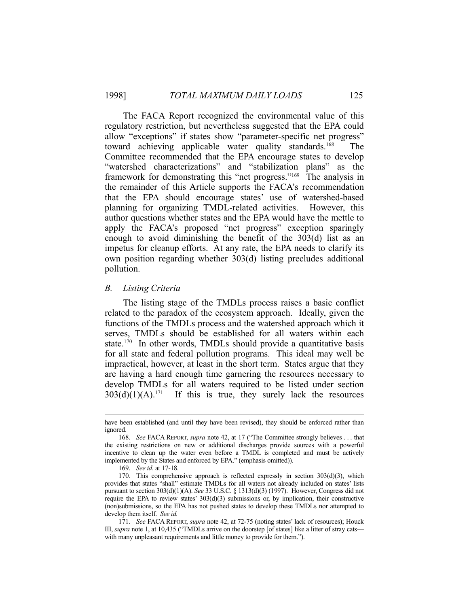The FACA Report recognized the environmental value of this regulatory restriction, but nevertheless suggested that the EPA could allow "exceptions" if states show "parameter-specific net progress" toward achieving applicable water quality standards.<sup>168</sup> The Committee recommended that the EPA encourage states to develop "watershed characterizations" and "stabilization plans" as the framework for demonstrating this "net progress."169 The analysis in the remainder of this Article supports the FACA's recommendation that the EPA should encourage states' use of watershed-based planning for organizing TMDL-related activities. However, this author questions whether states and the EPA would have the mettle to apply the FACA's proposed "net progress" exception sparingly enough to avoid diminishing the benefit of the 303(d) list as an impetus for cleanup efforts. At any rate, the EPA needs to clarify its own position regarding whether 303(d) listing precludes additional pollution.

#### *B. Listing Criteria*

 The listing stage of the TMDLs process raises a basic conflict related to the paradox of the ecosystem approach. Ideally, given the functions of the TMDLs process and the watershed approach which it serves, TMDLs should be established for all waters within each state.<sup>170</sup> In other words, TMDLs should provide a quantitative basis for all state and federal pollution programs. This ideal may well be impractical, however, at least in the short term. States argue that they are having a hard enough time garnering the resources necessary to develop TMDLs for all waters required to be listed under section  $303(d)(1)(A).<sup>171</sup>$  If this is true, they surely lack the resources

have been established (and until they have been revised), they should be enforced rather than ignored.

 <sup>168.</sup> *See* FACA REPORT, *supra* note 42, at 17 ("The Committee strongly believes . . . that the existing restrictions on new or additional discharges provide sources with a powerful incentive to clean up the water even before a TMDL is completed and must be actively implemented by the States and enforced by EPA." (emphasis omitted)).

 <sup>169.</sup> *See id.* at 17-18.

 <sup>170.</sup> This comprehensive approach is reflected expressly in section 303(d)(3), which provides that states "shall" estimate TMDLs for all waters not already included on states' lists pursuant to section 303(d)(1)(A). *See* 33 U.S.C. § 1313(d)(3) (1997). However, Congress did not require the EPA to review states'  $303(d)(3)$  submissions or, by implication, their constructive (non)submissions, so the EPA has not pushed states to develop these TMDLs nor attempted to develop them itself. *See id.* 

 <sup>171.</sup> *See* FACA REPORT, *supra* note 42, at 72-75 (noting states' lack of resources); Houck III, *supra* note 1, at 10,435 ("TMDLs arrive on the doorstep [of states] like a litter of stray cats with many unpleasant requirements and little money to provide for them.").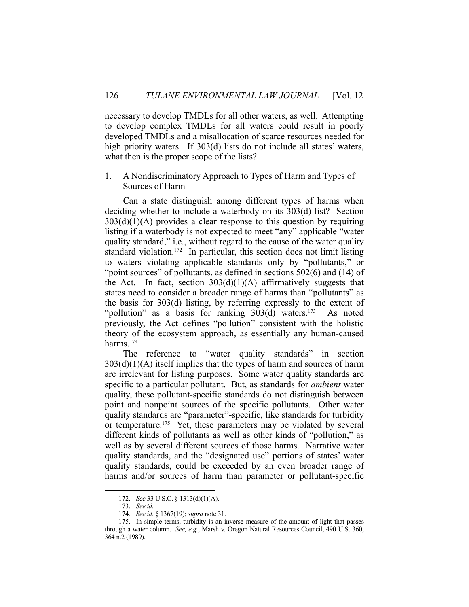necessary to develop TMDLs for all other waters, as well. Attempting to develop complex TMDLs for all waters could result in poorly developed TMDLs and a misallocation of scarce resources needed for high priority waters. If 303(d) lists do not include all states' waters, what then is the proper scope of the lists?

## 1. A Nondiscriminatory Approach to Types of Harm and Types of Sources of Harm

 Can a state distinguish among different types of harms when deciding whether to include a waterbody on its 303(d) list? Section  $303(d)(1)(A)$  provides a clear response to this question by requiring listing if a waterbody is not expected to meet "any" applicable "water quality standard," i.e., without regard to the cause of the water quality standard violation.<sup>172</sup> In particular, this section does not limit listing to waters violating applicable standards only by "pollutants," or "point sources" of pollutants, as defined in sections 502(6) and (14) of the Act. In fact, section  $303(d)(1)(A)$  affirmatively suggests that states need to consider a broader range of harms than "pollutants" as the basis for 303(d) listing, by referring expressly to the extent of "pollution" as a basis for ranking  $303(d)$  waters.<sup>173</sup> As noted previously, the Act defines "pollution" consistent with the holistic theory of the ecosystem approach, as essentially any human-caused harms.174

 The reference to "water quality standards" in section  $303(d)(1)(A)$  itself implies that the types of harm and sources of harm are irrelevant for listing purposes. Some water quality standards are specific to a particular pollutant. But, as standards for *ambient* water quality, these pollutant-specific standards do not distinguish between point and nonpoint sources of the specific pollutants. Other water quality standards are "parameter"-specific, like standards for turbidity or temperature.<sup>175</sup> Yet, these parameters may be violated by several different kinds of pollutants as well as other kinds of "pollution," as well as by several different sources of those harms. Narrative water quality standards, and the "designated use" portions of states' water quality standards, could be exceeded by an even broader range of harms and/or sources of harm than parameter or pollutant-specific

 <sup>172.</sup> *See* 33 U.S.C. § 1313(d)(1)(A).

 <sup>173.</sup> *See id.* 

 <sup>174.</sup> *See id.* § 1367(19); *supra* note 31.

 <sup>175.</sup> In simple terms, turbidity is an inverse measure of the amount of light that passes through a water column. *See, e.g.*, Marsh v. Oregon Natural Resources Council, 490 U.S. 360, 364 n.2 (1989).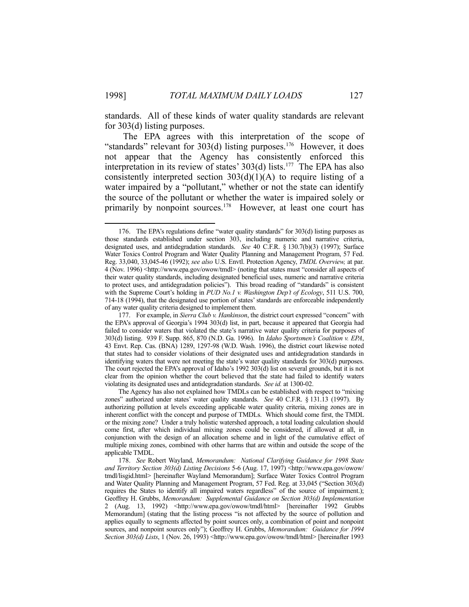standards. All of these kinds of water quality standards are relevant for 303(d) listing purposes.

 The EPA agrees with this interpretation of the scope of "standards" relevant for 303(d) listing purposes.<sup>176</sup> However, it does not appear that the Agency has consistently enforced this interpretation in its review of states'  $303(d)$  lists.<sup>177</sup> The EPA has also consistently interpreted section  $303(d)(1)(A)$  to require listing of a water impaired by a "pollutant," whether or not the state can identify the source of the pollutant or whether the water is impaired solely or primarily by nonpoint sources.<sup>178</sup> However, at least one court has

 <sup>176.</sup> The EPA's regulations define "water quality standards" for 303(d) listing purposes as those standards established under section 303, including numeric and narrative criteria, designated uses, and antidegradation standards. *See* 40 C.F.R. § 130.7(b)(3) (1997); Surface Water Toxics Control Program and Water Quality Planning and Management Program, 57 Fed. Reg. 33,040, 33,045-46 (1992); *see also* U.S. Envtl. Protection Agency, *TMDL Overview,* at par. 4 (Nov. 1996) <http://www.epa.gov/owow/tmdl> (noting that states must "consider all aspects of their water quality standards, including designated beneficial uses, numeric and narrative criteria to protect uses, and antidegradation policies"). This broad reading of "standards" is consistent with the Supreme Court's holding in *PUD No.1 v. Washington Dep't of Ecology*, 511 U.S. 700, 714-18 (1994), that the designated use portion of states' standards are enforceable independently of any water quality criteria designed to implement them.

 <sup>177.</sup> For example, in *Sierra Club v. Hankinson*, the district court expressed "concern" with the EPA's approval of Georgia's 1994 303(d) list, in part, because it appeared that Georgia had failed to consider waters that violated the state's narrative water quality criteria for purposes of 303(d) listing. 939 F. Supp. 865, 870 (N.D. Ga. 1996). In *Idaho Sportsmen's Coalition v. EPA*, 43 Envt. Rep. Cas. (BNA) 1289, 1297-98 (W.D. Wash. 1996), the district court likewise noted that states had to consider violations of their designated uses and antidegradation standards in identifying waters that were not meeting the state's water quality standards for 303(d) purposes. The court rejected the EPA's approval of Idaho's 1992 303(d) list on several grounds, but it is not clear from the opinion whether the court believed that the state had failed to identify waters violating its designated uses and antidegradation standards. *See id.* at 1300-02.

The Agency has also not explained how TMDLs can be established with respect to "mixing zones" authorized under states' water quality standards. *See* 40 C.F.R. § 131.13 (1997). By authorizing pollution at levels exceeding applicable water quality criteria, mixing zones are in inherent conflict with the concept and purpose of TMDLs. Which should come first, the TMDL or the mixing zone? Under a truly holistic watershed approach, a total loading calculation should come first, after which individual mixing zones could be considered, if allowed at all, in conjunction with the design of an allocation scheme and in light of the cumulative effect of multiple mixing zones, combined with other harms that are within and outside the scope of the applicable TMDL.

 <sup>178.</sup> *See* Robert Wayland, *Memorandum: National Clarifying Guidance for 1998 State and Territory Section 303(d) Listing Decisions* 5-6 (Aug. 17, 1997) <http://www.epa.gov/owow/ tmdl/lisgid.html> [hereinafter Wayland Memorandum]; Surface Water Toxics Control Program and Water Quality Planning and Management Program, 57 Fed. Reg. at 33,045 ("Section 303(d) requires the States to identify all impaired waters regardless" of the source of impairment.); Geoffrey H. Grubbs, *Memorandum: Supplemental Guidance on Section 303(d) Implementation* 2 (Aug. 13, 1992) <http://www.epa.gov/owow/tmdl/html> [hereinafter 1992 Grubbs Memorandum] (stating that the listing process "is not affected by the source of pollution and applies equally to segments affected by point sources only, a combination of point and nonpoint sources, and nonpoint sources only"); Geoffrey H. Grubbs, *Memorandum: Guidance for 1994 Section 303(d) Lists*, 1 (Nov. 26, 1993) <http://www.epa.gov/owow/tmdl/html> [hereinafter 1993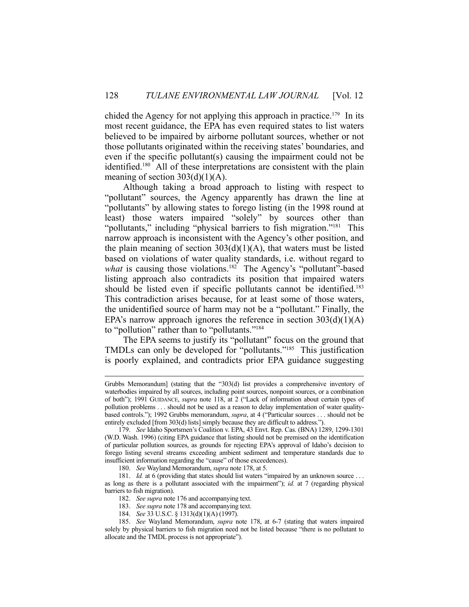chided the Agency for not applying this approach in practice.<sup>179</sup> In its most recent guidance, the EPA has even required states to list waters believed to be impaired by airborne pollutant sources, whether or not those pollutants originated within the receiving states' boundaries, and even if the specific pollutant(s) causing the impairment could not be identified.180 All of these interpretations are consistent with the plain meaning of section  $303(d)(1)(A)$ .

 Although taking a broad approach to listing with respect to "pollutant" sources, the Agency apparently has drawn the line at "pollutants" by allowing states to forego listing (in the 1998 round at least) those waters impaired "solely" by sources other than "pollutants," including "physical barriers to fish migration."<sup>181</sup> This narrow approach is inconsistent with the Agency's other position, and the plain meaning of section  $303(d)(1)(A)$ , that waters must be listed based on violations of water quality standards, i.e. without regard to *what* is causing those violations.<sup>182</sup> The Agency's "pollutant"-based listing approach also contradicts its position that impaired waters should be listed even if specific pollutants cannot be identified.<sup>183</sup> This contradiction arises because, for at least some of those waters, the unidentified source of harm may not be a "pollutant." Finally, the EPA's narrow approach ignores the reference in section  $303(d)(1)(A)$ to "pollution" rather than to "pollutants."<sup>184</sup>

 The EPA seems to justify its "pollutant" focus on the ground that TMDLs can only be developed for "pollutants."185 This justification is poorly explained, and contradicts prior EPA guidance suggesting

- 182. *See supra* note 176 and accompanying text.
- 183. *See supra* note 178 and accompanying text.
- 184. *See* 33 U.S.C. § 1313(d)(1)(A) (1997).

Grubbs Memorandum] (stating that the "303(d) list provides a comprehensive inventory of waterbodies impaired by all sources, including point sources, nonpoint sources, or a combination of both"); 1991 GUIDANCE, *supra* note 118, at 2 ("Lack of information about certain types of pollution problems . . . should not be used as a reason to delay implementation of water qualitybased controls."); 1992 Grubbs memorandum, *supra*, at 4 ("Particular sources . . . should not be entirely excluded [from 303(d) lists] simply because they are difficult to address.").

 <sup>179.</sup> *See* Idaho Sportsmen's Coalition v. EPA, 43 Envt. Rep. Cas. (BNA) 1289, 1299-1301 (W.D. Wash. 1996) (citing EPA guidance that listing should not be premised on the identification of particular pollution sources, as grounds for rejecting EPA's approval of Idaho's decision to forego listing several streams exceeding ambient sediment and temperature standards due to insufficient information regarding the "cause" of those exceedences).

 <sup>180.</sup> *See* Wayland Memorandum, *supra* note 178, at 5.

<sup>181.</sup> *Id.* at 6 (providing that states should list waters "impaired by an unknown source ... as long as there is a pollutant associated with the impairment"); *id.* at 7 (regarding physical barriers to fish migration).

 <sup>185.</sup> *See* Wayland Memorandum, *supra* note 178, at 6-7 (stating that waters impaired solely by physical barriers to fish migration need not be listed because "there is no pollutant to allocate and the TMDL process is not appropriate").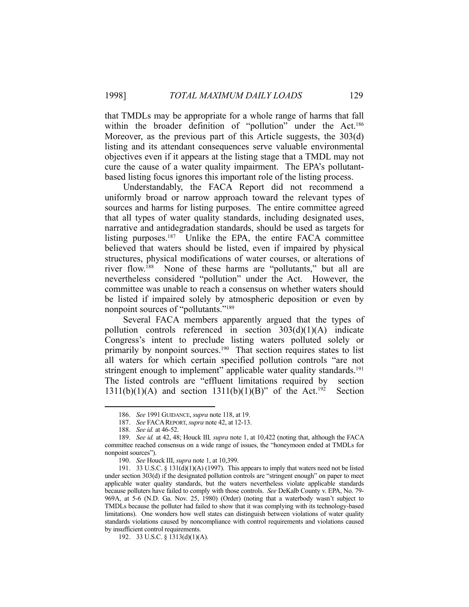that TMDLs may be appropriate for a whole range of harms that fall within the broader definition of "pollution" under the Act.<sup>186</sup> Moreover, as the previous part of this Article suggests, the 303(d) listing and its attendant consequences serve valuable environmental objectives even if it appears at the listing stage that a TMDL may not cure the cause of a water quality impairment. The EPA's pollutantbased listing focus ignores this important role of the listing process.

 Understandably, the FACA Report did not recommend a uniformly broad or narrow approach toward the relevant types of sources and harms for listing purposes. The entire committee agreed that all types of water quality standards, including designated uses, narrative and antidegradation standards, should be used as targets for listing purposes.187 Unlike the EPA, the entire FACA committee believed that waters should be listed, even if impaired by physical structures, physical modifications of water courses, or alterations of river flow.<sup>188</sup> None of these harms are "pollutants," but all are nevertheless considered "pollution" under the Act. However, the committee was unable to reach a consensus on whether waters should be listed if impaired solely by atmospheric deposition or even by nonpoint sources of "pollutants."189

 Several FACA members apparently argued that the types of pollution controls referenced in section 303(d)(1)(A) indicate Congress's intent to preclude listing waters polluted solely or primarily by nonpoint sources.<sup>190</sup> That section requires states to list all waters for which certain specified pollution controls "are not stringent enough to implement" applicable water quality standards.<sup>191</sup> The listed controls are "effluent limitations required by section  $1311(b)(1)(A)$  and section  $1311(b)(1)(B)$ " of the Act.<sup>192</sup> Section

 <sup>186.</sup> *See* 1991 GUIDANCE, *supra* note 118, at 19.

 <sup>187.</sup> *See* FACAREPORT, *supra* note 42, at 12-13.

 <sup>188.</sup> *See id.* at 46-52.

 <sup>189.</sup> *See id.* at 42, 48; Houck III*, supra* note 1, at 10,422 (noting that, although the FACA committee reached consensus on a wide range of issues, the "honeymoon ended at TMDLs for nonpoint sources").

 <sup>190.</sup> *See* Houck III, *supra* note 1, at 10,399.

 <sup>191. 33</sup> U.S.C. § 131(d)(1)(A) (1997). This appears to imply that waters need not be listed under section 303(d) if the designated pollution controls are "stringent enough" on paper to meet applicable water quality standards, but the waters nevertheless violate applicable standards because polluters have failed to comply with those controls. *See* DeKalb County v. EPA, No. 79- 969A, at 5-6 (N.D. Ga. Nov. 25, 1980) (Order) (noting that a waterbody wasn't subject to TMDLs because the polluter had failed to show that it was complying with its technology-based limitations). One wonders how well states can distinguish between violations of water quality standards violations caused by noncompliance with control requirements and violations caused by insufficient control requirements.

 <sup>192. 33</sup> U.S.C. § 1313(d)(1)(A).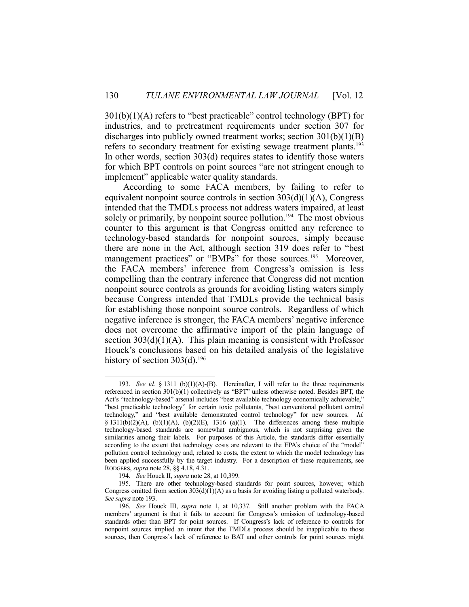301(b)(1)(A) refers to "best practicable" control technology (BPT) for industries, and to pretreatment requirements under section 307 for discharges into publicly owned treatment works; section 301(b)(1)(B) refers to secondary treatment for existing sewage treatment plants.<sup>193</sup> In other words, section 303(d) requires states to identify those waters for which BPT controls on point sources "are not stringent enough to implement" applicable water quality standards.

 According to some FACA members, by failing to refer to equivalent nonpoint source controls in section  $303(d)(1)(A)$ , Congress intended that the TMDLs process not address waters impaired, at least solely or primarily, by nonpoint source pollution.<sup>194</sup> The most obvious counter to this argument is that Congress omitted any reference to technology-based standards for nonpoint sources, simply because there are none in the Act, although section 319 does refer to "best management practices" or "BMPs" for those sources.<sup>195</sup> Moreover, the FACA members' inference from Congress's omission is less compelling than the contrary inference that Congress did not mention nonpoint source controls as grounds for avoiding listing waters simply because Congress intended that TMDLs provide the technical basis for establishing those nonpoint source controls. Regardless of which negative inference is stronger, the FACA members' negative inference does not overcome the affirmative import of the plain language of section  $303(d)(1)(A)$ . This plain meaning is consistent with Professor Houck's conclusions based on his detailed analysis of the legislative history of section  $303(d)$ .<sup>196</sup>

 <sup>193.</sup> *See id.* § 1311 (b)(1)(A)-(B). Hereinafter, I will refer to the three requirements referenced in section 301(b)(1) collectively as "BPT" unless otherwise noted. Besides BPT, the Act's "technology-based" arsenal includes "best available technology economically achievable," "best practicable technology" for certain toxic pollutants, "best conventional pollutant control technology," and "best available demonstrated control technology" for new sources. *Id.*  § 1311(b)(2)(A), (b)(1)(A), (b)(2)(E), 1316 (a)(1). The differences among these multiple technology-based standards are somewhat ambiguous, which is not surprising given the similarities among their labels. For purposes of this Article, the standards differ essentially according to the extent that technology costs are relevant to the EPA's choice of the "model" pollution control technology and, related to costs, the extent to which the model technology has been applied successfully by the target industry. For a description of these requirements, see RODGERS, *supra* note 28, §§ 4.18, 4.31.

 <sup>194.</sup> *See* Houck II, *supra* note 28, at 10,399.

 <sup>195.</sup> There are other technology-based standards for point sources, however, which Congress omitted from section  $303(d)(1)(A)$  as a basis for avoiding listing a polluted waterbody. *See supra* note 193.

 <sup>196.</sup> *See* Houck III, *supra* note 1, at 10,337. Still another problem with the FACA members' argument is that it fails to account for Congress's omission of technology-based standards other than BPT for point sources. If Congress's lack of reference to controls for nonpoint sources implied an intent that the TMDLs process should be inapplicable to those sources, then Congress's lack of reference to BAT and other controls for point sources might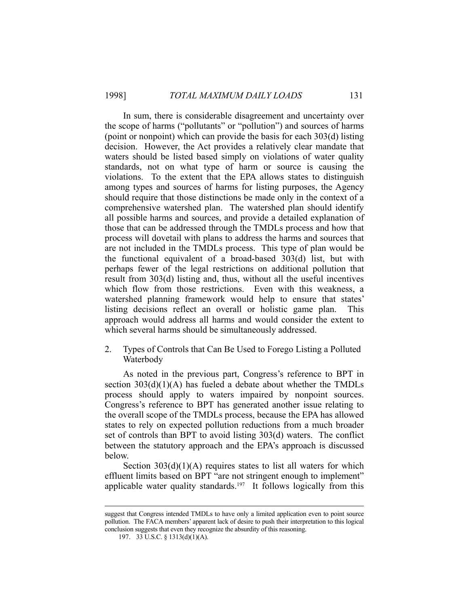In sum, there is considerable disagreement and uncertainty over the scope of harms ("pollutants" or "pollution") and sources of harms (point or nonpoint) which can provide the basis for each 303(d) listing decision. However, the Act provides a relatively clear mandate that waters should be listed based simply on violations of water quality standards, not on what type of harm or source is causing the violations. To the extent that the EPA allows states to distinguish among types and sources of harms for listing purposes, the Agency should require that those distinctions be made only in the context of a comprehensive watershed plan. The watershed plan should identify all possible harms and sources, and provide a detailed explanation of those that can be addressed through the TMDLs process and how that process will dovetail with plans to address the harms and sources that are not included in the TMDLs process. This type of plan would be the functional equivalent of a broad-based 303(d) list, but with perhaps fewer of the legal restrictions on additional pollution that result from 303(d) listing and, thus, without all the useful incentives which flow from those restrictions. Even with this weakness, a watershed planning framework would help to ensure that states' listing decisions reflect an overall or holistic game plan. This approach would address all harms and would consider the extent to which several harms should be simultaneously addressed.

2. Types of Controls that Can Be Used to Forego Listing a Polluted Waterbody

 As noted in the previous part, Congress's reference to BPT in section 303(d)(1)(A) has fueled a debate about whether the TMDLs process should apply to waters impaired by nonpoint sources. Congress's reference to BPT has generated another issue relating to the overall scope of the TMDLs process, because the EPA has allowed states to rely on expected pollution reductions from a much broader set of controls than BPT to avoid listing 303(d) waters. The conflict between the statutory approach and the EPA's approach is discussed below.

 Section 303(d)(1)(A) requires states to list all waters for which effluent limits based on BPT "are not stringent enough to implement" applicable water quality standards.<sup>197</sup> It follows logically from this

suggest that Congress intended TMDLs to have only a limited application even to point source pollution. The FACA members' apparent lack of desire to push their interpretation to this logical conclusion suggests that even they recognize the absurdity of this reasoning.

 <sup>197. 33</sup> U.S.C. § 1313(d)(1)(A).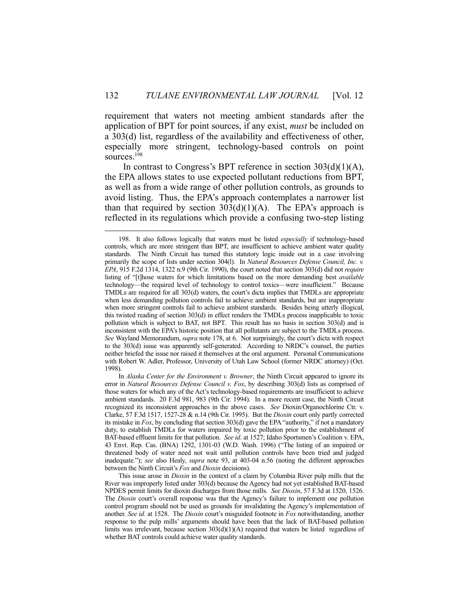requirement that waters not meeting ambient standards after the application of BPT for point sources, if any exist, *must* be included on a 303(d) list, regardless of the availability and effectiveness of other, especially more stringent, technology-based controls on point sources.<sup>198</sup>

In contrast to Congress's BPT reference in section  $303(d)(1)(A)$ , the EPA allows states to use expected pollutant reductions from BPT, as well as from a wide range of other pollution controls, as grounds to avoid listing. Thus, the EPA's approach contemplates a narrower list than that required by section  $303(d)(1)(A)$ . The EPA's approach is reflected in its regulations which provide a confusing two-step listing

 <sup>198.</sup> It also follows logically that waters must be listed *especially* if technology-based controls, which are more stringent than BPT, are insufficient to achieve ambient water quality standards. The Ninth Circuit has turned this statutory logic inside out in a case involving primarily the scope of lists under section 304(l). In *Natural Resources Defense Council, Inc. v. EPA*, 915 F.2d 1314, 1322 n.9 (9th Cir. 1990), the court noted that section 303(d) did not *require* listing of "[t]hose waters for which limitations based on the more demanding best *available* technology—the required level of technology to control toxics—were insufficient." Because TMDLs are required for all 303(d) waters, the court's dicta implies that TMDLs are appropriate when less demanding pollution controls fail to achieve ambient standards, but are inappropriate when more stringent controls fail to achieve ambient standards. Besides being utterly illogical, this twisted reading of section 303(d) in effect renders the TMDLs process inapplicable to toxic pollution which is subject to BAT, not BPT. This result has no basis in section 303(d) and is inconsistent with the EPA's historic position that all pollutants are subject to the TMDLs process. *See* Wayland Memorandum, *supra* note 178, at 6. Not surprisingly, the court's dicta with respect to the 303(d) issue was apparently self-generated. According to NRDC's counsel, the parties neither briefed the issue nor raised it themselves at the oral argument. Personal Communications with Robert W. Adler, Professor, University of Utah Law School (former NRDC attorney) (Oct. 1998).

In *Alaska Center for the Environment v. Browner*, the Ninth Circuit appeared to ignore its error in *Natural Resources Defense Council v. Fox*, by describing 303(d) lists as comprised of those waters for which any of the Act's technology-based requirements are insufficient to achieve ambient standards. 20 F.3d 981, 983 (9th Cir. 1994). In a more recent case, the Ninth Circuit recognized its inconsistent approaches in the above cases. *See* Dioxin/Organochlorine Ctr. v. Clarke, 57 F.3d 1517, 1527-28 & n.14 (9th Cir. 1995). But the *Dioxin* court only partly corrected its mistake in *Fox*, by concluding that section 303(d) gave the EPA "authority," if not a mandatory duty, to establish TMDLs for waters impaired by toxic pollution prior to the establishment of BAT-based effluent limits for that pollution. *See id*. at 1527; Idaho Sportsmen's Coalition v. EPA, 43 Envt. Rep. Cas. (BNA) 1292, 1301-03 (W.D. Wash. 1996) ("The listing of an impaired or threatened body of water need not wait until pollution controls have been tried and judged inadequate."); *see* also Healy, *supra* note 93, at 403-04 n.56 (noting the different approaches between the Ninth Circuit's *Fox* and *Dioxin* decisions).

This issue arose in *Dioxin* in the context of a claim by Columbia River pulp mills that the River was improperly listed under 303(d) because the Agency had not yet established BAT-based NPDES permit limits for dioxin discharges from those mills. *See Dioxin*, 57 F.3d at 1520, 1526. The *Dioxin* court's overall response was that the Agency's failure to implement one pollution control program should not be used as grounds for invalidating the Agency's implementation of another. *See id.* at 1528. The *Dioxin* court's misguided footnote in *Fox* notwithstanding, another response to the pulp mills' arguments should have been that the lack of BAT-based pollution limits was irrelevant, because section  $303(d)(1)(A)$  required that waters be listed regardless of whether BAT controls could achieve water quality standards.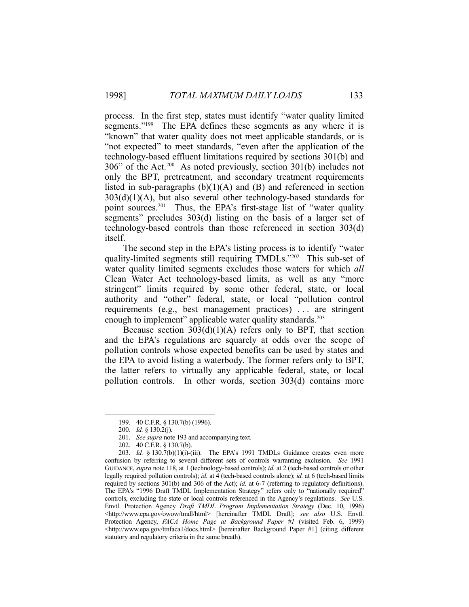process. In the first step, states must identify "water quality limited segments."<sup>199</sup> The EPA defines these segments as any where it is "known" that water quality does not meet applicable standards, or is "not expected" to meet standards, "even after the application of the technology-based effluent limitations required by sections 301(b) and 306" of the Act.200 As noted previously, section 301(b) includes not only the BPT, pretreatment, and secondary treatment requirements listed in sub-paragraphs  $(b)(1)(A)$  and  $(B)$  and referenced in section  $303(d)(1)(A)$ , but also several other technology-based standards for point sources.<sup>201</sup> Thus, the EPA's first-stage list of "water quality segments" precludes 303(d) listing on the basis of a larger set of technology-based controls than those referenced in section 303(d) itself.

 The second step in the EPA's listing process is to identify "water quality-limited segments still requiring TMDLs."202 This sub-set of water quality limited segments excludes those waters for which *all*  Clean Water Act technology-based limits, as well as any "more stringent" limits required by some other federal, state, or local authority and "other" federal, state, or local "pollution control requirements (e.g., best management practices) . . . are stringent enough to implement" applicable water quality standards.<sup>203</sup>

Because section  $303(d)(1)(A)$  refers only to BPT, that section and the EPA's regulations are squarely at odds over the scope of pollution controls whose expected benefits can be used by states and the EPA to avoid listing a waterbody. The former refers only to BPT, the latter refers to virtually any applicable federal, state, or local pollution controls. In other words, section 303(d) contains more

 <sup>199. 40</sup> C.F.R. § 130.7(b) (1996).

 <sup>200.</sup> *Id.* § 130.2(j).

 <sup>201.</sup> *See supra* note 193 and accompanying text.

 <sup>202. 40</sup> C.F.R. § 130.7(b).

 <sup>203.</sup> *Id.* § 130.7(b)(1)(i)-(iii). The EPA's 1991 TMDLs Guidance creates even more confusion by referring to several different sets of controls warranting exclusion. *See* 1991 GUIDANCE, *supra* note 118, at 1 (technology-based controls); *id.* at 2 (tech-based controls or other legally required pollution controls); *id.* at 4 (tech-based controls alone); *id.* at 6 (tech-based limits required by sections 301(b) and 306 of the Act); *id.* at 6-7 (referring to regulatory definitions). The EPA's "1996 Draft TMDL Implementation Strategy" refers only to "nationally required" controls, excluding the state or local controls referenced in the Agency's regulations. *See* U.S. Envtl. Protection Agency *Draft TMDL Program Implementation Strategy* (Dec. 10, 1996) <http://www.epa.gov/owow/tmdl/html> [hereinafter TMDL Draft]; *see also* U.S. Envtl. Protection Agency, *FACA Home Page at Background Paper #1* (visited Feb. 6, 1999) <http://www.epa.gov/ttnfaca1/docs.html> [hereinafter Background Paper #1] (citing different statutory and regulatory criteria in the same breath).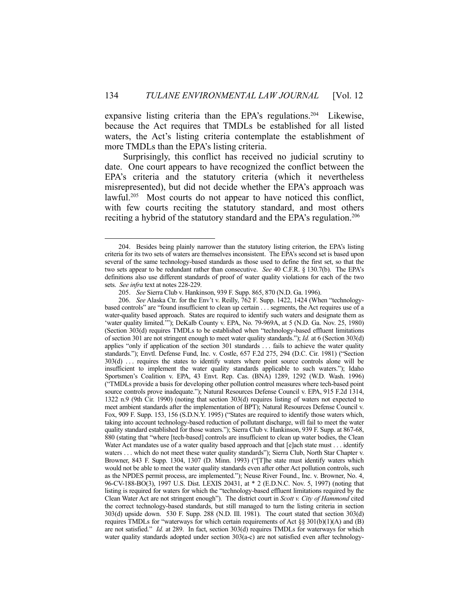expansive listing criteria than the EPA's regulations.<sup>204</sup> Likewise, because the Act requires that TMDLs be established for all listed waters, the Act's listing criteria contemplate the establishment of more TMDLs than the EPA's listing criteria.

 Surprisingly, this conflict has received no judicial scrutiny to date. One court appears to have recognized the conflict between the EPA's criteria and the statutory criteria (which it nevertheless misrepresented), but did not decide whether the EPA's approach was lawful.<sup>205</sup> Most courts do not appear to have noticed this conflict, with few courts reciting the statutory standard, and most others reciting a hybrid of the statutory standard and the EPA's regulation.206

 <sup>204.</sup> Besides being plainly narrower than the statutory listing criterion, the EPA's listing criteria for its two sets of waters are themselves inconsistent. The EPA's second set is based upon several of the same technology-based standards as those used to define the first set, so that the two sets appear to be redundant rather than consecutive. *See* 40 C.F.R. § 130.7(b). The EPA's definitions also use different standards of proof of water quality violations for each of the two sets. *See infra* text at notes 228-229.

 <sup>205.</sup> *See* Sierra Club v. Hankinson, 939 F. Supp. 865, 870 (N.D. Ga. 1996).

 <sup>206.</sup> *See* Alaska Ctr. for the Env't v. Reilly, 762 F. Supp. 1422, 1424 (When "technologybased controls" are "found insufficient to clean up certain . . . segments, the Act requires use of a water-quality based approach. States are required to identify such waters and designate them as 'water quality limited.'"); DeKalb County v. EPA, No. 79-969A, at 5 (N.D. Ga. Nov. 25, 1980) (Section 303(d) requires TMDLs to be established when "technology-based effluent limitations of section 301 are not stringent enough to meet water quality standards."); *Id.* at 6 (Section 303(d) applies "only if application of the section 301 standards . . . fails to achieve the water quality standards."); Envtl. Defense Fund, Inc. v. Costle, 657 F.2d 275, 294 (D.C. Cir. 1981) ("Section 303(d) . . . requires the states to identify waters where point source controls alone will be insufficient to implement the water quality standards applicable to such waters."); Idaho Sportsmen's Coalition v. EPA, 43 Envt. Rep. Cas. (BNA) 1289, 1292 (W.D. Wash. 1996) ("TMDLs provide a basis for developing other pollution control measures where tech-based point source controls prove inadequate."); Natural Resources Defense Council v. EPA, 915 F.2d 1314, 1322 n.9 (9th Cir. 1990) (noting that section 303(d) requires listing of waters not expected to meet ambient standards after the implementation of BPT); Natural Resources Defense Council v. Fox, 909 F. Supp. 153, 156 (S.D.N.Y. 1995) ("States are required to identify those waters which, taking into account technology-based reduction of pollutant discharge, will fail to meet the water quality standard established for those waters."); Sierra Club v. Hankinson, 939 F. Supp. at 867-68, 880 (stating that "where [tech-based] controls are insufficient to clean up water bodies, the Clean Water Act mandates use of a water quality based approach and that [e]ach state must . . . identify waters . . . which do not meet these water quality standards"); Sierra Club, North Star Chapter v. Browner, 843 F. Supp. 1304, 1307 (D. Minn. 1993) ("[T]he state must identify waters which would not be able to meet the water quality standards even after other Act pollution controls, such as the NPDES permit process, are implemented."); Neuse River Found., Inc. v. Browner, No. 4, 96-CV-188-BO(3), 1997 U.S. Dist. LEXIS 20431, at \* 2 (E.D.N.C. Nov. 5, 1997) (noting that listing is required for waters for which the "technology-based effluent limitations required by the Clean Water Act are not stringent enough"). The district court in *Scott v. City of Hammond* cited the correct technology-based standards, but still managed to turn the listing criteria in section 303(d) upside down. 530 F. Supp. 288 (N.D. Ill. 1981). The court stated that section 303(d) requires TMDLs for "waterways for which certain requirements of Act §§ 301(b)(1)(A) and (B) are not satisfied." *Id.* at 289. In fact, section 303(d) requires TMDLs for waterways for which water quality standards adopted under section 303(a-c) are not satisfied even after technology-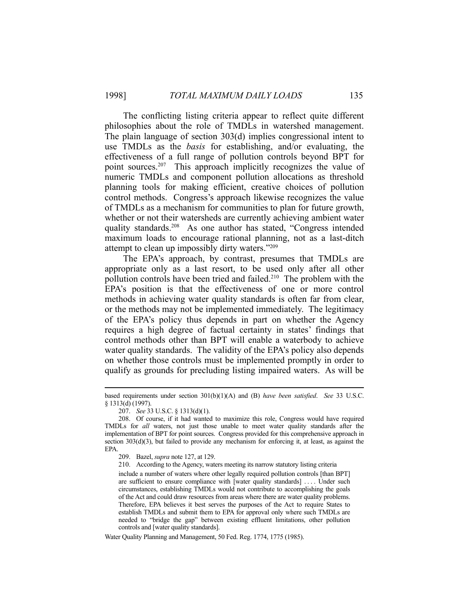The conflicting listing criteria appear to reflect quite different philosophies about the role of TMDLs in watershed management. The plain language of section 303(d) implies congressional intent to use TMDLs as the *basis* for establishing, and/or evaluating, the effectiveness of a full range of pollution controls beyond BPT for point sources.207 This approach implicitly recognizes the value of numeric TMDLs and component pollution allocations as threshold planning tools for making efficient, creative choices of pollution control methods. Congress's approach likewise recognizes the value of TMDLs as a mechanism for communities to plan for future growth, whether or not their watersheds are currently achieving ambient water quality standards.208 As one author has stated, "Congress intended maximum loads to encourage rational planning, not as a last-ditch attempt to clean up impossibly dirty waters."209

 The EPA's approach, by contrast, presumes that TMDLs are appropriate only as a last resort, to be used only after all other pollution controls have been tried and failed.210 The problem with the EPA's position is that the effectiveness of one or more control methods in achieving water quality standards is often far from clear, or the methods may not be implemented immediately. The legitimacy of the EPA's policy thus depends in part on whether the Agency requires a high degree of factual certainty in states' findings that control methods other than BPT will enable a waterbody to achieve water quality standards. The validity of the EPA's policy also depends on whether those controls must be implemented promptly in order to qualify as grounds for precluding listing impaired waters. As will be

based requirements under section 301(b)(1)(A) and (B) *have been satisfied*. *See* 33 U.S.C. § 1313(d) (1997).

 <sup>207.</sup> *See* 33 U.S.C. § 1313(d)(1).

 <sup>208.</sup> Of course, if it had wanted to maximize this role, Congress would have required TMDLs for *all* waters, not just those unable to meet water quality standards after the implementation of BPT for point sources. Congress provided for this comprehensive approach in section 303(d)(3), but failed to provide any mechanism for enforcing it, at least, as against the EPA.

 <sup>209.</sup> Bazel, *supra* note 127, at 129.

 <sup>210.</sup> According to the Agency, waters meeting its narrow statutory listing criteria include a number of waters where other legally required pollution controls [than BPT] are sufficient to ensure compliance with [water quality standards] .... Under such circumstances, establishing TMDLs would not contribute to accomplishing the goals of the Act and could draw resources from areas where there are water quality problems. Therefore, EPA believes it best serves the purposes of the Act to require States to establish TMDLs and submit them to EPA for approval only where such TMDLs are needed to "bridge the gap" between existing effluent limitations, other pollution controls and [water quality standards].

Water Quality Planning and Management, 50 Fed. Reg. 1774, 1775 (1985).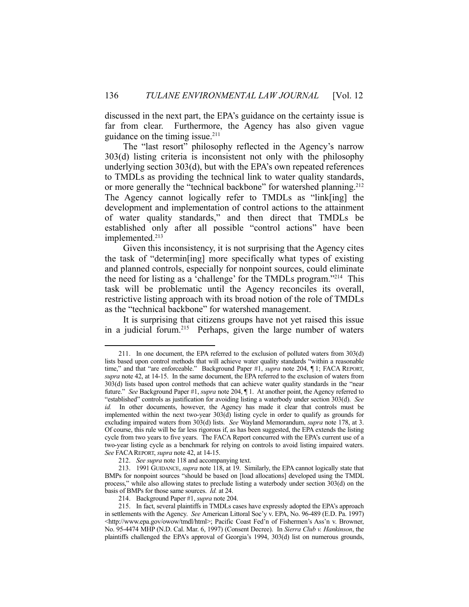discussed in the next part, the EPA's guidance on the certainty issue is far from clear. Furthermore, the Agency has also given vague guidance on the timing issue.211

 The "last resort" philosophy reflected in the Agency's narrow 303(d) listing criteria is inconsistent not only with the philosophy underlying section 303(d), but with the EPA's own repeated references to TMDLs as providing the technical link to water quality standards, or more generally the "technical backbone" for watershed planning.<sup>212</sup> The Agency cannot logically refer to TMDLs as "link[ing] the development and implementation of control actions to the attainment of water quality standards," and then direct that TMDLs be established only after all possible "control actions" have been implemented.<sup>213</sup>

 Given this inconsistency, it is not surprising that the Agency cites the task of "determin[ing] more specifically what types of existing and planned controls, especially for nonpoint sources, could eliminate the need for listing as a 'challenge' for the TMDLs program."214 This task will be problematic until the Agency reconciles its overall, restrictive listing approach with its broad notion of the role of TMDLs as the "technical backbone" for watershed management.

 It is surprising that citizens groups have not yet raised this issue in a judicial forum.<sup>215</sup> Perhaps, given the large number of waters

 <sup>211.</sup> In one document, the EPA referred to the exclusion of polluted waters from 303(d) lists based upon control methods that will achieve water quality standards "within a reasonable time," and that "are enforceable." Background Paper #1, *supra* note 204, ¶ 1; FACA REPORT, *supra* note 42, at 14-15. In the same document, the EPA referred to the exclusion of waters from 303(d) lists based upon control methods that can achieve water quality standards in the "near future." *See* Background Paper #1, *supra* note 204, ¶ 1. At another point, the Agency referred to "established" controls as justification for avoiding listing a waterbody under section 303(d). *See id.* In other documents, however, the Agency has made it clear that controls must be implemented within the next two-year 303(d) listing cycle in order to qualify as grounds for excluding impaired waters from 303(d) lists. *See* Wayland Memorandum, *supra* note 178, at 3. Of course, this rule will be far less rigorous if, as has been suggested, the EPA extends the listing cycle from two years to five years. The FACA Report concurred with the EPA's current use of a two-year listing cycle as a benchmark for relying on controls to avoid listing impaired waters. *See* FACAREPORT, *supra* note 42, at 14-15.

 <sup>212.</sup> *See supra* note 118 and accompanying text.

 <sup>213. 1991</sup> GUIDANCE, *supra* note 118, at 19. Similarly, the EPA cannot logically state that BMPs for nonpoint sources "should be based on [load allocations] developed using the TMDL process," while also allowing states to preclude listing a waterbody under section 303(d) on the basis of BMPs for those same sources. *Id.* at 24.

 <sup>214.</sup> Background Paper #1, *supra* note 204.

 <sup>215.</sup> In fact, several plaintiffs in TMDLs cases have expressly adopted the EPA's approach in settlements with the Agency. *See* American Littoral Soc'y v. EPA, No. 96-489 (E.D. Pa. 1997) <http://www.epa.gov/owow/tmdl/html>; Pacific Coast Fed'n of Fishermen's Ass'n v. Browner, No. 95-4474 MHP (N.D. Cal. Mar. 6, 1997) (Consent Decree). In *Sierra Club v. Hankinson*, the plaintiffs challenged the EPA's approval of Georgia's 1994, 303(d) list on numerous grounds,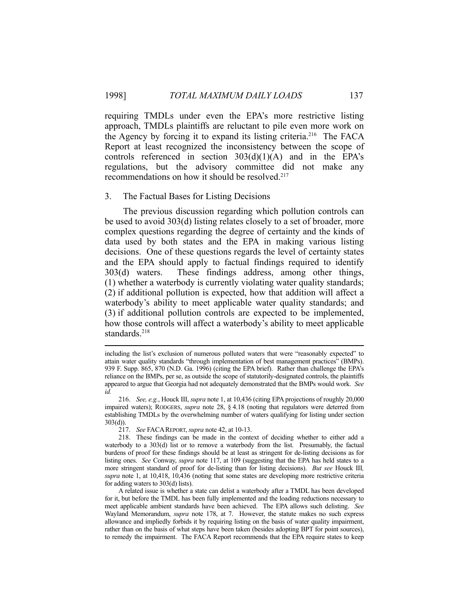requiring TMDLs under even the EPA's more restrictive listing approach, TMDLs plaintiffs are reluctant to pile even more work on the Agency by forcing it to expand its listing criteria.216 The FACA Report at least recognized the inconsistency between the scope of controls referenced in section  $303(d)(1)(A)$  and in the EPA's regulations, but the advisory committee did not make any recommendations on how it should be resolved.<sup>217</sup>

#### 3. The Factual Bases for Listing Decisions

 The previous discussion regarding which pollution controls can be used to avoid 303(d) listing relates closely to a set of broader, more complex questions regarding the degree of certainty and the kinds of data used by both states and the EPA in making various listing decisions. One of these questions regards the level of certainty states and the EPA should apply to factual findings required to identify 303(d) waters. These findings address, among other things, (1) whether a waterbody is currently violating water quality standards; (2) if additional pollution is expected, how that addition will affect a waterbody's ability to meet applicable water quality standards; and (3) if additional pollution controls are expected to be implemented, how those controls will affect a waterbody's ability to meet applicable standards.<sup>218</sup>

including the list's exclusion of numerous polluted waters that were "reasonably expected" to attain water quality standards "through implementation of best management practices" (BMPs). 939 F. Supp. 865, 870 (N.D. Ga. 1996) (citing the EPA brief). Rather than challenge the EPA's reliance on the BMPs, per se, as outside the scope of statutorily-designated controls, the plaintiffs appeared to argue that Georgia had not adequately demonstrated that the BMPs would work. *See id.*

 <sup>216.</sup> *See, e.g.*, Houck III, *supra* note 1, at 10,436 (citing EPA projections of roughly 20,000 impaired waters); RODGERS, *supra* note 28, § 4.18 (noting that regulators were deterred from establishing TMDLs by the overwhelming number of waters qualifying for listing under section  $303(d)$ ).

 <sup>217.</sup> *See* FACAREPORT, *supra* note 42, at 10-13.

 <sup>218.</sup> These findings can be made in the context of deciding whether to either add a waterbody to a 303(d) list or to remove a waterbody from the list. Presumably, the factual burdens of proof for these findings should be at least as stringent for de-listing decisions as for listing ones. *See* Conway, *supra* note 117, at 109 (suggesting that the EPA has held states to a more stringent standard of proof for de-listing than for listing decisions). *But see* Houck III*, supra* note 1, at 10,418, 10,436 (noting that some states are developing more restrictive criteria for adding waters to 303(d) lists).

A related issue is whether a state can delist a waterbody after a TMDL has been developed for it, but before the TMDL has been fully implemented and the loading reductions necessary to meet applicable ambient standards have been achieved. The EPA allows such delisting. *See*  Wayland Memorandum, *supra* note 178, at 7. However, the statute makes no such express allowance and impliedly forbids it by requiring listing on the basis of water quality impairment, rather than on the basis of what steps have been taken (besides adopting BPT for point sources), to remedy the impairment. The FACA Report recommends that the EPA require states to keep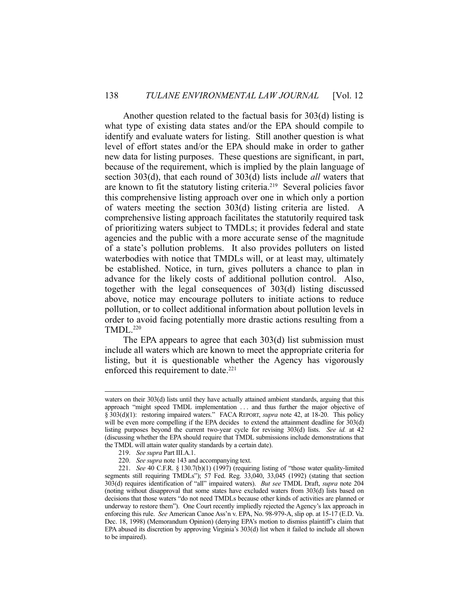Another question related to the factual basis for 303(d) listing is what type of existing data states and/or the EPA should compile to identify and evaluate waters for listing. Still another question is what level of effort states and/or the EPA should make in order to gather new data for listing purposes. These questions are significant, in part, because of the requirement, which is implied by the plain language of section 303(d), that each round of 303(d) lists include *all* waters that are known to fit the statutory listing criteria.219 Several policies favor this comprehensive listing approach over one in which only a portion of waters meeting the section 303(d) listing criteria are listed. A comprehensive listing approach facilitates the statutorily required task of prioritizing waters subject to TMDLs; it provides federal and state agencies and the public with a more accurate sense of the magnitude of a state's pollution problems. It also provides polluters on listed waterbodies with notice that TMDLs will, or at least may, ultimately be established. Notice, in turn, gives polluters a chance to plan in advance for the likely costs of additional pollution control. Also, together with the legal consequences of 303(d) listing discussed above, notice may encourage polluters to initiate actions to reduce pollution, or to collect additional information about pollution levels in order to avoid facing potentially more drastic actions resulting from a TMDL.220

 The EPA appears to agree that each 303(d) list submission must include all waters which are known to meet the appropriate criteria for listing, but it is questionable whether the Agency has vigorously enforced this requirement to date.<sup>221</sup>

waters on their 303(d) lists until they have actually attained ambient standards, arguing that this approach "might speed TMDL implementation . . . and thus further the major objective of § 303(d)(1): restoring impaired waters." FACA REPORT, *supra* note 42, at 18-20. This policy will be even more compelling if the EPA decides to extend the attainment deadline for 303(d) listing purposes beyond the current two-year cycle for revising 303(d) lists. *See id.* at 42 (discussing whether the EPA should require that TMDL submissions include demonstrations that the TMDL will attain water quality standards by a certain date).

 <sup>219.</sup> *See supra* Part III.A.1.

 <sup>220.</sup> *See supra* note 143 and accompanying text.

 <sup>221.</sup> *See* 40 C.F.R. § 130.7(b)(1) (1997) (requiring listing of "those water quality-limited segments still requiring TMDLs"); 57 Fed. Reg. 33,040, 33,045 (1992) (stating that section 303(d) requires identification of "all" impaired waters). *But see* TMDL Draft, *supra* note 204 (noting without disapproval that some states have excluded waters from 303(d) lists based on decisions that those waters "do not need TMDLs because other kinds of activities are planned or underway to restore them"). One Court recently impliedly rejected the Agency's lax approach in enforcing this rule. *See* American Canoe Ass'n v. EPA, No. 98-979-A, slip op. at 15-17 (E.D. Va. Dec. 18, 1998) (Memorandum Opinion) (denying EPA's motion to dismiss plaintiff's claim that EPA abused its discretion by approving Virginia's 303(d) list when it failed to include all shown to be impaired).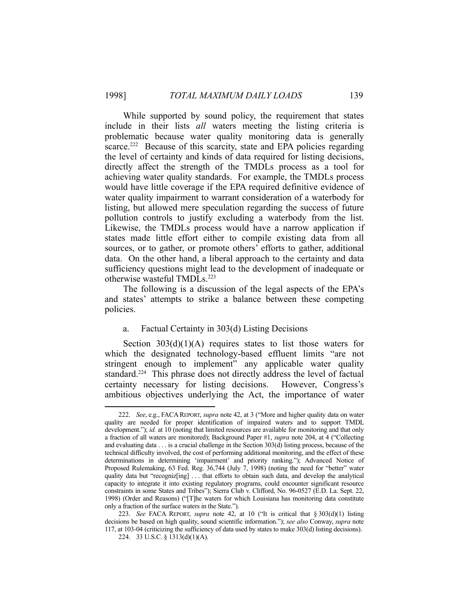1

 While supported by sound policy, the requirement that states include in their lists *all* waters meeting the listing criteria is problematic because water quality monitoring data is generally scarce.<sup>222</sup> Because of this scarcity, state and EPA policies regarding the level of certainty and kinds of data required for listing decisions, directly affect the strength of the TMDLs process as a tool for achieving water quality standards. For example, the TMDLs process would have little coverage if the EPA required definitive evidence of water quality impairment to warrant consideration of a waterbody for listing, but allowed mere speculation regarding the success of future pollution controls to justify excluding a waterbody from the list. Likewise, the TMDLs process would have a narrow application if states made little effort either to compile existing data from all sources, or to gather, or promote others' efforts to gather, additional data. On the other hand, a liberal approach to the certainty and data sufficiency questions might lead to the development of inadequate or otherwise wasteful TMDLs.<sup>223</sup>

 The following is a discussion of the legal aspects of the EPA's and states' attempts to strike a balance between these competing policies.

### a. Factual Certainty in 303(d) Listing Decisions

Section  $303(d)(1)(A)$  requires states to list those waters for which the designated technology-based effluent limits "are not stringent enough to implement" any applicable water quality standard.<sup>224</sup> This phrase does not directly address the level of factual certainty necessary for listing decisions. However, Congress's ambitious objectives underlying the Act, the importance of water

 <sup>222.</sup> *See*, e.g., FACA REPORT, *supra* note 42, at 3 ("More and higher quality data on water quality are needed for proper identification of impaired waters and to support TMDL development."); *id.* at 10 (noting that limited resources are available for monitoring and that only a fraction of all waters are monitored); Background Paper #1, *supra* note 204, at 4 ("Collecting and evaluating data . . . is a crucial challenge in the Section 303(d) listing process, because of the technical difficulty involved, the cost of performing additional monitoring, and the effect of these determinations in determining 'impairment' and priority ranking."); Advanced Notice of Proposed Rulemaking, 63 Fed. Reg. 36,744 (July 7, 1998) (noting the need for "better" water quality data but "recogniz[ing] . . . that efforts to obtain such data, and develop the analytical capacity to integrate it into existing regulatory programs, could encounter significant resource constraints in some States and Tribes"); Sierra Club v. Clifford, No. 96-0527 (E.D. La. Sept. 22, 1998) (Order and Reasons) ("[T]he waters for which Louisiana has monitoring data constitute only a fraction of the surface waters in the State.").

 <sup>223.</sup> *See* FACA REPORT, *supra* note 42, at 10 ("It is critical that § 303(d)(1) listing decisions be based on high quality, sound scientific information."); *see also* Conway, *supra* note 117, at 103-04 (criticizing the sufficiency of data used by states to make 303(d) listing decisions).

 <sup>224. 33</sup> U.S.C. § 1313(d)(1)(A).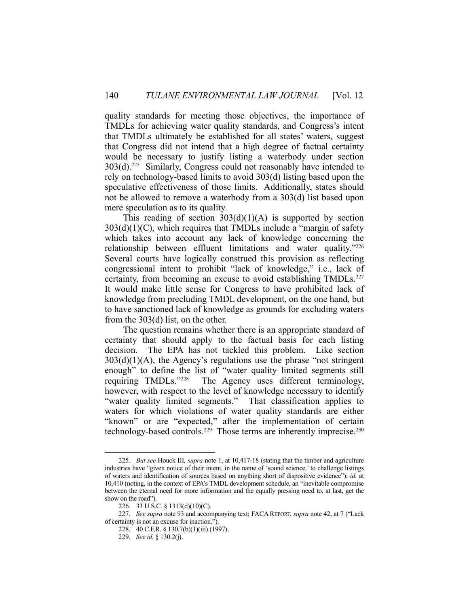quality standards for meeting those objectives, the importance of TMDLs for achieving water quality standards, and Congress's intent that TMDLs ultimately be established for all states' waters, suggest that Congress did not intend that a high degree of factual certainty would be necessary to justify listing a waterbody under section  $303(d).^{225}$  Similarly, Congress could not reasonably have intended to rely on technology-based limits to avoid 303(d) listing based upon the speculative effectiveness of those limits. Additionally, states should not be allowed to remove a waterbody from a 303(d) list based upon mere speculation as to its quality.

This reading of section  $303(d)(1)(A)$  is supported by section  $303(d)(1)(C)$ , which requires that TMDLs include a "margin of safety" which takes into account any lack of knowledge concerning the relationship between effluent limitations and water quality."226 Several courts have logically construed this provision as reflecting congressional intent to prohibit "lack of knowledge," i.e., lack of certainty, from becoming an excuse to avoid establishing TMDLs.<sup>227</sup> It would make little sense for Congress to have prohibited lack of knowledge from precluding TMDL development, on the one hand, but to have sanctioned lack of knowledge as grounds for excluding waters from the 303(d) list, on the other.

 The question remains whether there is an appropriate standard of certainty that should apply to the factual basis for each listing decision. The EPA has not tackled this problem. Like section  $303(d)(1)(A)$ , the Agency's regulations use the phrase "not stringent enough" to define the list of "water quality limited segments still requiring TMDLs."228 The Agency uses different terminology, however, with respect to the level of knowledge necessary to identify "water quality limited segments." That classification applies to waters for which violations of water quality standards are either "known" or are "expected," after the implementation of certain technology-based controls.<sup>229</sup> Those terms are inherently imprecise.<sup>230</sup>

 <sup>225.</sup> *But see* Houck III*, supra* note 1, at 10,417-18 (stating that the timber and agriculture industries have "given notice of their intent, in the name of 'sound science,' to challenge listings of waters and identification of sources based on anything short of dispositive evidence"); *id.* at 10,410 (noting, in the context of EPA's TMDL development schedule, an "inevitable compromise between the eternal need for more information and the equally pressing need to, at last, get the show on the road").

 <sup>226. 33</sup> U.S.C. § 1313(d)(10)(C).

 <sup>227.</sup> *See supra* note 93 and accompanying text; FACAREPORT, *supra* note 42, at 7 ("Lack of certainty is not an excuse for inaction.").

 <sup>228. 40</sup> C.F.R. § 130.7(b)(1)(iii) (1997).

 <sup>229.</sup> *See id.* § 130.2(j).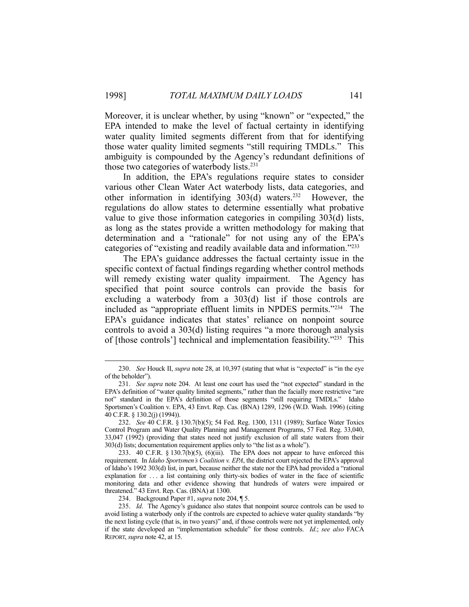Moreover, it is unclear whether, by using "known" or "expected," the EPA intended to make the level of factual certainty in identifying water quality limited segments different from that for identifying those water quality limited segments "still requiring TMDLs." This ambiguity is compounded by the Agency's redundant definitions of those two categories of waterbody lists.<sup>231</sup>

 In addition, the EPA's regulations require states to consider various other Clean Water Act waterbody lists, data categories, and other information in identifying 303(d) waters.232 However, the regulations do allow states to determine essentially what probative value to give those information categories in compiling 303(d) lists, as long as the states provide a written methodology for making that determination and a "rationale" for not using any of the EPA's categories of "existing and readily available data and information."233

 The EPA's guidance addresses the factual certainty issue in the specific context of factual findings regarding whether control methods will remedy existing water quality impairment. The Agency has specified that point source controls can provide the basis for excluding a waterbody from a 303(d) list if those controls are included as "appropriate effluent limits in NPDES permits."234 The EPA's guidance indicates that states' reliance on nonpoint source controls to avoid a 303(d) listing requires "a more thorough analysis of [those controls'] technical and implementation feasibility."235 This

 <sup>230.</sup> *See* Houck II, *supra* note 28, at 10,397 (stating that what is "expected" is "in the eye of the beholder").

 <sup>231.</sup> *See supra* note 204. At least one court has used the "not expected" standard in the EPA's definition of "water quality limited segments," rather than the facially more restrictive "are not" standard in the EPA's definition of those segments "still requiring TMDLs." Idaho Sportsmen's Coalition v. EPA, 43 Envt. Rep. Cas. (BNA) 1289, 1296 (W.D. Wash. 1996) (citing 40 C.F.R. § 130.2(j) (1994)).

 <sup>232.</sup> *See* 40 C.F.R. § 130.7(b)(5); 54 Fed. Reg. 1300, 1311 (1989); Surface Water Toxics Control Program and Water Quality Planning and Management Programs, 57 Fed. Reg. 33,040, 33,047 (1992) (providing that states need not justify exclusion of all state waters from their 303(d) lists; documentation requirement applies only to "the list as a whole").

<sup>233. 40</sup> C.F.R. § 130.7(b)(5),  $(6)(iii)$ . The EPA does not appear to have enforced this requirement. In *Idaho Sportsmen's Coalition v. EPA*, the district court rejected the EPA's approval of Idaho's 1992 303(d) list, in part, because neither the state nor the EPA had provided a "rational explanation for . . . a list containing only thirty-six bodies of water in the face of scientific monitoring data and other evidence showing that hundreds of waters were impaired or threatened." 43 Envt. Rep. Cas. (BNA) at 1300.

 <sup>234.</sup> Background Paper #1, *supra* note 204, ¶ 5.

 <sup>235.</sup> *Id*. The Agency's guidance also states that nonpoint source controls can be used to avoid listing a waterbody only if the controls are expected to achieve water quality standards "by the next listing cycle (that is, in two years)" and, if those controls were not yet implemented, only if the state developed an "implementation schedule" for those controls. *Id*.; *see also* FACA REPORT, *supra* note 42, at 15.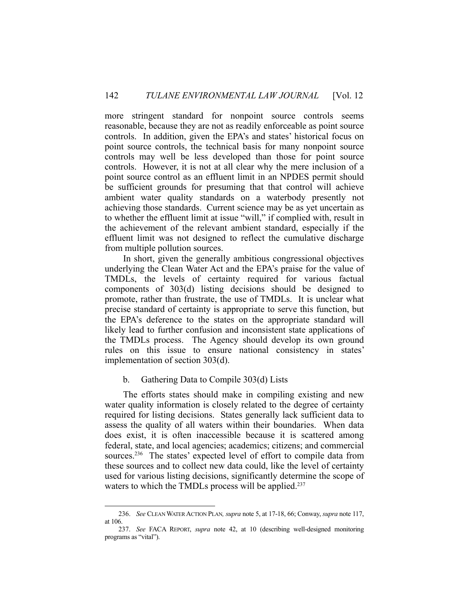more stringent standard for nonpoint source controls seems reasonable, because they are not as readily enforceable as point source controls. In addition, given the EPA's and states' historical focus on point source controls, the technical basis for many nonpoint source controls may well be less developed than those for point source controls. However, it is not at all clear why the mere inclusion of a point source control as an effluent limit in an NPDES permit should be sufficient grounds for presuming that that control will achieve ambient water quality standards on a waterbody presently not achieving those standards. Current science may be as yet uncertain as to whether the effluent limit at issue "will," if complied with, result in the achievement of the relevant ambient standard, especially if the effluent limit was not designed to reflect the cumulative discharge from multiple pollution sources.

 In short, given the generally ambitious congressional objectives underlying the Clean Water Act and the EPA's praise for the value of TMDLs, the levels of certainty required for various factual components of 303(d) listing decisions should be designed to promote, rather than frustrate, the use of TMDLs. It is unclear what precise standard of certainty is appropriate to serve this function, but the EPA's deference to the states on the appropriate standard will likely lead to further confusion and inconsistent state applications of the TMDLs process. The Agency should develop its own ground rules on this issue to ensure national consistency in states' implementation of section 303(d).

## b. Gathering Data to Compile 303(d) Lists

<u>.</u>

 The efforts states should make in compiling existing and new water quality information is closely related to the degree of certainty required for listing decisions. States generally lack sufficient data to assess the quality of all waters within their boundaries. When data does exist, it is often inaccessible because it is scattered among federal, state, and local agencies; academics; citizens; and commercial sources.<sup>236</sup> The states' expected level of effort to compile data from these sources and to collect new data could, like the level of certainty used for various listing decisions, significantly determine the scope of waters to which the TMDLs process will be applied.<sup>237</sup>

 <sup>236.</sup> *See* CLEAN WATER ACTION PLAN*, supra* note 5, at 17-18, 66; Conway, *supra* note 117, at 106.

 <sup>237.</sup> *See* FACA REPORT, *supra* note 42, at 10 (describing well-designed monitoring programs as "vital").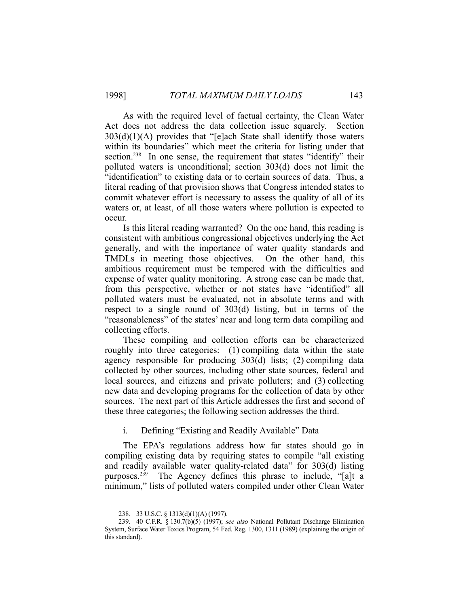As with the required level of factual certainty, the Clean Water Act does not address the data collection issue squarely. Section  $303(d)(1)(A)$  provides that "[e]ach State shall identify those waters within its boundaries" which meet the criteria for listing under that section.<sup>238</sup> In one sense, the requirement that states "identify" their polluted waters is unconditional; section 303(d) does not limit the "identification" to existing data or to certain sources of data. Thus, a literal reading of that provision shows that Congress intended states to commit whatever effort is necessary to assess the quality of all of its waters or, at least, of all those waters where pollution is expected to occur.

 Is this literal reading warranted? On the one hand, this reading is consistent with ambitious congressional objectives underlying the Act generally, and with the importance of water quality standards and TMDLs in meeting those objectives. On the other hand, this ambitious requirement must be tempered with the difficulties and expense of water quality monitoring. A strong case can be made that, from this perspective, whether or not states have "identified" all polluted waters must be evaluated, not in absolute terms and with respect to a single round of 303(d) listing, but in terms of the "reasonableness" of the states' near and long term data compiling and collecting efforts.

 These compiling and collection efforts can be characterized roughly into three categories: (1) compiling data within the state agency responsible for producing 303(d) lists; (2) compiling data collected by other sources, including other state sources, federal and local sources, and citizens and private polluters; and (3) collecting new data and developing programs for the collection of data by other sources. The next part of this Article addresses the first and second of these three categories; the following section addresses the third.

#### i. Defining "Existing and Readily Available" Data

 The EPA's regulations address how far states should go in compiling existing data by requiring states to compile "all existing and readily available water quality-related data" for 303(d) listing purposes.239 The Agency defines this phrase to include, "[a]t a minimum," lists of polluted waters compiled under other Clean Water

 <sup>238. 33</sup> U.S.C. § 1313(d)(1)(A) (1997).

 <sup>239. 40</sup> C.F.R. § 130.7(b)(5) (1997); *see also* National Pollutant Discharge Elimination System, Surface Water Toxics Program, 54 Fed. Reg. 1300, 1311 (1989) (explaining the origin of this standard).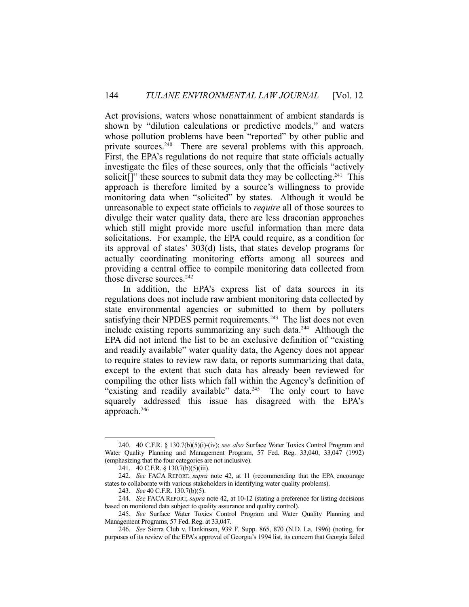Act provisions, waters whose nonattainment of ambient standards is shown by "dilution calculations or predictive models," and waters whose pollution problems have been "reported" by other public and private sources.<sup>240</sup> There are several problems with this approach. First, the EPA's regulations do not require that state officials actually investigate the files of these sources, only that the officials "actively solicit<sup>[]"</sup> these sources to submit data they may be collecting.<sup>241</sup> This approach is therefore limited by a source's willingness to provide monitoring data when "solicited" by states. Although it would be unreasonable to expect state officials to *require* all of those sources to divulge their water quality data, there are less draconian approaches which still might provide more useful information than mere data solicitations. For example, the EPA could require, as a condition for its approval of states' 303(d) lists, that states develop programs for actually coordinating monitoring efforts among all sources and providing a central office to compile monitoring data collected from those diverse sources.<sup>242</sup>

 In addition, the EPA's express list of data sources in its regulations does not include raw ambient monitoring data collected by state environmental agencies or submitted to them by polluters satisfying their NPDES permit requirements.<sup>243</sup> The list does not even include existing reports summarizing any such data.<sup>244</sup> Although the EPA did not intend the list to be an exclusive definition of "existing and readily available" water quality data, the Agency does not appear to require states to review raw data, or reports summarizing that data, except to the extent that such data has already been reviewed for compiling the other lists which fall within the Agency's definition of "existing and readily available" data.<sup>245</sup> The only court to have squarely addressed this issue has disagreed with the EPA's approach.246

 <sup>240. 40</sup> C.F.R. § 130.7(b)(5)(i)-(iv); *see also* Surface Water Toxics Control Program and Water Quality Planning and Management Program, 57 Fed. Reg. 33,040, 33,047 (1992) (emphasizing that the four categories are not inclusive).

 <sup>241. 40</sup> C.F.R. § 130.7(b)(5)(iii).

 <sup>242.</sup> *See* FACA REPORT, *supra* note 42, at 11 (recommending that the EPA encourage states to collaborate with various stakeholders in identifying water quality problems).

 <sup>243.</sup> *See* 40 C.F.R. 130.7(b)(5).

 <sup>244.</sup> *See* FACA REPORT, *supra* note 42, at 10-12 (stating a preference for listing decisions based on monitored data subject to quality assurance and quality control).

 <sup>245.</sup> *See* Surface Water Toxics Control Program and Water Quality Planning and Management Programs, 57 Fed. Reg. at 33,047.

 <sup>246.</sup> *See* Sierra Club v. Hankinson, 939 F. Supp. 865, 870 (N.D. La. 1996) (noting, for purposes of its review of the EPA's approval of Georgia's 1994 list, its concern that Georgia failed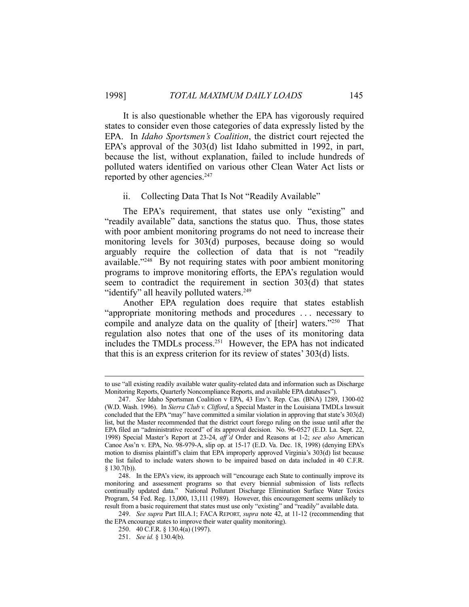It is also questionable whether the EPA has vigorously required states to consider even those categories of data expressly listed by the EPA. In *Idaho Sportsmen's Coalition*, the district court rejected the EPA's approval of the 303(d) list Idaho submitted in 1992, in part, because the list, without explanation, failed to include hundreds of polluted waters identified on various other Clean Water Act lists or reported by other agencies.<sup>247</sup>

## ii. Collecting Data That Is Not "Readily Available"

 The EPA's requirement, that states use only "existing" and "readily available" data, sanctions the status quo. Thus, those states with poor ambient monitoring programs do not need to increase their monitoring levels for 303(d) purposes, because doing so would arguably require the collection of data that is not "readily available."248 By not requiring states with poor ambient monitoring programs to improve monitoring efforts, the EPA's regulation would seem to contradict the requirement in section 303(d) that states "identify" all heavily polluted waters.<sup>249</sup>

 Another EPA regulation does require that states establish "appropriate monitoring methods and procedures . . . necessary to compile and analyze data on the quality of [their] waters."250 That regulation also notes that one of the uses of its monitoring data includes the TMDLs process.251 However, the EPA has not indicated that this is an express criterion for its review of states' 303(d) lists.

to use "all existing readily available water quality-related data and information such as Discharge Monitoring Reports, Quarterly Noncompliance Reports, and available EPA databases").

 <sup>247.</sup> *See* Idaho Sportsman Coalition v EPA, 43 Env't. Rep. Cas. (BNA) 1289, 1300-02 (W.D. Wash. 1996). In *Sierra Club v. Clifford*, a Special Master in the Louisiana TMDLs lawsuit concluded that the EPA "may" have committed a similar violation in approving that state's 303(d) list, but the Master recommended that the district court forego ruling on the issue until after the EPA filed an "administrative record" of its approval decision. No. 96-0527 (E.D. La. Sept. 22, 1998) Special Master's Report at 23-24, *aff'd* Order and Reasons at 1-2; *see also* American Canoe Ass'n v. EPA, No. 98-979-A, slip op. at 15-17 (E.D. Va. Dec. 18, 1998) (denying EPA's motion to dismiss plaintiff's claim that EPA improperly approved Virginia's 303(d) list because the list failed to include waters shown to be impaired based on data included in 40 C.F.R. § 130.7(b)).

 <sup>248.</sup> In the EPA's view, its approach will "encourage each State to continually improve its monitoring and assessment programs so that every biennial submission of lists reflects continually updated data." National Pollutant Discharge Elimination Surface Water Toxics Program, 54 Fed. Reg. 13,000, 13,111 (1989). However, this encouragement seems unlikely to result from a basic requirement that states must use only "existing" and "readily" available data.

 <sup>249.</sup> *See supra* Part III.A.1; FACA REPORT, *supra* note 42, at 11-12 (recommending that the EPA encourage states to improve their water quality monitoring).

 <sup>250. 40</sup> C.F.R. § 130.4(a) (1997).

 <sup>251.</sup> *See id.* § 130.4(b).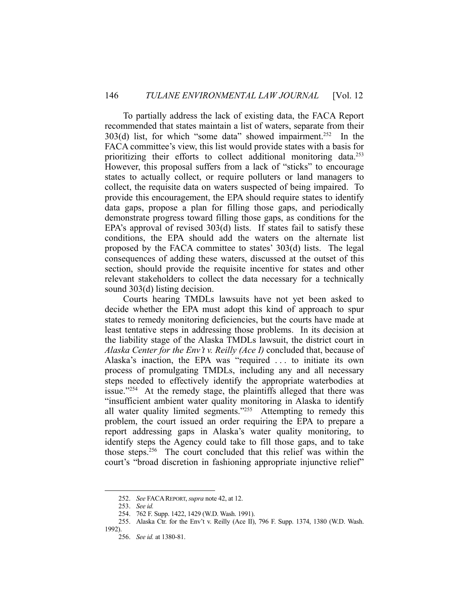To partially address the lack of existing data, the FACA Report recommended that states maintain a list of waters, separate from their  $303(d)$  list, for which "some data" showed impairment.<sup>252</sup> In the FACA committee's view, this list would provide states with a basis for prioritizing their efforts to collect additional monitoring data.<sup>253</sup> However, this proposal suffers from a lack of "sticks" to encourage states to actually collect, or require polluters or land managers to collect, the requisite data on waters suspected of being impaired. To provide this encouragement, the EPA should require states to identify data gaps, propose a plan for filling those gaps, and periodically demonstrate progress toward filling those gaps, as conditions for the EPA's approval of revised 303(d) lists. If states fail to satisfy these conditions, the EPA should add the waters on the alternate list proposed by the FACA committee to states' 303(d) lists. The legal consequences of adding these waters, discussed at the outset of this section, should provide the requisite incentive for states and other relevant stakeholders to collect the data necessary for a technically sound 303(d) listing decision.

 Courts hearing TMDLs lawsuits have not yet been asked to decide whether the EPA must adopt this kind of approach to spur states to remedy monitoring deficiencies, but the courts have made at least tentative steps in addressing those problems. In its decision at the liability stage of the Alaska TMDLs lawsuit, the district court in *Alaska Center for the Env't v. Reilly (Ace I)* concluded that, because of Alaska's inaction, the EPA was "required . . . to initiate its own process of promulgating TMDLs, including any and all necessary steps needed to effectively identify the appropriate waterbodies at issue."254 At the remedy stage, the plaintiffs alleged that there was "insufficient ambient water quality monitoring in Alaska to identify all water quality limited segments."255 Attempting to remedy this problem, the court issued an order requiring the EPA to prepare a report addressing gaps in Alaska's water quality monitoring, to identify steps the Agency could take to fill those gaps, and to take those steps.256 The court concluded that this relief was within the court's "broad discretion in fashioning appropriate injunctive relief"

 <sup>252.</sup> *See* FACAREPORT, *supra* note 42, at 12.

 <sup>253.</sup> *See id.*

 <sup>254. 762</sup> F. Supp. 1422, 1429 (W.D. Wash. 1991).

 <sup>255.</sup> Alaska Ctr. for the Env't v. Reilly (Ace II), 796 F. Supp. 1374, 1380 (W.D. Wash. 1992).

 <sup>256.</sup> *See id.* at 1380-81.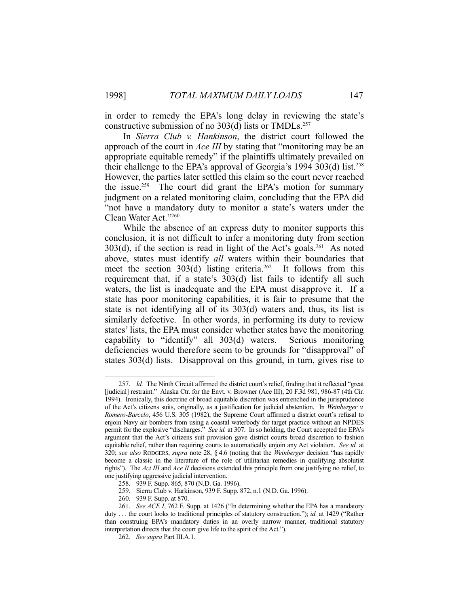in order to remedy the EPA's long delay in reviewing the state's constructive submission of no  $303(d)$  lists or TMDLs.<sup>257</sup>

 In *Sierra Club v. Hankinson*, the district court followed the approach of the court in *Ace III* by stating that "monitoring may be an appropriate equitable remedy" if the plaintiffs ultimately prevailed on their challenge to the EPA's approval of Georgia's 1994 303(d) list.<sup>258</sup> However, the parties later settled this claim so the court never reached the issue.259 The court did grant the EPA's motion for summary judgment on a related monitoring claim, concluding that the EPA did "not have a mandatory duty to monitor a state's waters under the Clean Water Act."260

 While the absence of an express duty to monitor supports this conclusion, it is not difficult to infer a monitoring duty from section  $303(d)$ , if the section is read in light of the Act's goals.<sup>261</sup> As noted above, states must identify *all* waters within their boundaries that meet the section  $303(d)$  listing criteria.<sup>262</sup> It follows from this requirement that, if a state's 303(d) list fails to identify all such waters, the list is inadequate and the EPA must disapprove it. If a state has poor monitoring capabilities, it is fair to presume that the state is not identifying all of its 303(d) waters and, thus, its list is similarly defective. In other words, in performing its duty to review states' lists, the EPA must consider whether states have the monitoring capability to "identify" all 303(d) waters. Serious monitoring deficiencies would therefore seem to be grounds for "disapproval" of states 303(d) lists. Disapproval on this ground, in turn, gives rise to

 <sup>257.</sup> *Id.* The Ninth Circuit affirmed the district court's relief, finding that it reflected "great [judicial] restraint." Alaska Ctr. for the Envt. v. Browner (Ace III), 20 F.3d 981, 986-87 (4th Cir. 1994). Ironically, this doctrine of broad equitable discretion was entrenched in the jurisprudence of the Act's citizens suits, originally, as a justification for judicial abstention. In *Weinberger v. Romero-Barcelo*, 456 U.S. 305 (1982), the Supreme Court affirmed a district court's refusal to enjoin Navy air bombers from using a coastal waterbody for target practice without an NPDES permit for the explosive "discharges." *See id.* at 307. In so holding, the Court accepted the EPA's argument that the Act's citizens suit provision gave district courts broad discretion to fashion equitable relief, rather than requiring courts to automatically enjoin any Act violation. *See id.* at 320; *see also* RODGERS, *supra* note 28, § 4.6 (noting that the *Weinberger* decision "has rapidly become a classic in the literature of the role of utilitarian remedies in qualifying absolutist rights"). The *Act III* and *Ace II* decisions extended this principle from one justifying no relief, to one justifying aggressive judicial intervention.

 <sup>258. 939</sup> F. Supp. 865, 870 (N.D. Ga. 1996).

 <sup>259.</sup> Sierra Club v. Harkinson, 939 F. Supp. 872, n.1 (N.D. Ga. 1996).

 <sup>260. 939</sup> F. Supp. at 870.

 <sup>261.</sup> *See ACE I*, 762 F. Supp. at 1426 ("In determining whether the EPA has a mandatory duty . . . the court looks to traditional principles of statutory construction."); *id.* at 1429 ("Rather than construing EPA's mandatory duties in an overly narrow manner, traditional statutory interpretation directs that the court give life to the spirit of the Act.").

 <sup>262.</sup> *See supra* Part III.A.1.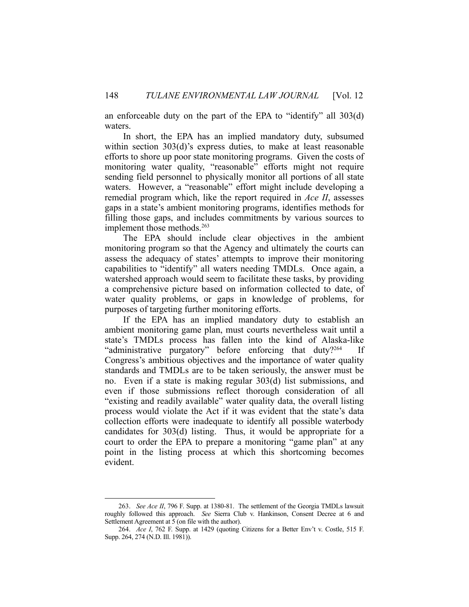an enforceable duty on the part of the EPA to "identify" all 303(d) waters.

 In short, the EPA has an implied mandatory duty, subsumed within section 303(d)'s express duties, to make at least reasonable efforts to shore up poor state monitoring programs. Given the costs of monitoring water quality, "reasonable" efforts might not require sending field personnel to physically monitor all portions of all state waters. However, a "reasonable" effort might include developing a remedial program which, like the report required in *Ace II*, assesses gaps in a state's ambient monitoring programs, identifies methods for filling those gaps, and includes commitments by various sources to implement those methods.<sup>263</sup>

 The EPA should include clear objectives in the ambient monitoring program so that the Agency and ultimately the courts can assess the adequacy of states' attempts to improve their monitoring capabilities to "identify" all waters needing TMDLs. Once again, a watershed approach would seem to facilitate these tasks, by providing a comprehensive picture based on information collected to date, of water quality problems, or gaps in knowledge of problems, for purposes of targeting further monitoring efforts.

 If the EPA has an implied mandatory duty to establish an ambient monitoring game plan, must courts nevertheless wait until a state's TMDLs process has fallen into the kind of Alaska-like "administrative purgatory" before enforcing that duty? $264$ Congress's ambitious objectives and the importance of water quality standards and TMDLs are to be taken seriously, the answer must be no. Even if a state is making regular 303(d) list submissions, and even if those submissions reflect thorough consideration of all "existing and readily available" water quality data, the overall listing process would violate the Act if it was evident that the state's data collection efforts were inadequate to identify all possible waterbody candidates for 303(d) listing. Thus, it would be appropriate for a court to order the EPA to prepare a monitoring "game plan" at any point in the listing process at which this shortcoming becomes evident.

 <sup>263.</sup> *See Ace II*, 796 F. Supp. at 1380-81. The settlement of the Georgia TMDLs lawsuit roughly followed this approach. *See* Sierra Club v. Hankinson, Consent Decree at 6 and Settlement Agreement at 5 (on file with the author).

 <sup>264.</sup> *Ace I*, 762 F. Supp. at 1429 (quoting Citizens for a Better Env't v. Costle, 515 F. Supp. 264, 274 (N.D. Ill. 1981)).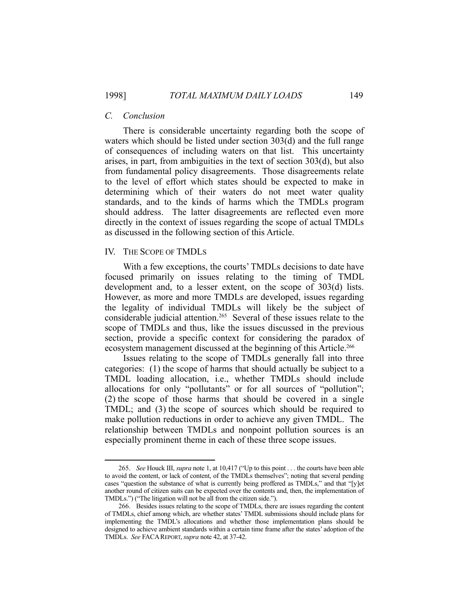1

# *C. Conclusion*

 There is considerable uncertainty regarding both the scope of waters which should be listed under section 303(d) and the full range of consequences of including waters on that list. This uncertainty arises, in part, from ambiguities in the text of section 303(d), but also from fundamental policy disagreements. Those disagreements relate to the level of effort which states should be expected to make in determining which of their waters do not meet water quality standards, and to the kinds of harms which the TMDLs program should address. The latter disagreements are reflected even more directly in the context of issues regarding the scope of actual TMDLs as discussed in the following section of this Article.

#### IV. THE SCOPE OF TMDLS

 With a few exceptions, the courts' TMDLs decisions to date have focused primarily on issues relating to the timing of TMDL development and, to a lesser extent, on the scope of 303(d) lists. However, as more and more TMDLs are developed, issues regarding the legality of individual TMDLs will likely be the subject of considerable judicial attention.265 Several of these issues relate to the scope of TMDLs and thus, like the issues discussed in the previous section, provide a specific context for considering the paradox of ecosystem management discussed at the beginning of this Article.<sup>266</sup>

 Issues relating to the scope of TMDLs generally fall into three categories: (1) the scope of harms that should actually be subject to a TMDL loading allocation, i.e., whether TMDLs should include allocations for only "pollutants" or for all sources of "pollution"; (2) the scope of those harms that should be covered in a single TMDL; and (3) the scope of sources which should be required to make pollution reductions in order to achieve any given TMDL. The relationship between TMDLs and nonpoint pollution sources is an especially prominent theme in each of these three scope issues.

 <sup>265.</sup> *See* Houck III, *supra* note 1, at 10,417 ("Up to this point . . . the courts have been able to avoid the content, or lack of content, of the TMDLs themselves"; noting that several pending cases "question the substance of what is currently being proffered as TMDLs," and that "[y]et another round of citizen suits can be expected over the contents and, then, the implementation of TMDLs.") ("The litigation will not be all from the citizen side.").

 <sup>266.</sup> Besides issues relating to the scope of TMDLs, there are issues regarding the content of TMDLs, chief among which, are whether states' TMDL submissions should include plans for implementing the TMDL's allocations and whether those implementation plans should be designed to achieve ambient standards within a certain time frame after the states' adoption of the TMDLs. *See* FACAREPORT, *supra* note 42, at 37-42.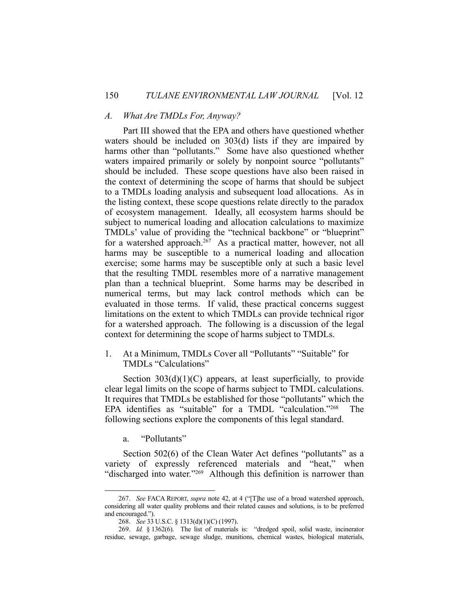#### *A. What Are TMDLs For, Anyway?*

 Part III showed that the EPA and others have questioned whether waters should be included on 303(d) lists if they are impaired by harms other than "pollutants." Some have also questioned whether waters impaired primarily or solely by nonpoint source "pollutants" should be included. These scope questions have also been raised in the context of determining the scope of harms that should be subject to a TMDLs loading analysis and subsequent load allocations. As in the listing context, these scope questions relate directly to the paradox of ecosystem management. Ideally, all ecosystem harms should be subject to numerical loading and allocation calculations to maximize TMDLs' value of providing the "technical backbone" or "blueprint" for a watershed approach.<sup>267</sup> As a practical matter, however, not all harms may be susceptible to a numerical loading and allocation exercise; some harms may be susceptible only at such a basic level that the resulting TMDL resembles more of a narrative management plan than a technical blueprint. Some harms may be described in numerical terms, but may lack control methods which can be evaluated in those terms. If valid, these practical concerns suggest limitations on the extent to which TMDLs can provide technical rigor for a watershed approach. The following is a discussion of the legal context for determining the scope of harms subject to TMDLs.

1. At a Minimum, TMDLs Cover all "Pollutants" "Suitable" for TMDLs "Calculations"

Section  $303(d)(1)(C)$  appears, at least superficially, to provide clear legal limits on the scope of harms subject to TMDL calculations. It requires that TMDLs be established for those "pollutants" which the EPA identifies as "suitable" for a TMDL "calculation."268 The following sections explore the components of this legal standard.

a. "Pollutants"

<u>.</u>

 Section 502(6) of the Clean Water Act defines "pollutants" as a variety of expressly referenced materials and "heat," when "discharged into water."<sup>269</sup> Although this definition is narrower than

 <sup>267.</sup> *See* FACA REPORT, *supra* note 42, at 4 ("[T]he use of a broad watershed approach, considering all water quality problems and their related causes and solutions, is to be preferred and encouraged.").

 <sup>268.</sup> *See* 33 U.S.C. § 1313(d)(1)(C) (1997).

 <sup>269.</sup> *Id.* § 1362(6).The list of materials is: "dredged spoil, solid waste, incinerator residue, sewage, garbage, sewage sludge, munitions, chemical wastes, biological materials,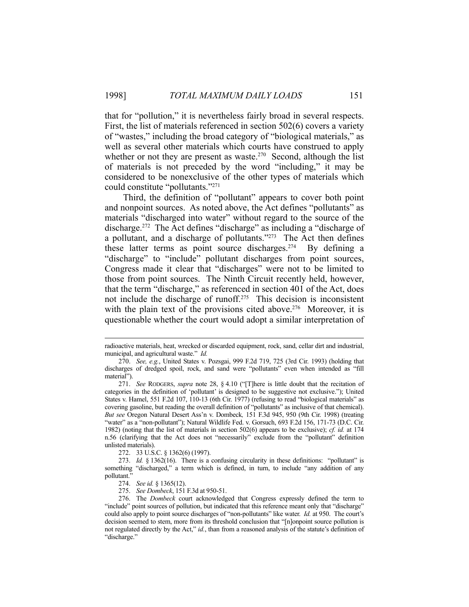that for "pollution," it is nevertheless fairly broad in several respects. First, the list of materials referenced in section 502(6) covers a variety of "wastes," including the broad category of "biological materials," as well as several other materials which courts have construed to apply whether or not they are present as waste.<sup>270</sup> Second, although the list of materials is not preceded by the word "including," it may be considered to be nonexclusive of the other types of materials which could constitute "pollutants."271

 Third, the definition of "pollutant" appears to cover both point and nonpoint sources. As noted above, the Act defines "pollutants" as materials "discharged into water" without regard to the source of the discharge.<sup>272</sup> The Act defines "discharge" as including a "discharge of a pollutant, and a discharge of pollutants." $273$  The Act then defines these latter terms as point source discharges.274 By defining a "discharge" to "include" pollutant discharges from point sources, Congress made it clear that "discharges" were not to be limited to those from point sources. The Ninth Circuit recently held, however, that the term "discharge," as referenced in section 401 of the Act, does not include the discharge of runoff.<sup>275</sup> This decision is inconsistent with the plain text of the provisions cited above.<sup>276</sup> Moreover, it is questionable whether the court would adopt a similar interpretation of

272. 33 U.S.C. § 1362(6) (1997).

radioactive materials, heat, wrecked or discarded equipment, rock, sand, cellar dirt and industrial, municipal, and agricultural waste." *Id.*

 <sup>270.</sup> *See, e.g.*, United States v. Pozsgai, 999 F.2d 719, 725 (3rd Cir. 1993) (holding that discharges of dredged spoil, rock, and sand were "pollutants" even when intended as "fill material").

 <sup>271.</sup> *See* RODGERS, *supra* note 28, § 4.10 ("[T]here is little doubt that the recitation of categories in the definition of 'pollutant' is designed to be suggestive not exclusive."); United States v. Hamel, 551 F.2d 107, 110-13 (6th Cir. 1977) (refusing to read "biological materials" as covering gasoline, but reading the overall definition of "pollutants" as inclusive of that chemical). *But see* Oregon Natural Desert Ass'n v. Dombeck*,* 151 F.3d 945, 950 (9th Cir. 1998) (treating "water" as a "non-pollutant"); Natural Wildlife Fed. v. Gorsuch, 693 F.2d 156, 171-73 (D.C. Cir. 1982) (noting that the list of materials in section 502(6) appears to be exclusive); *cf. id.* at 174 n.56 (clarifying that the Act does not "necessarily" exclude from the "pollutant" definition unlisted materials).

 <sup>273.</sup> *Id.* § 1362(16). There is a confusing circularity in these definitions: "pollutant" is something "discharged," a term which is defined, in turn, to include "any addition of any pollutant."

 <sup>274.</sup> *See id.* § 1365(12).

 <sup>275.</sup> *See Dombeck*, 151 F.3d at 950-51.

 <sup>276.</sup> The *Dombeck* court acknowledged that Congress expressly defined the term to "include" point sources of pollution, but indicated that this reference meant only that "discharge" could also apply to point source discharges of "non-pollutants" like water. *Id.* at 950. The court's decision seemed to stem, more from its threshold conclusion that "[n]onpoint source pollution is not regulated directly by the Act," *id.*, than from a reasoned analysis of the statute's definition of "discharge."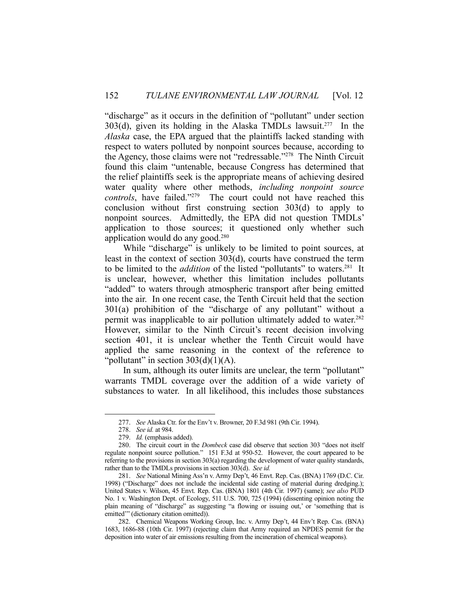"discharge" as it occurs in the definition of "pollutant" under section 303(d), given its holding in the Alaska TMDLs lawsuit.277 In the *Alaska* case, the EPA argued that the plaintiffs lacked standing with respect to waters polluted by nonpoint sources because, according to the Agency, those claims were not "redressable."278 The Ninth Circuit found this claim "untenable, because Congress has determined that the relief plaintiffs seek is the appropriate means of achieving desired water quality where other methods, *including nonpoint source controls*, have failed."279 The court could not have reached this conclusion without first construing section 303(d) to apply to nonpoint sources. Admittedly, the EPA did not question TMDLs' application to those sources; it questioned only whether such application would do any good.<sup>280</sup>

While "discharge" is unlikely to be limited to point sources, at least in the context of section 303(d), courts have construed the term to be limited to the *addition* of the listed "pollutants" to waters.281 It is unclear, however, whether this limitation includes pollutants "added" to waters through atmospheric transport after being emitted into the air. In one recent case, the Tenth Circuit held that the section  $301(a)$  prohibition of the "discharge of any pollutant" without a permit was inapplicable to air pollution ultimately added to water.<sup>282</sup> However, similar to the Ninth Circuit's recent decision involving section 401, it is unclear whether the Tenth Circuit would have applied the same reasoning in the context of the reference to "pollutant" in section  $303(d)(1)(A)$ .

In sum, although its outer limits are unclear, the term "pollutant" warrants TMDL coverage over the addition of a wide variety of substances to water. In all likelihood, this includes those substances

 <sup>277.</sup> *See* Alaska Ctr. for the Env't v. Browner, 20 F.3d 981 (9th Cir. 1994).

 <sup>278.</sup> *See id.* at 984.

 <sup>279.</sup> *Id.* (emphasis added).

 <sup>280.</sup> The circuit court in the *Dombeck* case did observe that section 303 "does not itself regulate nonpoint source pollution." 151 F.3d at 950-52. However, the court appeared to be referring to the provisions in section 303(a) regarding the development of water quality standards, rather than to the TMDLs provisions in section 303(d). *See id.* 

 <sup>281.</sup> *See* National Mining Ass'n v. Army Dep't, 46 Envt. Rep. Cas. (BNA) 1769 (D.C. Cir. 1998) ("Discharge" does not include the incidental side casting of material during dredging.); United States v. Wilson, 45 Envt. Rep. Cas. (BNA) 1801 (4th Cir. 1997) (same); *see also* PUD No. 1 v. Washington Dept. of Ecology, 511 U.S. 700, 725 (1994) (dissenting opinion noting the plain meaning of "discharge" as suggesting "a flowing or issuing out,' or 'something that is emitted'" (dictionary citation omitted)).

 <sup>282.</sup> Chemical Weapons Working Group, Inc. v. Army Dep't, 44 Env't Rep. Cas. (BNA) 1683, 1686-88 (10th Cir. 1997) (rejecting claim that Army required an NPDES permit for the deposition into water of air emissions resulting from the incineration of chemical weapons).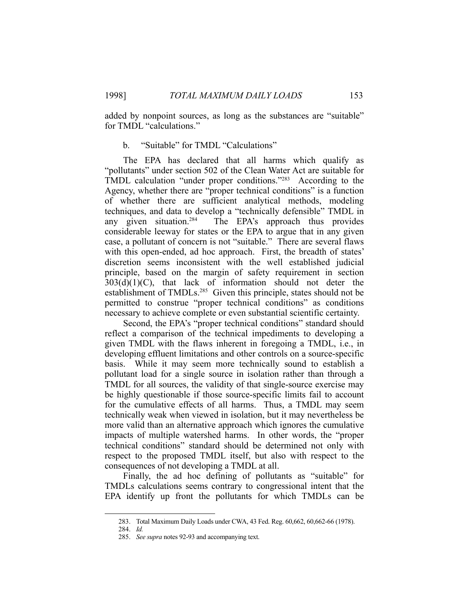added by nonpoint sources, as long as the substances are "suitable" for TMDL "calculations."

### b. "Suitable" for TMDL "Calculations"

 The EPA has declared that all harms which qualify as "pollutants" under section 502 of the Clean Water Act are suitable for TMDL calculation "under proper conditions."283 According to the Agency, whether there are "proper technical conditions" is a function of whether there are sufficient analytical methods, modeling techniques, and data to develop a "technically defensible" TMDL in any given situation.284 The EPA's approach thus provides considerable leeway for states or the EPA to argue that in any given case, a pollutant of concern is not "suitable." There are several flaws with this open-ended, ad hoc approach. First, the breadth of states' discretion seems inconsistent with the well established judicial principle, based on the margin of safety requirement in section  $303(d)(1)(C)$ , that lack of information should not deter the establishment of TMDLs.<sup>285</sup> Given this principle, states should not be permitted to construe "proper technical conditions" as conditions necessary to achieve complete or even substantial scientific certainty.

 Second, the EPA's "proper technical conditions" standard should reflect a comparison of the technical impediments to developing a given TMDL with the flaws inherent in foregoing a TMDL, i.e., in developing effluent limitations and other controls on a source-specific basis. While it may seem more technically sound to establish a pollutant load for a single source in isolation rather than through a TMDL for all sources, the validity of that single-source exercise may be highly questionable if those source-specific limits fail to account for the cumulative effects of all harms. Thus, a TMDL may seem technically weak when viewed in isolation, but it may nevertheless be more valid than an alternative approach which ignores the cumulative impacts of multiple watershed harms. In other words, the "proper technical conditions" standard should be determined not only with respect to the proposed TMDL itself, but also with respect to the consequences of not developing a TMDL at all.

 Finally, the ad hoc defining of pollutants as "suitable" for TMDLs calculations seems contrary to congressional intent that the EPA identify up front the pollutants for which TMDLs can be

 <sup>283.</sup> Total Maximum Daily Loads under CWA, 43 Fed. Reg. 60,662, 60,662-66 (1978).

 <sup>284.</sup> *Id.*

 <sup>285.</sup> *See supra* notes 92-93 and accompanying text.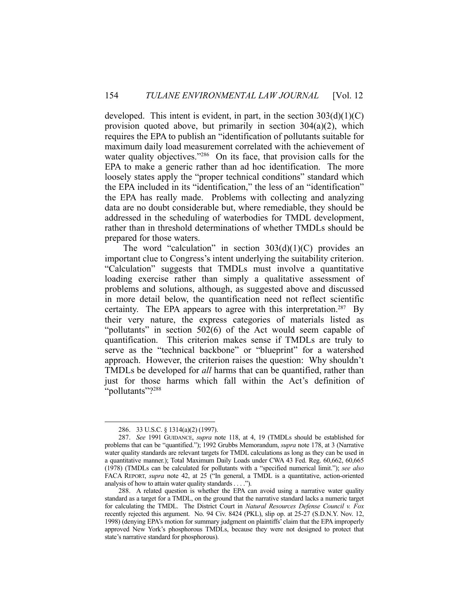developed. This intent is evident, in part, in the section  $303(d)(1)(C)$ provision quoted above, but primarily in section 304(a)(2), which requires the EPA to publish an "identification of pollutants suitable for maximum daily load measurement correlated with the achievement of water quality objectives."<sup>286</sup> On its face, that provision calls for the EPA to make a generic rather than ad hoc identification. The more loosely states apply the "proper technical conditions" standard which the EPA included in its "identification," the less of an "identification" the EPA has really made. Problems with collecting and analyzing data are no doubt considerable but, where remediable, they should be addressed in the scheduling of waterbodies for TMDL development, rather than in threshold determinations of whether TMDLs should be prepared for those waters.

The word "calculation" in section  $303(d)(1)(C)$  provides an important clue to Congress's intent underlying the suitability criterion. "Calculation" suggests that TMDLs must involve a quantitative loading exercise rather than simply a qualitative assessment of problems and solutions, although, as suggested above and discussed in more detail below, the quantification need not reflect scientific certainty. The EPA appears to agree with this interpretation.<sup>287</sup> By their very nature, the express categories of materials listed as "pollutants" in section 502(6) of the Act would seem capable of quantification. This criterion makes sense if TMDLs are truly to serve as the "technical backbone" or "blueprint" for a watershed approach. However, the criterion raises the question: Why shouldn't TMDLs be developed for *all* harms that can be quantified, rather than just for those harms which fall within the Act's definition of "pollutants"?288

 <sup>286. 33</sup> U.S.C. § 1314(a)(2) (1997).

 <sup>287.</sup> *See* 1991 GUIDANCE, *supra* note 118, at 4, 19 (TMDLs should be established for problems that can be "quantified."); 1992 Grubbs Memorandum, *supra* note 178, at 3 (Narrative water quality standards are relevant targets for TMDL calculations as long as they can be used in a quantitative manner.); Total Maximum Daily Loads under CWA 43 Fed. Reg. 60,662, 60,665 (1978) (TMDLs can be calculated for pollutants with a "specified numerical limit."); *see also* FACA REPORT, *supra* note 42, at 25 ("In general, a TMDL is a quantitative, action-oriented analysis of how to attain water quality standards . . . .").

 <sup>288.</sup> A related question is whether the EPA can avoid using a narrative water quality standard as a target for a TMDL, on the ground that the narrative standard lacks a numeric target for calculating the TMDL. The District Court in *Natural Resources Defense Council v. Fox*  recently rejected this argument. No. 94 Civ. 8424 (PKL), slip op. at 25-27 (S.D.N.Y. Nov. 12, 1998) (denying EPA's motion for summary judgment on plaintiffs' claim that the EPA improperly approved New York's phosphorous TMDLs, because they were not designed to protect that state's narrative standard for phosphorous).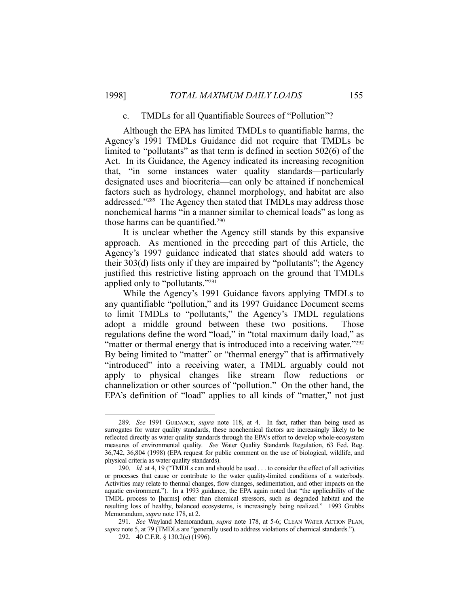### c. TMDLs for all Quantifiable Sources of "Pollution"?

 Although the EPA has limited TMDLs to quantifiable harms, the Agency's 1991 TMDLs Guidance did not require that TMDLs be limited to "pollutants" as that term is defined in section 502(6) of the Act. In its Guidance, the Agency indicated its increasing recognition that, "in some instances water quality standards—particularly designated uses and biocriteria—can only be attained if nonchemical factors such as hydrology, channel morphology, and habitat are also addressed."289 The Agency then stated that TMDLs may address those nonchemical harms "in a manner similar to chemical loads" as long as those harms can be quantified.<sup>290</sup>

 It is unclear whether the Agency still stands by this expansive approach. As mentioned in the preceding part of this Article, the Agency's 1997 guidance indicated that states should add waters to their 303(d) lists only if they are impaired by "pollutants"; the Agency justified this restrictive listing approach on the ground that TMDLs applied only to "pollutants."291

 While the Agency's 1991 Guidance favors applying TMDLs to any quantifiable "pollution," and its 1997 Guidance Document seems to limit TMDLs to "pollutants," the Agency's TMDL regulations adopt a middle ground between these two positions. Those regulations define the word "load," in "total maximum daily load," as "matter or thermal energy that is introduced into a receiving water."<sup>292</sup> By being limited to "matter" or "thermal energy" that is affirmatively "introduced" into a receiving water, a TMDL arguably could not apply to physical changes like stream flow reductions or channelization or other sources of "pollution." On the other hand, the EPA's definition of "load" applies to all kinds of "matter," not just

 <sup>289.</sup> *See* 1991 GUIDANCE, *supra* note 118, at 4. In fact, rather than being used as surrogates for water quality standards, these nonchemical factors are increasingly likely to be reflected directly as water quality standards through the EPA's effort to develop whole-ecosystem measures of environmental quality. *See* Water Quality Standards Regulation, 63 Fed. Reg. 36,742, 36,804 (1998) (EPA request for public comment on the use of biological, wildlife, and physical criteria as water quality standards).

<sup>290.</sup> *Id.* at 4, 19 ("TMDLs can and should be used . . . to consider the effect of all activities or processes that cause or contribute to the water quality-limited conditions of a waterbody. Activities may relate to thermal changes, flow changes, sedimentation, and other impacts on the aquatic environment."). In a 1993 guidance, the EPA again noted that "the applicability of the TMDL process to [harms] other than chemical stressors, such as degraded habitat and the resulting loss of healthy, balanced ecosystems, is increasingly being realized." 1993 Grubbs Memorandum, *supra* note 178, at 2.

 <sup>291.</sup> *See* Wayland Memorandum, *supra* note 178, at 5-6; CLEAN WATER ACTION PLAN, *supra* note 5, at 79 (TMDLs are "generally used to address violations of chemical standards.").

 <sup>292. 40</sup> C.F.R. § 130.2(e) (1996).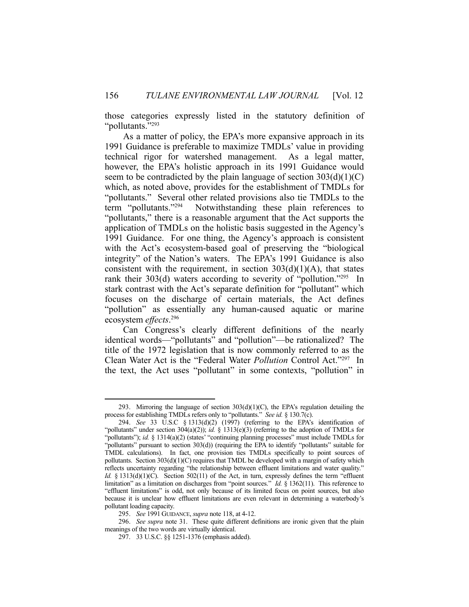those categories expressly listed in the statutory definition of "pollutants."<sup>293</sup>

 As a matter of policy, the EPA's more expansive approach in its 1991 Guidance is preferable to maximize TMDLs' value in providing technical rigor for watershed management. As a legal matter, however, the EPA's holistic approach in its 1991 Guidance would seem to be contradicted by the plain language of section  $303(d)(1)(C)$ which, as noted above, provides for the establishment of TMDLs for "pollutants." Several other related provisions also tie TMDLs to the term "pollutants."294 Notwithstanding these plain references to "pollutants," there is a reasonable argument that the Act supports the application of TMDLs on the holistic basis suggested in the Agency's 1991 Guidance. For one thing, the Agency's approach is consistent with the Act's ecosystem-based goal of preserving the "biological integrity" of the Nation's waters. The EPA's 1991 Guidance is also consistent with the requirement, in section  $303(d)(1)(A)$ , that states rank their 303(d) waters according to severity of "pollution."<sup>295</sup> In stark contrast with the Act's separate definition for "pollutant" which focuses on the discharge of certain materials, the Act defines "pollution" as essentially any human-caused aquatic or marine ecosystem *effects*. 296

 Can Congress's clearly different definitions of the nearly identical words—"pollutants" and "pollution"—be rationalized? The title of the 1972 legislation that is now commonly referred to as the Clean Water Act is the "Federal Water *Pollution* Control Act."297 In the text, the Act uses "pollutant" in some contexts, "pollution" in

<sup>293.</sup> Mirroring the language of section  $303(d)(1)(C)$ , the EPA's regulation detailing the process for establishing TMDLs refers only to "pollutants." *See id.* § 130.7(c).

 <sup>294.</sup> *See* 33 U.S.C § 1313(d)(2) (1997) (referring to the EPA's identification of "pollutants" under section 304(a)(2)); *id.* § 1313(e)(3) (referring to the adoption of TMDLs for "pollutants"); *id.* § 1314(a)(2) (states' "continuing planning processes" must include TMDLs for "pollutants" pursuant to section 303(d)) (requiring the EPA to identify "pollutants" suitable for TMDL calculations). In fact, one provision ties TMDLs specifically to point sources of pollutants. Section  $303(d)(1)(C)$  requires that TMDL be developed with a margin of safety which reflects uncertainty regarding "the relationship between effluent limitations and water quality." *Id.* § 1313(d)(1)(C). Section 502(11) of the Act, in turn, expressly defines the term "effluent limitation" as a limitation on discharges from "point sources." *Id.* § 1362(11). This reference to "effluent limitations" is odd, not only because of its limited focus on point sources, but also because it is unclear how effluent limitations are even relevant in determining a waterbody's pollutant loading capacity.

 <sup>295.</sup> *See* 1991 GUIDANCE, *supra* note 118, at 4-12.

 <sup>296.</sup> *See supra* note 31. These quite different definitions are ironic given that the plain meanings of the two words are virtually identical.

 <sup>297. 33</sup> U.S.C. §§ 1251-1376 (emphasis added).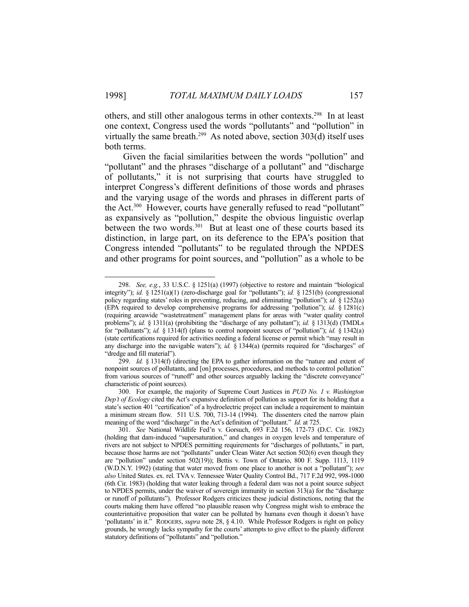others, and still other analogous terms in other contexts.298 In at least one context, Congress used the words "pollutants" and "pollution" in virtually the same breath.<sup>299</sup> As noted above, section  $303(d)$  itself uses both terms.

 Given the facial similarities between the words "pollution" and "pollutant" and the phrases "discharge of a pollutant" and "discharge of pollutants," it is not surprising that courts have struggled to interpret Congress's different definitions of those words and phrases and the varying usage of the words and phrases in different parts of the Act.<sup>300</sup> However, courts have generally refused to read "pollutant" as expansively as "pollution," despite the obvious linguistic overlap between the two words.<sup>301</sup> But at least one of these courts based its distinction, in large part, on its deference to the EPA's position that Congress intended "pollutants" to be regulated through the NPDES and other programs for point sources, and "pollution" as a whole to be

 <sup>298.</sup> *See, e.g.*, 33 U.S.C. § 1251(a) (1997) (objective to restore and maintain "biological integrity"); *id.* § 1251(a)(1) (zero-discharge goal for "pollutants"); *id.* § 1251(b) (congressional policy regarding states' roles in preventing, reducing, and eliminating "pollution"); *id.* § 1252(a) (EPA required to develop comprehensive programs for addressing "pollution"); *id.* § 1281(c) (requiring areawide "wastetreatment" management plans for areas with "water quality control problems"); *id.* § 1311(a) (prohibiting the "discharge of any pollutant"); *id.* § 1313(d) (TMDLs for "pollutants"); *id.* § 1314(f) (plans to control nonpoint sources of "pollution"); *id.* § 1342(a) (state certifications required for activities needing a federal license or permit which "may result in any discharge into the navigable waters"); *id.* § 1344(a) (permits required for "discharges" of "dredge and fill material").

 <sup>299.</sup> *Id.* § 1314(f) (directing the EPA to gather information on the "nature and extent of nonpoint sources of pollutants, and [on] processes, procedures, and methods to control pollution" from various sources of "runoff" and other sources arguably lacking the "discrete conveyance" characteristic of point sources).

 <sup>300.</sup> For example, the majority of Supreme Court Justices in *PUD No. 1 v. Washington Dep't of Ecology* cited the Act's expansive definition of pollution as support for its holding that a state's section 401 "certification" of a hydroelectric project can include a requirement to maintain a minimum stream flow. 511 U.S. 700, 713-14 (1994). The dissenters cited the narrow plain meaning of the word "discharge" in the Act's definition of "pollutant." *Id.* at 725.

 <sup>301.</sup> *See* National Wildlife Fed'n v. Gorsuch, 693 F.2d 156, 172-73 (D.C. Cir. 1982) (holding that dam-induced "supersaturation," and changes in oxygen levels and temperature of rivers are not subject to NPDES permitting requirements for "discharges of pollutants," in part, because those harms are not "pollutants" under Clean Water Act section 502(6) even though they are "pollution" under section 502(19)); Bettis v. Town of Ontario, 800 F. Supp. 1113, 1119 (W.D.N.Y. 1992) (stating that water moved from one place to another is not a "pollutant"); *see also* United States. ex. rel. TVA v. Tennessee Water Quality Control Bd., 717 F.2d 992, 998-1000 (6th Cir. 1983) (holding that water leaking through a federal dam was not a point source subject to NPDES permits, under the waiver of sovereign immunity in section 313(a) for the "discharge or runoff of pollutants"). Professor Rodgers criticizes these judicial distinctions, noting that the courts making them have offered "no plausible reason why Congress might wish to embrace the counterintuitive proposition that water can be polluted by humans even though it doesn't have 'pollutants' in it." RODGERS, *supra* note 28, § 4.10. While Professor Rodgers is right on policy grounds, he wrongly lacks sympathy for the courts' attempts to give effect to the plainly different statutory definitions of "pollutants" and "pollution."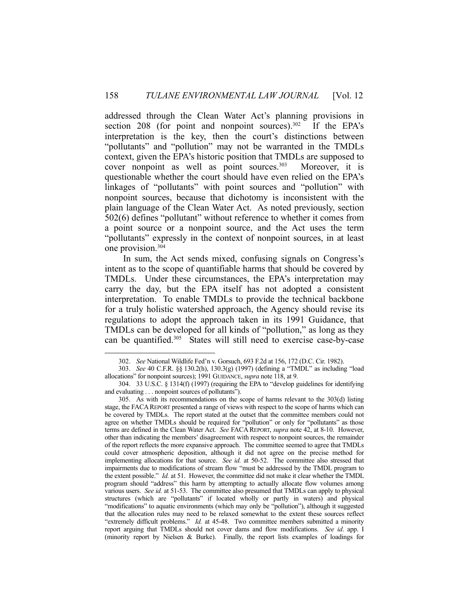addressed through the Clean Water Act's planning provisions in section 208 (for point and nonpoint sources). $302$  If the EPA's interpretation is the key, then the court's distinctions between "pollutants" and "pollution" may not be warranted in the TMDLs context, given the EPA's historic position that TMDLs are supposed to cover nonpoint as well as point sources.<sup>303</sup> Moreover, it is questionable whether the court should have even relied on the EPA's linkages of "pollutants" with point sources and "pollution" with nonpoint sources, because that dichotomy is inconsistent with the plain language of the Clean Water Act. As noted previously, section 502(6) defines "pollutant" without reference to whether it comes from a point source or a nonpoint source, and the Act uses the term "pollutants" expressly in the context of nonpoint sources, in at least one provision.304

 In sum, the Act sends mixed, confusing signals on Congress's intent as to the scope of quantifiable harms that should be covered by TMDLs. Under these circumstances, the EPA's interpretation may carry the day, but the EPA itself has not adopted a consistent interpretation. To enable TMDLs to provide the technical backbone for a truly holistic watershed approach, the Agency should revise its regulations to adopt the approach taken in its 1991 Guidance, that TMDLs can be developed for all kinds of "pollution," as long as they can be quantified.305 States will still need to exercise case-by-case

 <sup>302.</sup> *See* National Wildlife Fed'n v. Gorsuch, 693 F.2d at 156, 172 (D.C. Cir. 1982).

 <sup>303.</sup> *See* 40 C.F.R. §§ 130.2(h), 130.3(g) (1997) (defining a "TMDL" as including "load allocations" for nonpoint sources); 1991 GUIDANCE, *supra* note 118, at 9.

 <sup>304. 33</sup> U.S.C. § 1314(f) (1997) (requiring the EPA to "develop guidelines for identifying and evaluating . . . nonpoint sources of pollutants").

 <sup>305.</sup> As with its recommendations on the scope of harms relevant to the 303(d) listing stage, the FACAREPORT presented a range of views with respect to the scope of harms which can be covered by TMDLs. The report stated at the outset that the committee members could not agree on whether TMDLs should be required for "pollution" or only for "pollutants" as those terms are defined in the Clean Water Act. *See* FACA REPORT, *supra* note 42, at 8-10. However, other than indicating the members' disagreement with respect to nonpoint sources, the remainder of the report reflects the more expansive approach. The committee seemed to agree that TMDLs could cover atmospheric deposition, although it did not agree on the precise method for implementing allocations for that source. *See id.* at 50-52. The committee also stressed that impairments due to modifications of stream flow "must be addressed by the TMDL program to the extent possible." *Id.* at 51. However, the committee did not make it clear whether the TMDL program should "address" this harm by attempting to actually allocate flow volumes among various users. *See id.* at 51-53. The committee also presumed that TMDLs can apply to physical structures (which are "pollutants" if located wholly or partly in waters) and physical "modifications" to aquatic environments (which may only be "pollution"), although it suggested that the allocation rules may need to be relaxed somewhat to the extent these sources reflect "extremely difficult problems." *Id.* at 45-48. Two committee members submitted a minority report arguing that TMDLs should not cover dams and flow modifications. *See id*. app. I (minority report by Nielsen & Burke). Finally, the report lists examples of loadings for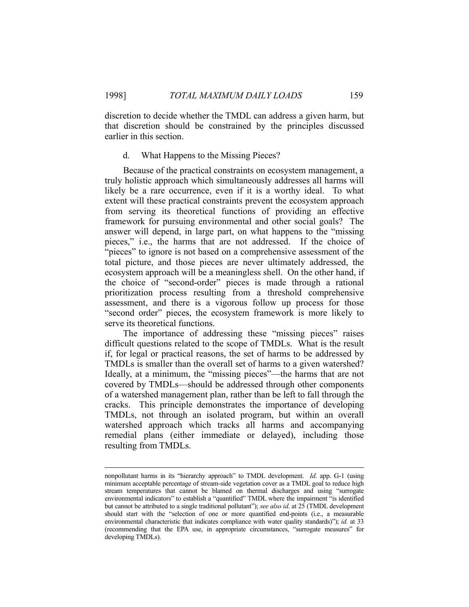discretion to decide whether the TMDL can address a given harm, but that discretion should be constrained by the principles discussed earlier in this section.

### d. What Happens to the Missing Pieces?

 Because of the practical constraints on ecosystem management, a truly holistic approach which simultaneously addresses all harms will likely be a rare occurrence, even if it is a worthy ideal. To what extent will these practical constraints prevent the ecosystem approach from serving its theoretical functions of providing an effective framework for pursuing environmental and other social goals? The answer will depend, in large part, on what happens to the "missing pieces," i.e., the harms that are not addressed. If the choice of "pieces" to ignore is not based on a comprehensive assessment of the total picture, and those pieces are never ultimately addressed, the ecosystem approach will be a meaningless shell. On the other hand, if the choice of "second-order" pieces is made through a rational prioritization process resulting from a threshold comprehensive assessment, and there is a vigorous follow up process for those "second order" pieces, the ecosystem framework is more likely to serve its theoretical functions.

 The importance of addressing these "missing pieces" raises difficult questions related to the scope of TMDLs. What is the result if, for legal or practical reasons, the set of harms to be addressed by TMDLs is smaller than the overall set of harms to a given watershed? Ideally, at a minimum, the "missing pieces"—the harms that are not covered by TMDLs—should be addressed through other components of a watershed management plan, rather than be left to fall through the cracks. This principle demonstrates the importance of developing TMDLs, not through an isolated program, but within an overall watershed approach which tracks all harms and accompanying remedial plans (either immediate or delayed), including those resulting from TMDLs.

nonpollutant harms in its "hierarchy approach" to TMDL development. *Id*. app. G-1 (using minimum acceptable percentage of stream-side vegetation cover as a TMDL goal to reduce high stream temperatures that cannot be blamed on thermal discharges and using "surrogate environmental indicators" to establish a "quantified" TMDL where the impairment "is identified but cannot be attributed to a single traditional pollutant"); *see also id*. at 25 (TMDL development should start with the "selection of one or more quantified end-points (i.e., a measurable environmental characteristic that indicates compliance with water quality standards)"); *id.* at 33 (recommending that the EPA use, in appropriate circumstances, "surrogate measures" for developing TMDLs).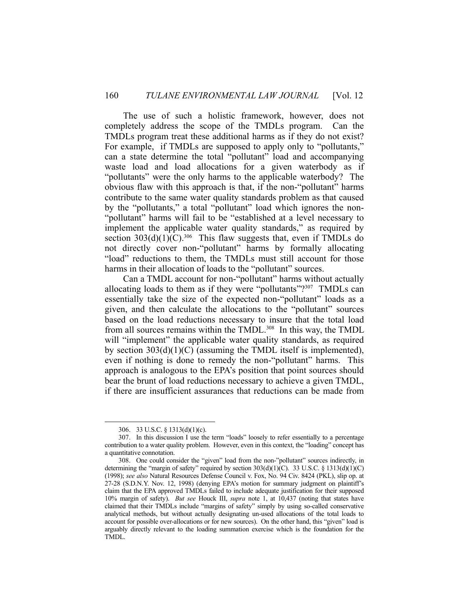The use of such a holistic framework, however, does not completely address the scope of the TMDLs program. Can the TMDLs program treat these additional harms as if they do not exist? For example, if TMDLs are supposed to apply only to "pollutants," can a state determine the total "pollutant" load and accompanying waste load and load allocations for a given waterbody as if "pollutants" were the only harms to the applicable waterbody? The obvious flaw with this approach is that, if the non-"pollutant" harms contribute to the same water quality standards problem as that caused by the "pollutants," a total "pollutant" load which ignores the non- "pollutant" harms will fail to be "established at a level necessary to implement the applicable water quality standards," as required by section  $303(d)(1)(C)$ .<sup>306</sup> This flaw suggests that, even if TMDLs do not directly cover non-"pollutant" harms by formally allocating "load" reductions to them, the TMDLs must still account for those harms in their allocation of loads to the "pollutant" sources.

 Can a TMDL account for non-"pollutant" harms without actually allocating loads to them as if they were "pollutants"?<sup>307</sup> TMDLs can essentially take the size of the expected non-"pollutant" loads as a given, and then calculate the allocations to the "pollutant" sources based on the load reductions necessary to insure that the total load from all sources remains within the TMDL.<sup>308</sup> In this way, the TMDL will "implement" the applicable water quality standards, as required by section 303(d)(1)(C) (assuming the TMDL itself is implemented), even if nothing is done to remedy the non-"pollutant" harms. This approach is analogous to the EPA's position that point sources should bear the brunt of load reductions necessary to achieve a given TMDL, if there are insufficient assurances that reductions can be made from

 <sup>306. 33</sup> U.S.C. § 1313(d)(1)(c).

 <sup>307.</sup> In this discussion I use the term "loads" loosely to refer essentially to a percentage contribution to a water quality problem. However, even in this context, the "loading" concept has a quantitative connotation.

 <sup>308.</sup> One could consider the "given" load from the non-"pollutant" sources indirectly, in determining the "margin of safety" required by section  $303(d)(1)(C)$ . 33 U.S.C. § 1313(d)(1)(C) (1998); *see also* Natural Resources Defense Council v. Fox, No. 94 Civ. 8424 (PKL), slip op. at 27-28 (S.D.N.Y. Nov. 12, 1998) (denying EPA's motion for summary judgment on plaintiff's claim that the EPA approved TMDLs failed to include adequate justification for their supposed 10% margin of safety). *But see* Houck III, *supra* note 1, at 10,437 (noting that states have claimed that their TMDLs include "margins of safety" simply by using so-called conservative analytical methods, but without actually designating un-used allocations of the total loads to account for possible over-allocations or for new sources). On the other hand, this "given" load is arguably directly relevant to the loading summation exercise which is the foundation for the TMDL.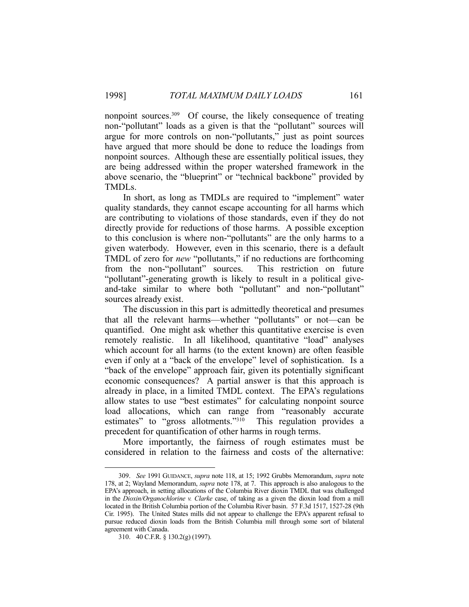nonpoint sources.<sup>309</sup> Of course, the likely consequence of treating non-"pollutant" loads as a given is that the "pollutant" sources will argue for more controls on non-"pollutants," just as point sources have argued that more should be done to reduce the loadings from nonpoint sources. Although these are essentially political issues, they are being addressed within the proper watershed framework in the above scenario, the "blueprint" or "technical backbone" provided by TMDLs.

 In short, as long as TMDLs are required to "implement" water quality standards, they cannot escape accounting for all harms which are contributing to violations of those standards, even if they do not directly provide for reductions of those harms. A possible exception to this conclusion is where non-"pollutants" are the only harms to a given waterbody. However, even in this scenario, there is a default TMDL of zero for *new* "pollutants," if no reductions are forthcoming from the non-"pollutant" sources. This restriction on future "pollutant"-generating growth is likely to result in a political giveand-take similar to where both "pollutant" and non-"pollutant" sources already exist.

 The discussion in this part is admittedly theoretical and presumes that all the relevant harms—whether "pollutants" or not—can be quantified. One might ask whether this quantitative exercise is even remotely realistic. In all likelihood, quantitative "load" analyses which account for all harms (to the extent known) are often feasible even if only at a "back of the envelope" level of sophistication. Is a "back of the envelope" approach fair, given its potentially significant economic consequences? A partial answer is that this approach is already in place, in a limited TMDL context. The EPA's regulations allow states to use "best estimates" for calculating nonpoint source load allocations, which can range from "reasonably accurate estimates" to "gross allotments."<sup>310</sup> This regulation provides a precedent for quantification of other harms in rough terms.

 More importantly, the fairness of rough estimates must be considered in relation to the fairness and costs of the alternative:

 <sup>309.</sup> *See* 1991 GUIDANCE, *supra* note 118, at 15; 1992 Grubbs Memorandum, *supra* note 178, at 2; Wayland Memorandum, *supra* note 178, at 7. This approach is also analogous to the EPA's approach, in setting allocations of the Columbia River dioxin TMDL that was challenged in the *Dioxin/Organochlorine v. Clarke* case, of taking as a given the dioxin load from a mill located in the British Columbia portion of the Columbia River basin. 57 F.3d 1517, 1527-28 (9th Cir. 1995). The United States mills did not appear to challenge the EPA's apparent refusal to pursue reduced dioxin loads from the British Columbia mill through some sort of bilateral agreement with Canada.

 <sup>310. 40</sup> C.F.R. § 130.2(g) (1997).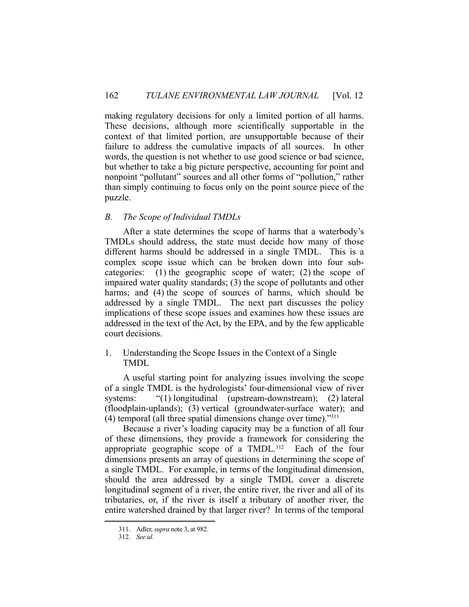making regulatory decisions for only a limited portion of all harms. These decisions, although more scientifically supportable in the context of that limited portion, are unsupportable because of their failure to address the cumulative impacts of all sources. In other words, the question is not whether to use good science or bad science, but whether to take a big picture perspective, accounting for point and nonpoint "pollutant" sources and all other forms of "pollution," rather than simply continuing to focus only on the point source piece of the puzzle.

## *B. The Scope of Individual TMDLs*

 After a state determines the scope of harms that a waterbody's TMDLs should address, the state must decide how many of those different harms should be addressed in a single TMDL. This is a complex scope issue which can be broken down into four subcategories: (1) the geographic scope of water; (2) the scope of impaired water quality standards; (3) the scope of pollutants and other harms; and (4) the scope of sources of harms, which should be addressed by a single TMDL. The next part discusses the policy implications of these scope issues and examines how these issues are addressed in the text of the Act, by the EPA, and by the few applicable court decisions.

## 1. Understanding the Scope Issues in the Context of a Single TMDL

 A useful starting point for analyzing issues involving the scope of a single TMDL is the hydrologists' four-dimensional view of river systems: "(1) longitudinal (upstream-downstream); (2) lateral (floodplain-uplands); (3) vertical (groundwater-surface water); and (4) temporal (all three spatial dimensions change over time)."311

 Because a river's loading capacity may be a function of all four of these dimensions, they provide a framework for considering the appropriate geographic scope of a TMDL.312 Each of the four dimensions presents an array of questions in determining the scope of a single TMDL. For example, in terms of the longitudinal dimension, should the area addressed by a single TMDL cover a discrete longitudinal segment of a river, the entire river, the river and all of its tributaries, or, if the river is itself a tributary of another river, the entire watershed drained by that larger river? In terms of the temporal

 <sup>311.</sup> Adler, *supra* note 3, at 982.

 <sup>312.</sup> *See id.*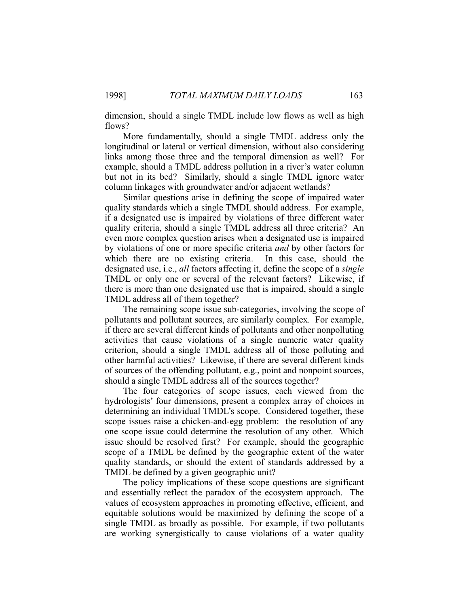dimension, should a single TMDL include low flows as well as high flows?

 More fundamentally, should a single TMDL address only the longitudinal or lateral or vertical dimension, without also considering links among those three and the temporal dimension as well? For example, should a TMDL address pollution in a river's water column but not in its bed? Similarly, should a single TMDL ignore water column linkages with groundwater and/or adjacent wetlands?

 Similar questions arise in defining the scope of impaired water quality standards which a single TMDL should address. For example, if a designated use is impaired by violations of three different water quality criteria, should a single TMDL address all three criteria? An even more complex question arises when a designated use is impaired by violations of one or more specific criteria *and* by other factors for which there are no existing criteria. In this case, should the designated use, i.e., *all* factors affecting it, define the scope of a *single* TMDL or only one or several of the relevant factors? Likewise, if there is more than one designated use that is impaired, should a single TMDL address all of them together?

 The remaining scope issue sub-categories, involving the scope of pollutants and pollutant sources, are similarly complex. For example, if there are several different kinds of pollutants and other nonpolluting activities that cause violations of a single numeric water quality criterion, should a single TMDL address all of those polluting and other harmful activities? Likewise, if there are several different kinds of sources of the offending pollutant, e.g., point and nonpoint sources, should a single TMDL address all of the sources together?

 The four categories of scope issues, each viewed from the hydrologists' four dimensions, present a complex array of choices in determining an individual TMDL's scope. Considered together, these scope issues raise a chicken-and-egg problem: the resolution of any one scope issue could determine the resolution of any other. Which issue should be resolved first? For example, should the geographic scope of a TMDL be defined by the geographic extent of the water quality standards, or should the extent of standards addressed by a TMDL be defined by a given geographic unit?

 The policy implications of these scope questions are significant and essentially reflect the paradox of the ecosystem approach. The values of ecosystem approaches in promoting effective, efficient, and equitable solutions would be maximized by defining the scope of a single TMDL as broadly as possible. For example, if two pollutants are working synergistically to cause violations of a water quality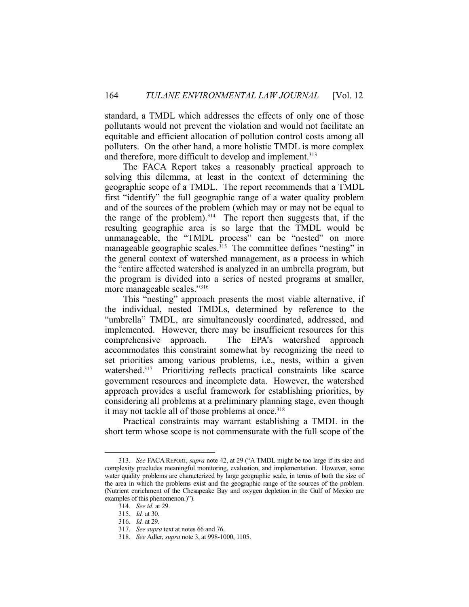standard, a TMDL which addresses the effects of only one of those pollutants would not prevent the violation and would not facilitate an equitable and efficient allocation of pollution control costs among all polluters. On the other hand, a more holistic TMDL is more complex and therefore, more difficult to develop and implement.<sup>313</sup>

 The FACA Report takes a reasonably practical approach to solving this dilemma, at least in the context of determining the geographic scope of a TMDL. The report recommends that a TMDL first "identify" the full geographic range of a water quality problem and of the sources of the problem (which may or may not be equal to the range of the problem).<sup>314</sup> The report then suggests that, if the resulting geographic area is so large that the TMDL would be unmanageable, the "TMDL process" can be "nested" on more manageable geographic scales.<sup>315</sup> The committee defines "nesting" in the general context of watershed management, as a process in which the "entire affected watershed is analyzed in an umbrella program, but the program is divided into a series of nested programs at smaller, more manageable scales."316

 This "nesting" approach presents the most viable alternative, if the individual, nested TMDLs, determined by reference to the "umbrella" TMDL, are simultaneously coordinated, addressed, and implemented. However, there may be insufficient resources for this comprehensive approach. The EPA's watershed approach accommodates this constraint somewhat by recognizing the need to set priorities among various problems, i.e., nests, within a given watershed.<sup>317</sup> Prioritizing reflects practical constraints like scarce government resources and incomplete data. However, the watershed approach provides a useful framework for establishing priorities, by considering all problems at a preliminary planning stage, even though it may not tackle all of those problems at once.<sup>318</sup>

 Practical constraints may warrant establishing a TMDL in the short term whose scope is not commensurate with the full scope of the

 <sup>313.</sup> *See* FACA REPORT, *supra* note 42, at 29 ("A TMDL might be too large if its size and complexity precludes meaningful monitoring, evaluation, and implementation. However, some water quality problems are characterized by large geographic scale, in terms of both the size of the area in which the problems exist and the geographic range of the sources of the problem. (Nutrient enrichment of the Chesapeake Bay and oxygen depletion in the Gulf of Mexico are examples of this phenomenon.)").

 <sup>314.</sup> *See id.* at 29.

 <sup>315.</sup> *Id.* at 30.

 <sup>316.</sup> *Id.* at 29.

 <sup>317.</sup> *See supra* text at notes 66 and 76.

 <sup>318.</sup> *See* Adler, *supra* note 3, at 998-1000, 1105.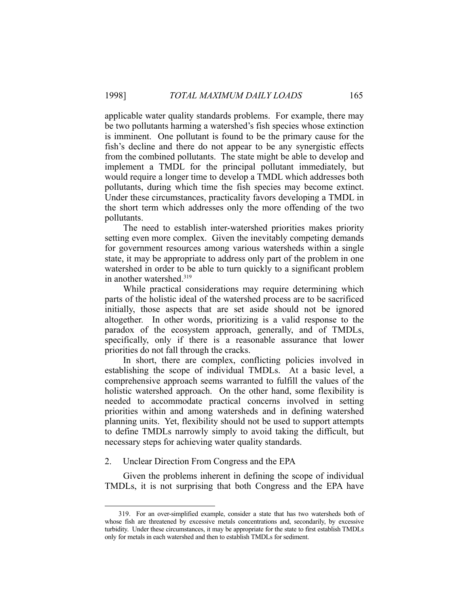applicable water quality standards problems. For example, there may be two pollutants harming a watershed's fish species whose extinction is imminent. One pollutant is found to be the primary cause for the fish's decline and there do not appear to be any synergistic effects from the combined pollutants. The state might be able to develop and implement a TMDL for the principal pollutant immediately, but would require a longer time to develop a TMDL which addresses both pollutants, during which time the fish species may become extinct. Under these circumstances, practicality favors developing a TMDL in the short term which addresses only the more offending of the two pollutants.

 The need to establish inter-watershed priorities makes priority setting even more complex. Given the inevitably competing demands for government resources among various watersheds within a single state, it may be appropriate to address only part of the problem in one watershed in order to be able to turn quickly to a significant problem in another watershed.<sup>319</sup>

 While practical considerations may require determining which parts of the holistic ideal of the watershed process are to be sacrificed initially, those aspects that are set aside should not be ignored altogether. In other words, prioritizing is a valid response to the paradox of the ecosystem approach, generally, and of TMDLs, specifically, only if there is a reasonable assurance that lower priorities do not fall through the cracks.

 In short, there are complex, conflicting policies involved in establishing the scope of individual TMDLs. At a basic level, a comprehensive approach seems warranted to fulfill the values of the holistic watershed approach. On the other hand, some flexibility is needed to accommodate practical concerns involved in setting priorities within and among watersheds and in defining watershed planning units. Yet, flexibility should not be used to support attempts to define TMDLs narrowly simply to avoid taking the difficult, but necessary steps for achieving water quality standards.

## 2. Unclear Direction From Congress and the EPA

 Given the problems inherent in defining the scope of individual TMDLs, it is not surprising that both Congress and the EPA have

 <sup>319.</sup> For an over-simplified example, consider a state that has two watersheds both of whose fish are threatened by excessive metals concentrations and, secondarily, by excessive turbidity. Under these circumstances, it may be appropriate for the state to first establish TMDLs only for metals in each watershed and then to establish TMDLs for sediment.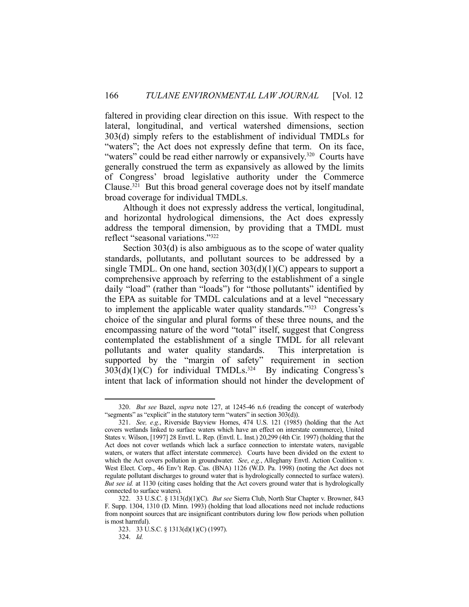faltered in providing clear direction on this issue. With respect to the lateral, longitudinal, and vertical watershed dimensions, section 303(d) simply refers to the establishment of individual TMDLs for "waters"; the Act does not expressly define that term. On its face, "waters" could be read either narrowly or expansively.<sup>320</sup> Courts have generally construed the term as expansively as allowed by the limits of Congress' broad legislative authority under the Commerce Clause.321 But this broad general coverage does not by itself mandate broad coverage for individual TMDLs.

 Although it does not expressly address the vertical, longitudinal, and horizontal hydrological dimensions, the Act does expressly address the temporal dimension, by providing that a TMDL must reflect "seasonal variations."322

 Section 303(d) is also ambiguous as to the scope of water quality standards, pollutants, and pollutant sources to be addressed by a single TMDL. On one hand, section  $303(d)(1)(C)$  appears to support a comprehensive approach by referring to the establishment of a single daily "load" (rather than "loads") for "those pollutants" identified by the EPA as suitable for TMDL calculations and at a level "necessary to implement the applicable water quality standards."<sup>323</sup> Congress's choice of the singular and plural forms of these three nouns, and the encompassing nature of the word "total" itself, suggest that Congress contemplated the establishment of a single TMDL for all relevant pollutants and water quality standards. This interpretation is supported by the "margin of safety" requirement in section  $303(d)(1)(C)$  for individual TMDLs.<sup>324</sup> By indicating Congress's intent that lack of information should not hinder the development of

 <sup>320.</sup> *But see* Bazel, *supra* note 127, at 1245-46 n.6 (reading the concept of waterbody "segments" as "explicit" in the statutory term "waters" in section 303(d)).

 <sup>321.</sup> *See, e.g.*, Riverside Bayview Homes, 474 U.S. 121 (1985) (holding that the Act covers wetlands linked to surface waters which have an effect on interstate commerce), United States v. Wilson, [1997] 28 Envtl. L. Rep. (Envtl. L. Inst.) 20,299 (4th Cir. 1997) (holding that the Act does not cover wetlands which lack a surface connection to interstate waters, navigable waters, or waters that affect interstate commerce). Courts have been divided on the extent to which the Act covers pollution in groundwater. *See*, *e.g.*, Alleghany Envtl. Action Coalition v. West Elect. Corp., 46 Env't Rep. Cas. (BNA) 1126 (W.D. Pa. 1998) (noting the Act does not regulate pollutant discharges to ground water that is hydrologically connected to surface waters). *But see id.* at 1130 (citing cases holding that the Act covers ground water that is hydrologically connected to surface waters).

 <sup>322. 33</sup> U.S.C. § 1313(d)(1)(C). *But see* Sierra Club, North Star Chapter v. Browner, 843 F. Supp. 1304, 1310 (D. Minn. 1993) (holding that load allocations need not include reductions from nonpoint sources that are insignificant contributors during low flow periods when pollution is most harmful).

 <sup>323. 33</sup> U.S.C. § 1313(d)(1)(C) (1997).

 <sup>324.</sup> *Id.*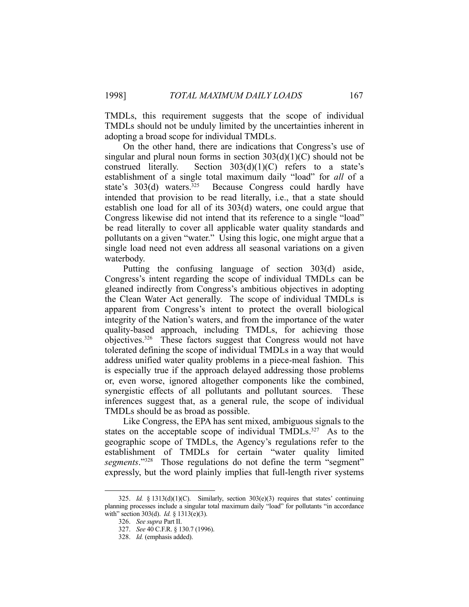TMDLs, this requirement suggests that the scope of individual TMDLs should not be unduly limited by the uncertainties inherent in adopting a broad scope for individual TMDLs.

 On the other hand, there are indications that Congress's use of singular and plural noun forms in section  $303(d)(1)(C)$  should not be construed literally. Section  $303(d)(1)(C)$  refers to a state's establishment of a single total maximum daily "load" for *all* of a state's 303(d) waters.<sup>325</sup> Because Congress could hardly have intended that provision to be read literally, i.e., that a state should establish one load for all of its 303(d) waters, one could argue that Congress likewise did not intend that its reference to a single "load" be read literally to cover all applicable water quality standards and pollutants on a given "water." Using this logic, one might argue that a single load need not even address all seasonal variations on a given waterbody.

 Putting the confusing language of section 303(d) aside, Congress's intent regarding the scope of individual TMDLs can be gleaned indirectly from Congress's ambitious objectives in adopting the Clean Water Act generally. The scope of individual TMDLs is apparent from Congress's intent to protect the overall biological integrity of the Nation's waters, and from the importance of the water quality-based approach, including TMDLs, for achieving those objectives.326 These factors suggest that Congress would not have tolerated defining the scope of individual TMDLs in a way that would address unified water quality problems in a piece-meal fashion. This is especially true if the approach delayed addressing those problems or, even worse, ignored altogether components like the combined, synergistic effects of all pollutants and pollutant sources. These inferences suggest that, as a general rule, the scope of individual TMDLs should be as broad as possible.

 Like Congress, the EPA has sent mixed, ambiguous signals to the states on the acceptable scope of individual TMDLs.<sup>327</sup> As to the geographic scope of TMDLs, the Agency's regulations refer to the establishment of TMDLs for certain "water quality limited *segments*."328 Those regulations do not define the term "segment" expressly, but the word plainly implies that full-length river systems

<sup>325.</sup> *Id.* § 1313(d)(1)(C). Similarly, section  $303(e)(3)$  requires that states' continuing planning processes include a singular total maximum daily "load" for pollutants "in accordance with" section 303(d). *Id.* § 1313(e)(3).

 <sup>326.</sup> *See supra* Part II.

 <sup>327.</sup> *See* 40 C.F.R. § 130.7 (1996).

 <sup>328.</sup> *Id.* (emphasis added).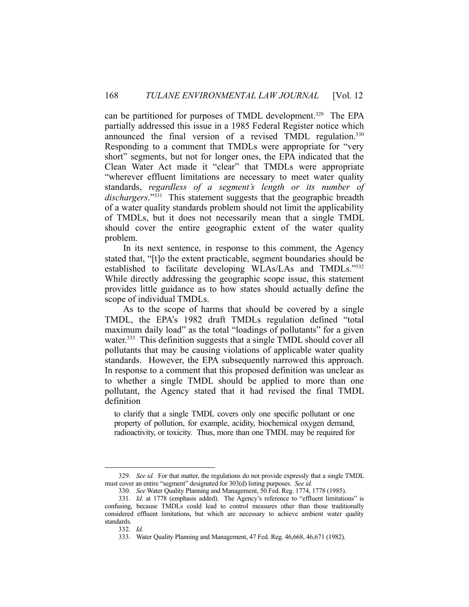can be partitioned for purposes of TMDL development.<sup>329</sup> The EPA partially addressed this issue in a 1985 Federal Register notice which announced the final version of a revised TMDL regulation.<sup>330</sup> Responding to a comment that TMDLs were appropriate for "very short" segments, but not for longer ones, the EPA indicated that the Clean Water Act made it "clear" that TMDLs were appropriate "wherever effluent limitations are necessary to meet water quality standards, *regardless of a segment's length or its number of dischargers*."331 This statement suggests that the geographic breadth of a water quality standards problem should not limit the applicability of TMDLs, but it does not necessarily mean that a single TMDL should cover the entire geographic extent of the water quality problem.

 In its next sentence, in response to this comment, the Agency stated that, "[t]o the extent practicable, segment boundaries should be established to facilitate developing WLAs/LAs and TMDLs."332 While directly addressing the geographic scope issue, this statement provides little guidance as to how states should actually define the scope of individual TMDLs.

 As to the scope of harms that should be covered by a single TMDL, the EPA's 1982 draft TMDLs regulation defined "total maximum daily load" as the total "loadings of pollutants" for a given water.<sup>333</sup> This definition suggests that a single TMDL should cover all pollutants that may be causing violations of applicable water quality standards. However, the EPA subsequently narrowed this approach. In response to a comment that this proposed definition was unclear as to whether a single TMDL should be applied to more than one pollutant, the Agency stated that it had revised the final TMDL definition

to clarify that a single TMDL covers only one specific pollutant or one property of pollution, for example, acidity, biochemical oxygen demand, radioactivity, or toxicity. Thus, more than one TMDL may be required for

 <sup>329.</sup> *See id.* For that matter, the regulations do not provide expressly that a single TMDL must cover an entire "segment" designated for 303(d) listing purposes. *See id.* 

 <sup>330.</sup> *See* Water Quality Planning and Management, 50 Fed. Reg. 1774, 1778 (1985).

 <sup>331.</sup> *Id*. at 1778 (emphasis added). The Agency's reference to "effluent limitations" is confusing, because TMDLs could lead to control measures other than those traditionally considered effluent limitations, but which are necessary to achieve ambient water quality standards.

 <sup>332.</sup> *Id.* 

 <sup>333.</sup> Water Quality Planning and Management, 47 Fed. Reg. 46,668, 46,671 (1982).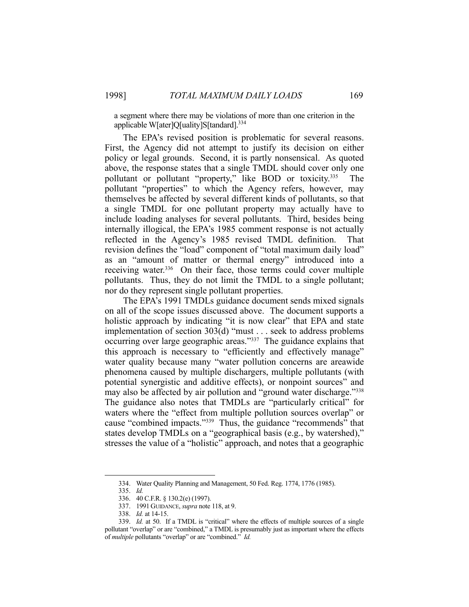a segment where there may be violations of more than one criterion in the applicable W[ater]Q[uality]S[tandard].<sup>334</sup>

 The EPA's revised position is problematic for several reasons. First, the Agency did not attempt to justify its decision on either policy or legal grounds. Second, it is partly nonsensical. As quoted above, the response states that a single TMDL should cover only one pollutant or pollutant "property," like BOD or toxicity.335 The pollutant "properties" to which the Agency refers, however, may themselves be affected by several different kinds of pollutants, so that a single TMDL for one pollutant property may actually have to include loading analyses for several pollutants. Third, besides being internally illogical, the EPA's 1985 comment response is not actually reflected in the Agency's 1985 revised TMDL definition. That revision defines the "load" component of "total maximum daily load" as an "amount of matter or thermal energy" introduced into a receiving water.<sup>336</sup> On their face, those terms could cover multiple pollutants. Thus, they do not limit the TMDL to a single pollutant; nor do they represent single pollutant properties.

 The EPA's 1991 TMDLs guidance document sends mixed signals on all of the scope issues discussed above. The document supports a holistic approach by indicating "it is now clear" that EPA and state implementation of section 303(d) "must . . . seek to address problems occurring over large geographic areas."<sup>337</sup> The guidance explains that this approach is necessary to "efficiently and effectively manage" water quality because many "water pollution concerns are areawide phenomena caused by multiple dischargers, multiple pollutants (with potential synergistic and additive effects), or nonpoint sources" and may also be affected by air pollution and "ground water discharge."338 The guidance also notes that TMDLs are "particularly critical" for waters where the "effect from multiple pollution sources overlap" or cause "combined impacts."339 Thus, the guidance "recommends" that states develop TMDLs on a "geographical basis (e.g., by watershed)," stresses the value of a "holistic" approach, and notes that a geographic

 <sup>334.</sup> Water Quality Planning and Management, 50 Fed. Reg. 1774, 1776 (1985).

 <sup>335.</sup> *Id.* 

 <sup>336. 40</sup> C.F.R. § 130.2(e) (1997).

 <sup>337. 1991</sup> GUIDANCE, *supra* note 118, at 9.

 <sup>338.</sup> *Id.* at 14-15.

 <sup>339.</sup> *Id.* at 50. If a TMDL is "critical" where the effects of multiple sources of a single pollutant "overlap" or are "combined," a TMDL is presumably just as important where the effects of *multiple* pollutants "overlap" or are "combined." *Id.*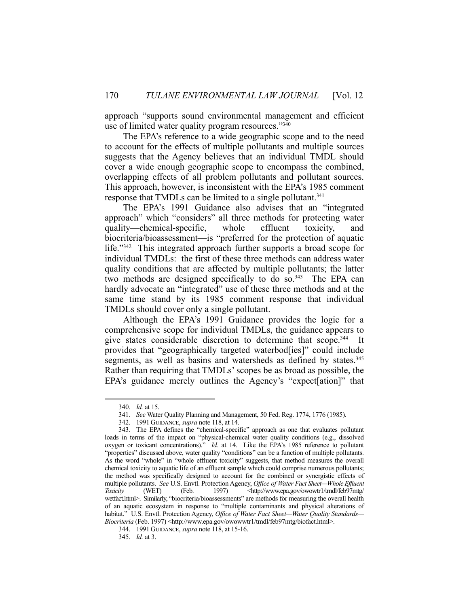approach "supports sound environmental management and efficient use of limited water quality program resources."<sup>340</sup>

 The EPA's reference to a wide geographic scope and to the need to account for the effects of multiple pollutants and multiple sources suggests that the Agency believes that an individual TMDL should cover a wide enough geographic scope to encompass the combined, overlapping effects of all problem pollutants and pollutant sources. This approach, however, is inconsistent with the EPA's 1985 comment response that TMDLs can be limited to a single pollutant.<sup>341</sup>

 The EPA's 1991 Guidance also advises that an "integrated approach" which "considers" all three methods for protecting water quality—chemical-specific, whole effluent toxicity, and biocriteria/bioassessment—is "preferred for the protection of aquatic life."342 This integrated approach further supports a broad scope for individual TMDLs: the first of these three methods can address water quality conditions that are affected by multiple pollutants; the latter two methods are designed specifically to do so.<sup>343</sup> The EPA can hardly advocate an "integrated" use of these three methods and at the same time stand by its 1985 comment response that individual TMDLs should cover only a single pollutant.

 Although the EPA's 1991 Guidance provides the logic for a comprehensive scope for individual TMDLs, the guidance appears to give states considerable discretion to determine that scope.344 It provides that "geographically targeted waterbod[ies]" could include segments, as well as basins and watersheds as defined by states.<sup>345</sup> Rather than requiring that TMDLs' scopes be as broad as possible, the EPA's guidance merely outlines the Agency's "expect[ation]" that

 <sup>340.</sup> *Id.* at 15.

 <sup>341.</sup> *See* Water Quality Planning and Management, 50 Fed. Reg. 1774, 1776 (1985).

 <sup>342. 1991</sup> GUIDANCE, *supra* note 118, at 14.

 <sup>343.</sup> The EPA defines the "chemical-specific" approach as one that evaluates pollutant loads in terms of the impact on "physical-chemical water quality conditions (e.g., dissolved oxygen or toxicant concentrations)." *Id.* at 14. Like the EPA's 1985 reference to pollutant "properties" discussed above, water quality "conditions" can be a function of multiple pollutants. As the word "whole" in "whole effluent toxicity" suggests, that method measures the overall chemical toxicity to aquatic life of an effluent sample which could comprise numerous pollutants; the method was specifically designed to account for the combined or synergistic effects of multiple pollutants. *See* U.S. Envtl. Protection Agency, *Office of Water Fact Sheet—Whole Effluent Toxicity* (WET) (Feb. 1997) <http://www.epa.gov/owowtr1/tmdl/feb97mtg/ wetfact.html>. Similarly, "biocriteria/bioassessments" are methods for measuring the overall health of an aquatic ecosystem in response to "multiple contaminants and physical alterations of habitat." U.S. Envtl. Protection Agency, *Office of Water Fact Sheet—Water Quality Standards— Biocriteria* (Feb. 1997) <http://www.epa.gov/owowwtr1/tmdl/feb97mtg/biofact.html>.

 <sup>344. 1991</sup> GUIDANCE, *supra* note 118, at 15-16.

 <sup>345.</sup> *Id.* at 3.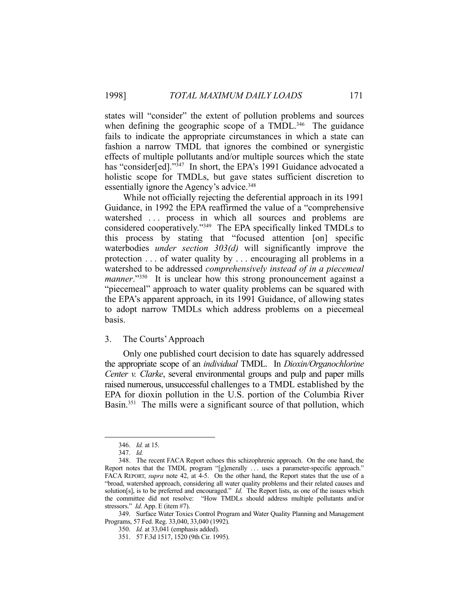states will "consider" the extent of pollution problems and sources when defining the geographic scope of a  $TMDL<sup>346</sup>$  The guidance fails to indicate the appropriate circumstances in which a state can fashion a narrow TMDL that ignores the combined or synergistic effects of multiple pollutants and/or multiple sources which the state has "consider[ed]."<sup>347</sup> In short, the EPA's 1991 Guidance advocated a holistic scope for TMDLs, but gave states sufficient discretion to essentially ignore the Agency's advice.<sup>348</sup>

 While not officially rejecting the deferential approach in its 1991 Guidance, in 1992 the EPA reaffirmed the value of a "comprehensive watershed ... process in which all sources and problems are considered cooperatively."349 The EPA specifically linked TMDLs to this process by stating that "focused attention [on] specific waterbodies *under section 303(d)* will significantly improve the protection . . . of water quality by . . . encouraging all problems in a watershed to be addressed *comprehensively instead of in a piecemeal manner*."<sup>350</sup> It is unclear how this strong pronouncement against a "piecemeal" approach to water quality problems can be squared with the EPA's apparent approach, in its 1991 Guidance, of allowing states to adopt narrow TMDLs which address problems on a piecemeal basis.

#### 3. The Courts' Approach

 Only one published court decision to date has squarely addressed the appropriate scope of an *individual* TMDL. In *Dioxin/Organochlorine Center v. Clarke*, several environmental groups and pulp and paper mills raised numerous, unsuccessful challenges to a TMDL established by the EPA for dioxin pollution in the U.S. portion of the Columbia River Basin.<sup>351</sup> The mills were a significant source of that pollution, which

 <sup>346.</sup> *Id.* at 15.

 <sup>347.</sup> *Id.* 

 <sup>348.</sup> The recent FACA Report echoes this schizophrenic approach. On the one hand, the Report notes that the TMDL program "[g]enerally ... uses a parameter-specific approach." FACA REPORT, *supra* note 42, at 4-5. On the other hand, the Report states that the use of a "broad, watershed approach, considering all water quality problems and their related causes and solution[s], is to be preferred and encouraged." *Id.* The Report lists, as one of the issues which the committee did not resolve: "How TMDLs should address multiple pollutants and/or stressors." *Id.* App. E (item #7).

 <sup>349.</sup> Surface Water Toxics Control Program and Water Quality Planning and Management Programs, 57 Fed. Reg. 33,040, 33,040 (1992).

 <sup>350.</sup> *Id.* at 33,041 (emphasis added).

 <sup>351. 57</sup> F.3d 1517, 1520 (9th Cir. 1995).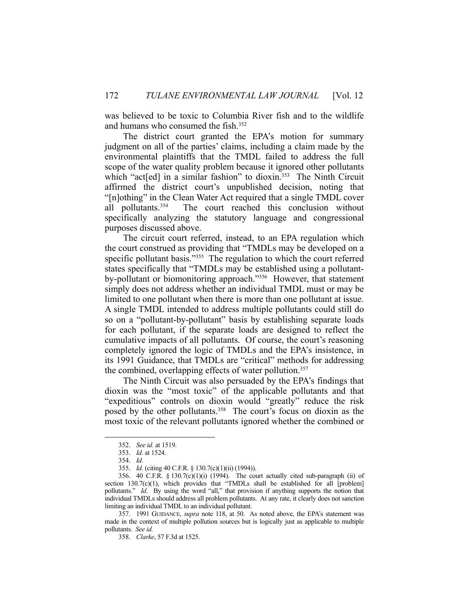was believed to be toxic to Columbia River fish and to the wildlife and humans who consumed the fish.352

 The district court granted the EPA's motion for summary judgment on all of the parties' claims, including a claim made by the environmental plaintiffs that the TMDL failed to address the full scope of the water quality problem because it ignored other pollutants which "act[ed] in a similar fashion" to dioxin.<sup>353</sup> The Ninth Circuit affirmed the district court's unpublished decision, noting that "[n]othing" in the Clean Water Act required that a single TMDL cover all pollutants.354 The court reached this conclusion without specifically analyzing the statutory language and congressional purposes discussed above.

 The circuit court referred, instead, to an EPA regulation which the court construed as providing that "TMDLs may be developed on a specific pollutant basis."<sup>355</sup> The regulation to which the court referred states specifically that "TMDLs may be established using a pollutantby-pollutant or biomonitoring approach."356 However, that statement simply does not address whether an individual TMDL must or may be limited to one pollutant when there is more than one pollutant at issue. A single TMDL intended to address multiple pollutants could still do so on a "pollutant-by-pollutant" basis by establishing separate loads for each pollutant, if the separate loads are designed to reflect the cumulative impacts of all pollutants. Of course, the court's reasoning completely ignored the logic of TMDLs and the EPA's insistence, in its 1991 Guidance, that TMDLs are "critical" methods for addressing the combined, overlapping effects of water pollution.<sup>357</sup>

 The Ninth Circuit was also persuaded by the EPA's findings that dioxin was the "most toxic" of the applicable pollutants and that "expeditious" controls on dioxin would "greatly" reduce the risk posed by the other pollutants.358 The court's focus on dioxin as the most toxic of the relevant pollutants ignored whether the combined or

 <sup>352.</sup> *See id.* at 1519.

 <sup>353.</sup> *Id.* at 1524.

 <sup>354.</sup> *Id.* 

 <sup>355.</sup> *Id.* (citing 40 C.F.R. § 130.7(c)(1)(ii) (1994)).

 <sup>356. 40</sup> C.F.R. § 130.7(c)(1)(i) (1994). The court actually cited sub-paragraph (ii) of section  $130.7(c)(1)$ , which provides that "TMDLs shall be established for all [problem] pollutants." *Id.* By using the word "all," that provision if anything supports the notion that individual TMDLs should address all problem pollutants. At any rate, it clearly does not sanction limiting an individual TMDL to an individual pollutant.

 <sup>357. 1991</sup> GUIDANCE, *supra* note 118, at 50. As noted above, the EPA's statement was made in the context of multiple pollution sources but is logically just as applicable to multiple pollutants. *See id.* 

 <sup>358.</sup> *Clarke*, 57 F.3d at 1525.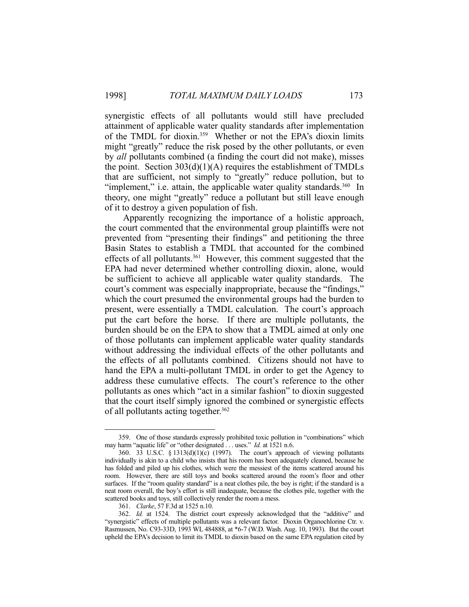synergistic effects of all pollutants would still have precluded attainment of applicable water quality standards after implementation of the TMDL for dioxin.359 Whether or not the EPA's dioxin limits might "greatly" reduce the risk posed by the other pollutants, or even by *all* pollutants combined (a finding the court did not make), misses the point. Section  $303(d)(1)(A)$  requires the establishment of TMDLs that are sufficient, not simply to "greatly" reduce pollution, but to "implement," i.e. attain, the applicable water quality standards. $360$  In theory, one might "greatly" reduce a pollutant but still leave enough of it to destroy a given population of fish.

 Apparently recognizing the importance of a holistic approach, the court commented that the environmental group plaintiffs were not prevented from "presenting their findings" and petitioning the three Basin States to establish a TMDL that accounted for the combined effects of all pollutants.<sup>361</sup> However, this comment suggested that the EPA had never determined whether controlling dioxin, alone, would be sufficient to achieve all applicable water quality standards. The court's comment was especially inappropriate, because the "findings," which the court presumed the environmental groups had the burden to present, were essentially a TMDL calculation. The court's approach put the cart before the horse. If there are multiple pollutants, the burden should be on the EPA to show that a TMDL aimed at only one of those pollutants can implement applicable water quality standards without addressing the individual effects of the other pollutants and the effects of all pollutants combined. Citizens should not have to hand the EPA a multi-pollutant TMDL in order to get the Agency to address these cumulative effects. The court's reference to the other pollutants as ones which "act in a similar fashion" to dioxin suggested that the court itself simply ignored the combined or synergistic effects of all pollutants acting together.<sup>362</sup>

 <sup>359.</sup> One of those standards expressly prohibited toxic pollution in "combinations" which may harm "aquatic life" or "other designated . . . uses." *Id.* at 1521 n.6.

<sup>360. 33</sup> U.S.C. § 1313(d)(1)(c) (1997). The court's approach of viewing pollutants individually is akin to a child who insists that his room has been adequately cleaned, because he has folded and piled up his clothes, which were the messiest of the items scattered around his room. However, there are still toys and books scattered around the room's floor and other surfaces. If the "room quality standard" is a neat clothes pile, the boy is right; if the standard is a neat room overall, the boy's effort is still inadequate, because the clothes pile, together with the scattered books and toys, still collectively render the room a mess.

 <sup>361.</sup> *Clarke*, 57 F.3d at 1525 n.10.

 <sup>362.</sup> *Id.* at 1524. The district court expressly acknowledged that the "additive" and "synergistic" effects of multiple pollutants was a relevant factor. Dioxin Organochlorine Ctr. v. Rasmussen, No. C93-33D, 1993 WL 484888, at \*6-7 (W.D. Wash. Aug. 10, 1993). But the court upheld the EPA's decision to limit its TMDL to dioxin based on the same EPA regulation cited by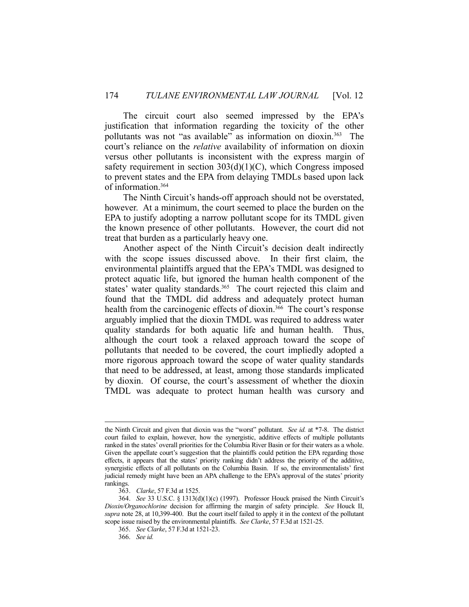The circuit court also seemed impressed by the EPA's justification that information regarding the toxicity of the other pollutants was not "as available" as information on dioxin.363 The court's reliance on the *relative* availability of information on dioxin versus other pollutants is inconsistent with the express margin of safety requirement in section  $303(d)(1)(C)$ , which Congress imposed to prevent states and the EPA from delaying TMDLs based upon lack of information.364

 The Ninth Circuit's hands-off approach should not be overstated, however. At a minimum, the court seemed to place the burden on the EPA to justify adopting a narrow pollutant scope for its TMDL given the known presence of other pollutants. However, the court did not treat that burden as a particularly heavy one.

 Another aspect of the Ninth Circuit's decision dealt indirectly with the scope issues discussed above. In their first claim, the environmental plaintiffs argued that the EPA's TMDL was designed to protect aquatic life, but ignored the human health component of the states' water quality standards.<sup>365</sup> The court rejected this claim and found that the TMDL did address and adequately protect human health from the carcinogenic effects of dioxin.<sup>366</sup> The court's response arguably implied that the dioxin TMDL was required to address water quality standards for both aquatic life and human health. Thus, although the court took a relaxed approach toward the scope of pollutants that needed to be covered, the court impliedly adopted a more rigorous approach toward the scope of water quality standards that need to be addressed, at least, among those standards implicated by dioxin. Of course, the court's assessment of whether the dioxin TMDL was adequate to protect human health was cursory and

the Ninth Circuit and given that dioxin was the "worst" pollutant. *See id.* at \*7-8. The district court failed to explain, however, how the synergistic, additive effects of multiple pollutants ranked in the states' overall priorities for the Columbia River Basin or for their waters as a whole. Given the appellate court's suggestion that the plaintiffs could petition the EPA regarding those effects, it appears that the states' priority ranking didn't address the priority of the additive, synergistic effects of all pollutants on the Columbia Basin. If so, the environmentalists' first judicial remedy might have been an APA challenge to the EPA's approval of the states' priority rankings.

 <sup>363.</sup> *Clarke*, 57 F.3d at 1525.

 <sup>364.</sup> *See* 33 U.S.C. § 1313(d)(1)(c) (1997). Professor Houck praised the Ninth Circuit's *Dioxin/Organochlorine* decision for affirming the margin of safety principle. *See* Houck II, *supra* note 28, at 10,399-400. But the court itself failed to apply it in the context of the pollutant scope issue raised by the environmental plaintiffs. *See Clarke*, 57 F.3d at 1521-25.

 <sup>365.</sup> *See Clarke*, 57 F.3d at 1521-23.

 <sup>366.</sup> *See id.*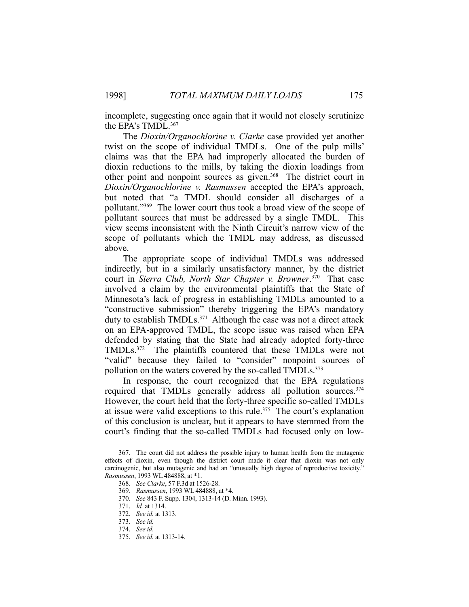incomplete, suggesting once again that it would not closely scrutinize the EPA's TMDL.<sup>367</sup>

 The *Dioxin/Organochlorine v. Clarke* case provided yet another twist on the scope of individual TMDLs. One of the pulp mills' claims was that the EPA had improperly allocated the burden of dioxin reductions to the mills, by taking the dioxin loadings from other point and nonpoint sources as given.<sup>368</sup> The district court in *Dioxin/Organochlorine v. Rasmussen* accepted the EPA's approach, but noted that "a TMDL should consider all discharges of a pollutant."369 The lower court thus took a broad view of the scope of pollutant sources that must be addressed by a single TMDL. This view seems inconsistent with the Ninth Circuit's narrow view of the scope of pollutants which the TMDL may address, as discussed above.

 The appropriate scope of individual TMDLs was addressed indirectly, but in a similarly unsatisfactory manner, by the district court in *Sierra Club, North Star Chapter v. Browner*. 370 That case involved a claim by the environmental plaintiffs that the State of Minnesota's lack of progress in establishing TMDLs amounted to a "constructive submission" thereby triggering the EPA's mandatory duty to establish TMDLs.<sup>371</sup> Although the case was not a direct attack on an EPA-approved TMDL, the scope issue was raised when EPA defended by stating that the State had already adopted forty-three TMDLs.372 The plaintiffs countered that these TMDLs were not "valid" because they failed to "consider" nonpoint sources of pollution on the waters covered by the so-called TMDLs.<sup>373</sup>

 In response, the court recognized that the EPA regulations required that TMDLs generally address all pollution sources.<sup>374</sup> However, the court held that the forty-three specific so-called TMDLs at issue were valid exceptions to this rule.<sup>375</sup> The court's explanation of this conclusion is unclear, but it appears to have stemmed from the court's finding that the so-called TMDLs had focused only on low-

 <sup>367.</sup> The court did not address the possible injury to human health from the mutagenic effects of dioxin, even though the district court made it clear that dioxin was not only carcinogenic, but also mutagenic and had an "unusually high degree of reproductive toxicity." *Rasmussen*, 1993 WL 484888, at \*1.

 <sup>368.</sup> *See Clarke*, 57 F.3d at 1526-28.

 <sup>369.</sup> *Rasmussen*, 1993 WL 484888, at \*4.

 <sup>370.</sup> *See* 843 F. Supp. 1304, 1313-14 (D. Minn. 1993).

 <sup>371.</sup> *Id.* at 1314.

 <sup>372.</sup> *See id.* at 1313.

 <sup>373.</sup> *See id.*

 <sup>374.</sup> *See id.*

 <sup>375.</sup> *See id.* at 1313-14.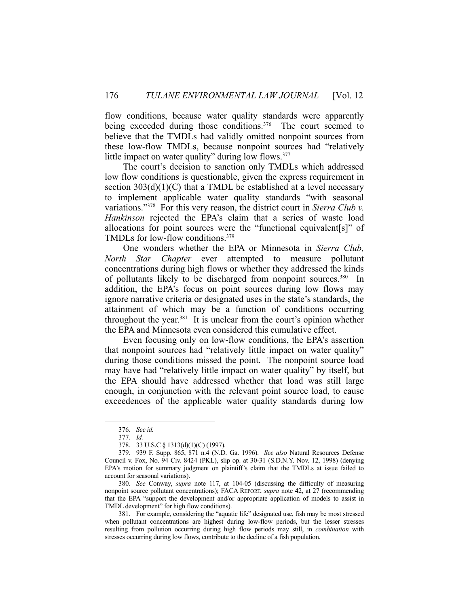flow conditions, because water quality standards were apparently being exceeded during those conditions.<sup>376</sup> The court seemed to believe that the TMDLs had validly omitted nonpoint sources from these low-flow TMDLs, because nonpoint sources had "relatively little impact on water quality" during low flows.<sup>377</sup>

 The court's decision to sanction only TMDLs which addressed low flow conditions is questionable, given the express requirement in section  $303(d)(1)(C)$  that a TMDL be established at a level necessary to implement applicable water quality standards "with seasonal variations."378 For this very reason, the district court in *Sierra Club v. Hankinson* rejected the EPA's claim that a series of waste load allocations for point sources were the "functional equivalent[s]" of TMDLs for low-flow conditions.379

 One wonders whether the EPA or Minnesota in *Sierra Club, North Star Chapter* ever attempted to measure pollutant concentrations during high flows or whether they addressed the kinds of pollutants likely to be discharged from nonpoint sources.380 In addition, the EPA's focus on point sources during low flows may ignore narrative criteria or designated uses in the state's standards, the attainment of which may be a function of conditions occurring throughout the year.381 It is unclear from the court's opinion whether the EPA and Minnesota even considered this cumulative effect.

 Even focusing only on low-flow conditions, the EPA's assertion that nonpoint sources had "relatively little impact on water quality" during those conditions missed the point. The nonpoint source load may have had "relatively little impact on water quality" by itself, but the EPA should have addressed whether that load was still large enough, in conjunction with the relevant point source load, to cause exceedences of the applicable water quality standards during low

 <sup>376.</sup> *See id.* 

 <sup>377.</sup> *Id.* 

 <sup>378. 33</sup> U.S.C § 1313(d)(1)(C) (1997).

 <sup>379. 939</sup> F. Supp. 865, 871 n.4 (N.D. Ga. 1996). *See also* Natural Resources Defense Council v. Fox, No. 94 Civ. 8424 (PKL), slip op. at 30-31 (S.D.N.Y. Nov. 12, 1998) (denying EPA's motion for summary judgment on plaintiff's claim that the TMDLs at issue failed to account for seasonal variations).

 <sup>380.</sup> *See* Conway, *supra* note 117, at 104-05 (discussing the difficulty of measuring nonpoint source pollutant concentrations); FACA REPORT, *supra* note 42, at 27 (recommending that the EPA "support the development and/or appropriate application of models to assist in TMDL development" for high flow conditions).

 <sup>381.</sup> For example, considering the "aquatic life" designated use, fish may be most stressed when pollutant concentrations are highest during low-flow periods, but the lesser stresses resulting from pollution occurring during high flow periods may still, in *combination* with stresses occurring during low flows, contribute to the decline of a fish population.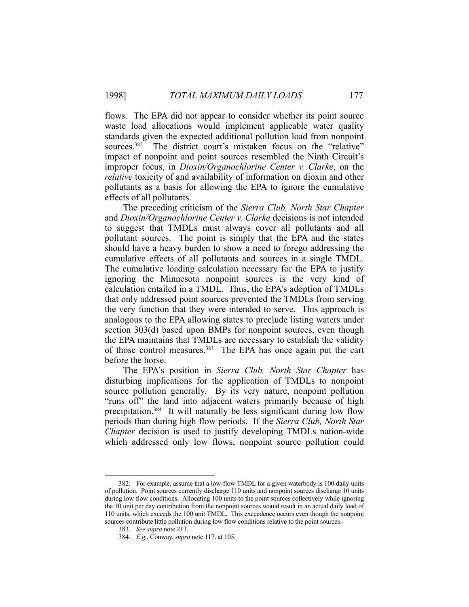flows. The EPA did not appear to consider whether its point source waste load allocations would implement applicable water quality standards given the expected additional pollution load from nonpoint sources.<sup>382</sup> The district court's mistaken focus on the "relative" impact of nonpoint and point sources resembled the Ninth Circuit's improper focus, in *Dioxin/Organochlorine Center v. Clarke*, on the *relative* toxicity of and availability of information on dioxin and other pollutants as a basis for allowing the EPA to ignore the cumulative effects of all pollutants.

 The preceding criticism of the *Sierra Club, North Star Chapter*  and *Dioxin/Organochlorine Center v. Clarke* decisions is not intended to suggest that TMDLs must always cover all pollutants and all pollutant sources. The point is simply that the EPA and the states should have a heavy burden to show a need to forego addressing the cumulative effects of all pollutants and sources in a single TMDL. The cumulative loading calculation necessary for the EPA to justify ignoring the Minnesota nonpoint sources is the very kind of calculation entailed in a TMDL. Thus, the EPA's adoption of TMDLs that only addressed point sources prevented the TMDLs from serving the very function that they were intended to serve. This approach is analogous to the EPA allowing states to preclude listing waters under section 303(d) based upon BMPs for nonpoint sources, even though the EPA maintains that TMDLs are necessary to establish the validity of those control measures.<sup>383</sup> The EPA has once again put the cart before the horse.

 The EPA's position in *Sierra Club, North Star Chapter* has disturbing implications for the application of TMDLs to nonpoint source pollution generally. By its very nature, nonpoint pollution "runs off" the land into adjacent waters primarily because of high precipitation.384 It will naturally be less significant during low flow periods than during high flow periods. If the *Sierra Club, North Star Chapter* decision is used to justify developing TMDLs nation-wide which addressed only low flows, nonpoint source pollution could

 <sup>382.</sup> For example, assume that a low-flow TMDL for a given waterbody is 100 daily units of pollution. Point sources currently discharge 110 units and nonpoint sources discharge 10 units during low flow conditions. Allocating 100 units to the point sources collectively while ignoring the 10 unit per day contribution from the nonpoint sources would result in an actual daily load of 110 units, which exceeds the 100 unit TMDL. This exceedence occurs even though the nonpoint sources contribute little pollution during low flow conditions relative to the point sources.

 <sup>383.</sup> *See supra* note 213.

 <sup>384.</sup> *E.g.*, Conway, *supra* note 117, at 105.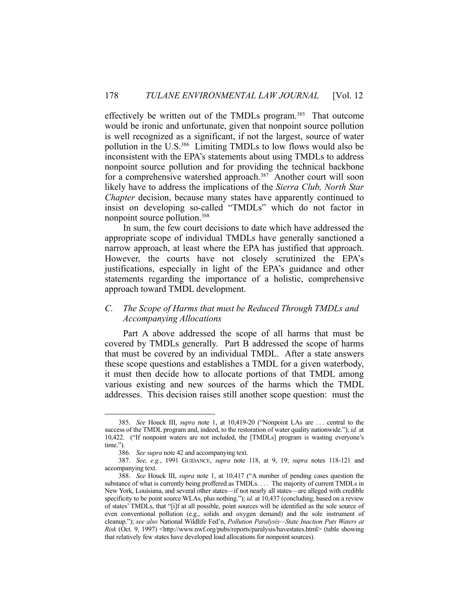effectively be written out of the TMDLs program.<sup>385</sup> That outcome would be ironic and unfortunate, given that nonpoint source pollution is well recognized as a significant, if not the largest, source of water pollution in the U.S.386 Limiting TMDLs to low flows would also be inconsistent with the EPA's statements about using TMDLs to address nonpoint source pollution and for providing the technical backbone for a comprehensive watershed approach.<sup>387</sup> Another court will soon likely have to address the implications of the *Sierra Club, North Star Chapter* decision, because many states have apparently continued to insist on developing so-called "TMDLs" which do not factor in nonpoint source pollution.388

 In sum, the few court decisions to date which have addressed the appropriate scope of individual TMDLs have generally sanctioned a narrow approach, at least where the EPA has justified that approach. However, the courts have not closely scrutinized the EPA's justifications, especially in light of the EPA's guidance and other statements regarding the importance of a holistic, comprehensive approach toward TMDL development.

# *C. The Scope of Harms that must be Reduced Through TMDLs and Accompanying Allocations*

 Part A above addressed the scope of all harms that must be covered by TMDLs generally. Part B addressed the scope of harms that must be covered by an individual TMDL. After a state answers these scope questions and establishes a TMDL for a given waterbody, it must then decide how to allocate portions of that TMDL among various existing and new sources of the harms which the TMDL addresses. This decision raises still another scope question: must the

 <sup>385.</sup> *See* Houck III, *supra* note 1, at 10,419-20 ("Nonpoint LAs are . . . central to the success of the TMDL program and, indeed, to the restoration of water quality nationwide."); *id.* at 10,422. ("If nonpoint waters are not included, the [TMDLs] program is wasting everyone's time.").

 <sup>386.</sup> *See supra* note 42 and accompanying text.

 <sup>387.</sup> *See, e.g.*, 1991 GUIDANCE, *supra* note 118, at 9, 19; *supra* notes 118-121 and accompanying text.

 <sup>388.</sup> *See* Houck III, *supra* note 1, at 10,417 ("A number of pending cases question the substance of what is currently being proffered as TMDLs. . . . The majority of current TMDLs in New York, Louisiana, and several other states—if not nearly all states—are alleged with credible specificity to be point source WLAs, plus nothing."); *id.* at 10,437 (concluding, based on a review of states' TMDLs, that "[i]f at all possible, point sources will be identified as the sole source of even conventional pollution (e.g., solids and oxygen demand) and the sole instrument of cleanup."); *see also* National Wildlife Fed'n, *Pollution Paralysis—State Inaction Puts Waters at Risk* (Oct. 9, 1997) <http://www.nwf.org/pubs/reports/paralysis/havestates.html> (table showing that relatively few states have developed load allocations for nonpoint sources).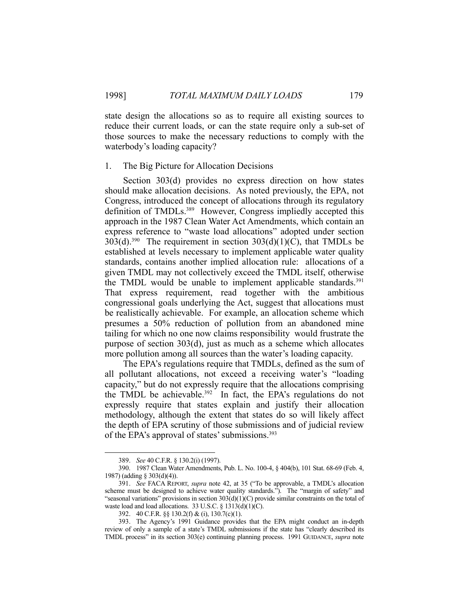state design the allocations so as to require all existing sources to reduce their current loads, or can the state require only a sub-set of those sources to make the necessary reductions to comply with the waterbody's loading capacity?

### 1. The Big Picture for Allocation Decisions

 Section 303(d) provides no express direction on how states should make allocation decisions. As noted previously, the EPA, not Congress, introduced the concept of allocations through its regulatory definition of TMDLs.<sup>389</sup> However, Congress impliedly accepted this approach in the 1987 Clean Water Act Amendments, which contain an express reference to "waste load allocations" adopted under section  $303(d).^{390}$  The requirement in section  $303(d)(1)(C)$ , that TMDLs be established at levels necessary to implement applicable water quality standards, contains another implied allocation rule: allocations of a given TMDL may not collectively exceed the TMDL itself, otherwise the TMDL would be unable to implement applicable standards.<sup>391</sup> That express requirement, read together with the ambitious congressional goals underlying the Act, suggest that allocations must be realistically achievable. For example, an allocation scheme which presumes a 50% reduction of pollution from an abandoned mine tailing for which no one now claims responsibility would frustrate the purpose of section 303(d), just as much as a scheme which allocates more pollution among all sources than the water's loading capacity.

 The EPA's regulations require that TMDLs, defined as the sum of all pollutant allocations, not exceed a receiving water's "loading capacity," but do not expressly require that the allocations comprising the TMDL be achievable.<sup>392</sup> In fact, the EPA's regulations do not expressly require that states explain and justify their allocation methodology, although the extent that states do so will likely affect the depth of EPA scrutiny of those submissions and of judicial review of the EPA's approval of states' submissions.<sup>393</sup>

 <sup>389.</sup> *See* 40 C.F.R. § 130.2(i) (1997).

 <sup>390. 1987</sup> Clean Water Amendments, Pub. L. No. 100-4, § 404(b), 101 Stat. 68-69 (Feb. 4, 1987) (adding § 303(d)(4)).

 <sup>391.</sup> *See* FACA REPORT, *supra* note 42, at 35 ("To be approvable, a TMDL's allocation scheme must be designed to achieve water quality standards."). The "margin of safety" and "seasonal variations" provisions in section  $303(d)(1)(C)$  provide similar constraints on the total of waste load and load allocations. 33 U.S.C. § 1313(d)(1)(C).

 <sup>392. 40</sup> C.F.R. §§ 130.2(f) & (i), 130.7(c)(1).

 <sup>393.</sup> The Agency's 1991 Guidance provides that the EPA might conduct an in-depth review of only a sample of a state's TMDL submissions if the state has "clearly described its TMDL process" in its section 303(e) continuing planning process. 1991 GUIDANCE, *supra* note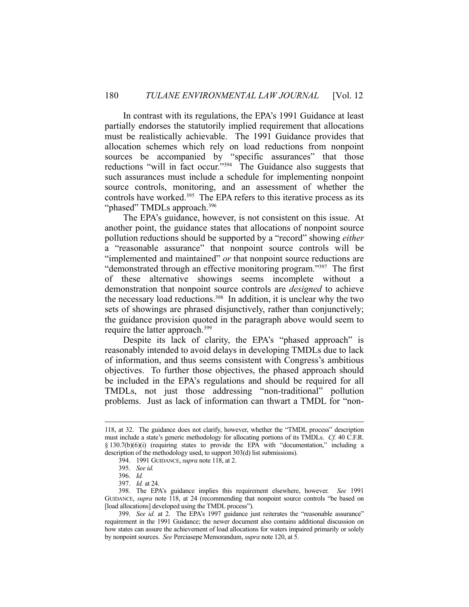In contrast with its regulations, the EPA's 1991 Guidance at least partially endorses the statutorily implied requirement that allocations must be realistically achievable. The 1991 Guidance provides that allocation schemes which rely on load reductions from nonpoint sources be accompanied by "specific assurances" that those reductions "will in fact occur."<sup>394</sup> The Guidance also suggests that such assurances must include a schedule for implementing nonpoint source controls, monitoring, and an assessment of whether the controls have worked.<sup>395</sup> The EPA refers to this iterative process as its "phased" TMDLs approach.<sup>396</sup>

 The EPA's guidance, however, is not consistent on this issue. At another point, the guidance states that allocations of nonpoint source pollution reductions should be supported by a "record" showing *either* a "reasonable assurance" that nonpoint source controls will be "implemented and maintained" *or* that nonpoint source reductions are "demonstrated through an effective monitoring program."397 The first of these alternative showings seems incomplete without a demonstration that nonpoint source controls are *designed* to achieve the necessary load reductions.<sup>398</sup> In addition, it is unclear why the two sets of showings are phrased disjunctively, rather than conjunctively; the guidance provision quoted in the paragraph above would seem to require the latter approach.<sup>399</sup>

 Despite its lack of clarity, the EPA's "phased approach" is reasonably intended to avoid delays in developing TMDLs due to lack of information, and thus seems consistent with Congress's ambitious objectives. To further those objectives, the phased approach should be included in the EPA's regulations and should be required for all TMDLs, not just those addressing "non-traditional" pollution problems. Just as lack of information can thwart a TMDL for "non-

 <sup>118,</sup> at 32. The guidance does not clarify, however, whether the "TMDL process" description must include a state's generic methodology for allocating portions of its TMDLs. *Cf.* 40 C.F.R. § 130.7(b)(6)(i) (requiring states to provide the EPA with "documentation," including a description of the methodology used, to support 303(d) list submissions).

 <sup>394. 1991</sup> GUIDANCE, *supra* note 118, at 2.

 <sup>395.</sup> *See id.* 

 <sup>396.</sup> *Id.*

 <sup>397.</sup> *Id.* at 24.

 <sup>398.</sup> The EPA's guidance implies this requirement elsewhere, however. *See* 1991 GUIDANCE, *supra* note 118, at 24 (recommending that nonpoint source controls "be based on [load allocations] developed using the TMDL process").

 <sup>399.</sup> *See id.* at 2. The EPA's 1997 guidance just reiterates the "reasonable assurance" requirement in the 1991 Guidance; the newer document also contains additional discussion on how states can assure the achievement of load allocations for waters impaired primarily or solely by nonpoint sources. *See* Perciasepe Memorandum, *supra* note 120, at 5.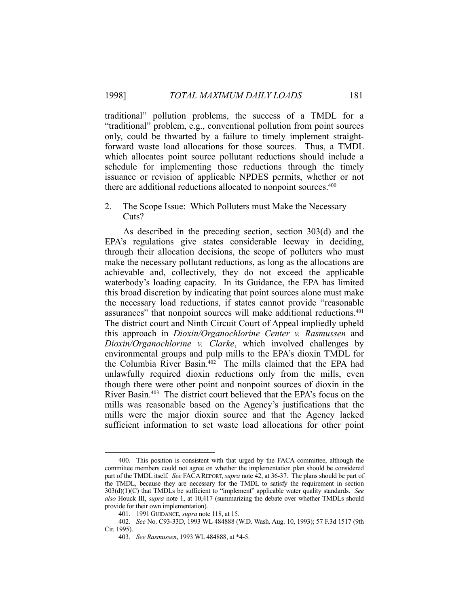traditional" pollution problems, the success of a TMDL for a "traditional" problem, e.g., conventional pollution from point sources only, could be thwarted by a failure to timely implement straightforward waste load allocations for those sources. Thus, a TMDL which allocates point source pollutant reductions should include a schedule for implementing those reductions through the timely issuance or revision of applicable NPDES permits, whether or not there are additional reductions allocated to nonpoint sources.<sup>400</sup>

## 2. The Scope Issue: Which Polluters must Make the Necessary Cuts?

 As described in the preceding section, section 303(d) and the EPA's regulations give states considerable leeway in deciding, through their allocation decisions, the scope of polluters who must make the necessary pollutant reductions, as long as the allocations are achievable and, collectively, they do not exceed the applicable waterbody's loading capacity. In its Guidance, the EPA has limited this broad discretion by indicating that point sources alone must make the necessary load reductions, if states cannot provide "reasonable assurances" that nonpoint sources will make additional reductions.<sup>401</sup> The district court and Ninth Circuit Court of Appeal impliedly upheld this approach in *Dioxin/Organochlorine Center v. Rasmussen* and *Dioxin/Organochlorine v. Clarke*, which involved challenges by environmental groups and pulp mills to the EPA's dioxin TMDL for the Columbia River Basin.402 The mills claimed that the EPA had unlawfully required dioxin reductions only from the mills, even though there were other point and nonpoint sources of dioxin in the River Basin.403 The district court believed that the EPA's focus on the mills was reasonable based on the Agency's justifications that the mills were the major dioxin source and that the Agency lacked sufficient information to set waste load allocations for other point

 <sup>400.</sup> This position is consistent with that urged by the FACA committee, although the committee members could not agree on whether the implementation plan should be considered part of the TMDL itself. *See* FACA REPORT, *supra* note 42, at 36-37. The plans should be part of the TMDL, because they are necessary for the TMDL to satisfy the requirement in section 303(d)(1)(C) that TMDLs be sufficient to "implement" applicable water quality standards. *See also* Houck III, *supra* note 1, at 10,417 (summarizing the debate over whether TMDLs should provide for their own implementation).

 <sup>401. 1991</sup> GUIDANCE, *supra* note 118, at 15.

 <sup>402.</sup> *See* No. C93-33D, 1993 WL 484888 (W.D. Wash. Aug. 10, 1993); 57 F.3d 1517 (9th Cir. 1995).

 <sup>403.</sup> *See Rasmussen*, 1993 WL 484888, at \*4-5.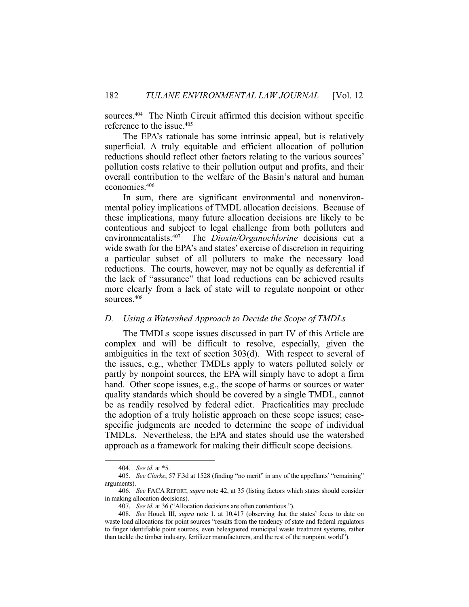sources.<sup>404</sup> The Ninth Circuit affirmed this decision without specific reference to the issue.405

 The EPA's rationale has some intrinsic appeal, but is relatively superficial. A truly equitable and efficient allocation of pollution reductions should reflect other factors relating to the various sources' pollution costs relative to their pollution output and profits, and their overall contribution to the welfare of the Basin's natural and human economies.406

 In sum, there are significant environmental and nonenvironmental policy implications of TMDL allocation decisions. Because of these implications, many future allocation decisions are likely to be contentious and subject to legal challenge from both polluters and environmentalists.407 The *Dioxin/Organochlorine* decisions cut a wide swath for the EPA's and states' exercise of discretion in requiring a particular subset of all polluters to make the necessary load reductions. The courts, however, may not be equally as deferential if the lack of "assurance" that load reductions can be achieved results more clearly from a lack of state will to regulate nonpoint or other sources.408

### *D. Using a Watershed Approach to Decide the Scope of TMDLs*

 The TMDLs scope issues discussed in part IV of this Article are complex and will be difficult to resolve, especially, given the ambiguities in the text of section 303(d). With respect to several of the issues, e.g., whether TMDLs apply to waters polluted solely or partly by nonpoint sources, the EPA will simply have to adopt a firm hand. Other scope issues, e.g., the scope of harms or sources or water quality standards which should be covered by a single TMDL, cannot be as readily resolved by federal edict. Practicalities may preclude the adoption of a truly holistic approach on these scope issues; casespecific judgments are needed to determine the scope of individual TMDLs. Nevertheless, the EPA and states should use the watershed approach as a framework for making their difficult scope decisions.

 <sup>404.</sup> *See id.* at \*5.

 <sup>405.</sup> *See Clarke*, 57 F.3d at 1528 (finding "no merit" in any of the appellants' "remaining" arguments).

 <sup>406.</sup> *See* FACA REPORT, *supra* note 42, at 35 (listing factors which states should consider in making allocation decisions).

 <sup>407.</sup> *See id.* at 36 ("Allocation decisions are often contentious.").

 <sup>408.</sup> *See* Houck III, *supra* note 1, at 10,417 (observing that the states' focus to date on waste load allocations for point sources "results from the tendency of state and federal regulators to finger identifiable point sources, even beleaguered municipal waste treatment systems, rather than tackle the timber industry, fertilizer manufacturers, and the rest of the nonpoint world").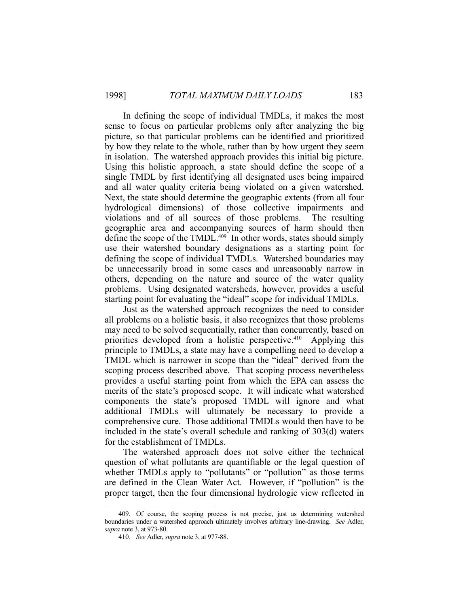In defining the scope of individual TMDLs, it makes the most sense to focus on particular problems only after analyzing the big picture, so that particular problems can be identified and prioritized by how they relate to the whole, rather than by how urgent they seem in isolation. The watershed approach provides this initial big picture. Using this holistic approach, a state should define the scope of a single TMDL by first identifying all designated uses being impaired and all water quality criteria being violated on a given watershed. Next, the state should determine the geographic extents (from all four hydrological dimensions) of those collective impairments and violations and of all sources of those problems. The resulting geographic area and accompanying sources of harm should then define the scope of the TMDL.<sup>409</sup> In other words, states should simply use their watershed boundary designations as a starting point for defining the scope of individual TMDLs. Watershed boundaries may be unnecessarily broad in some cases and unreasonably narrow in others, depending on the nature and source of the water quality problems. Using designated watersheds, however, provides a useful starting point for evaluating the "ideal" scope for individual TMDLs.

 Just as the watershed approach recognizes the need to consider all problems on a holistic basis, it also recognizes that those problems may need to be solved sequentially, rather than concurrently, based on priorities developed from a holistic perspective.<sup>410</sup> Applying this principle to TMDLs, a state may have a compelling need to develop a TMDL which is narrower in scope than the "ideal" derived from the scoping process described above. That scoping process nevertheless provides a useful starting point from which the EPA can assess the merits of the state's proposed scope. It will indicate what watershed components the state's proposed TMDL will ignore and what additional TMDLs will ultimately be necessary to provide a comprehensive cure. Those additional TMDLs would then have to be included in the state's overall schedule and ranking of 303(d) waters for the establishment of TMDLs.

 The watershed approach does not solve either the technical question of what pollutants are quantifiable or the legal question of whether TMDLs apply to "pollutants" or "pollution" as those terms are defined in the Clean Water Act. However, if "pollution" is the proper target, then the four dimensional hydrologic view reflected in

 <sup>409.</sup> Of course, the scoping process is not precise, just as determining watershed boundaries under a watershed approach ultimately involves arbitrary line-drawing. *See* Adler, *supra* note 3, at 973-80.

 <sup>410.</sup> *See* Adler, *supra* note 3, at 977-88.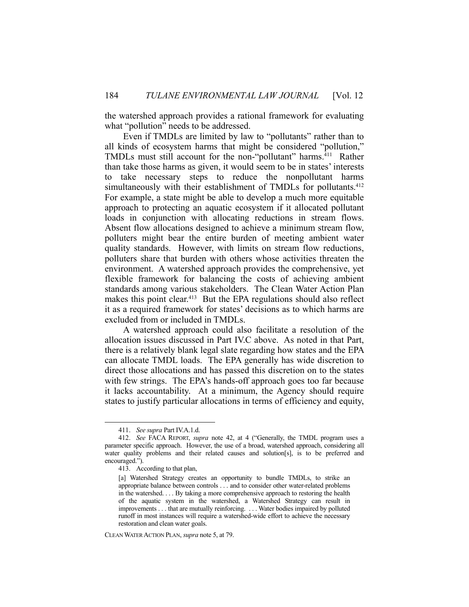the watershed approach provides a rational framework for evaluating what "pollution" needs to be addressed.

 Even if TMDLs are limited by law to "pollutants" rather than to all kinds of ecosystem harms that might be considered "pollution," TMDLs must still account for the non-"pollutant" harms.411 Rather than take those harms as given, it would seem to be in states' interests to take necessary steps to reduce the nonpollutant harms simultaneously with their establishment of TMDLs for pollutants.<sup>412</sup> For example, a state might be able to develop a much more equitable approach to protecting an aquatic ecosystem if it allocated pollutant loads in conjunction with allocating reductions in stream flows. Absent flow allocations designed to achieve a minimum stream flow, polluters might bear the entire burden of meeting ambient water quality standards. However, with limits on stream flow reductions, polluters share that burden with others whose activities threaten the environment. A watershed approach provides the comprehensive, yet flexible framework for balancing the costs of achieving ambient standards among various stakeholders. The Clean Water Action Plan makes this point clear.<sup>413</sup> But the EPA regulations should also reflect it as a required framework for states' decisions as to which harms are excluded from or included in TMDLs.

 A watershed approach could also facilitate a resolution of the allocation issues discussed in Part IV.C above. As noted in that Part, there is a relatively blank legal slate regarding how states and the EPA can allocate TMDL loads. The EPA generally has wide discretion to direct those allocations and has passed this discretion on to the states with few strings. The EPA's hands-off approach goes too far because it lacks accountability. At a minimum, the Agency should require states to justify particular allocations in terms of efficiency and equity,

 <sup>411.</sup> *See supra* Part IV.A.1.d.

 <sup>412.</sup> *See* FACA REPORT, *supra* note 42, at 4 ("Generally, the TMDL program uses a parameter specific approach. However, the use of a broad, watershed approach, considering all water quality problems and their related causes and solution[s], is to be preferred and encouraged.").

 <sup>413.</sup> According to that plan,

<sup>[</sup>a] Watershed Strategy creates an opportunity to bundle TMDLs, to strike an appropriate balance between controls . . . and to consider other water-related problems in the watershed. . . . By taking a more comprehensive approach to restoring the health of the aquatic system in the watershed, a Watershed Strategy can result in improvements . . . that are mutually reinforcing. . . . Water bodies impaired by polluted runoff in most instances will require a watershed-wide effort to achieve the necessary restoration and clean water goals.

CLEAN WATER ACTION PLAN, *supra* note 5, at 79.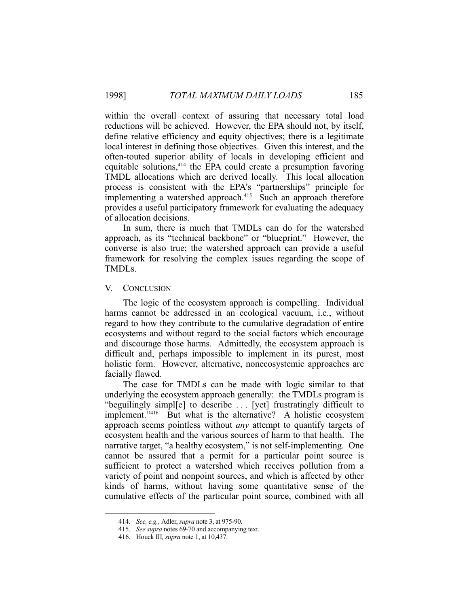within the overall context of assuring that necessary total load reductions will be achieved. However, the EPA should not, by itself, define relative efficiency and equity objectives; there is a legitimate local interest in defining those objectives. Given this interest, and the often-touted superior ability of locals in developing efficient and equitable solutions,<sup>414</sup> the EPA could create a presumption favoring TMDL allocations which are derived locally. This local allocation process is consistent with the EPA's "partnerships" principle for implementing a watershed approach.<sup>415</sup> Such an approach therefore provides a useful participatory framework for evaluating the adequacy of allocation decisions.

 In sum, there is much that TMDLs can do for the watershed approach, as its "technical backbone" or "blueprint." However, the converse is also true; the watershed approach can provide a useful framework for resolving the complex issues regarding the scope of TMDLs.

### V. CONCLUSION

 The logic of the ecosystem approach is compelling. Individual harms cannot be addressed in an ecological vacuum, i.e., without regard to how they contribute to the cumulative degradation of entire ecosystems and without regard to the social factors which encourage and discourage those harms. Admittedly, the ecosystem approach is difficult and, perhaps impossible to implement in its purest, most holistic form. However, alternative, nonecosystemic approaches are facially flawed.

 The case for TMDLs can be made with logic similar to that underlying the ecosystem approach generally: the TMDLs program is "beguilingly simpl[e] to describe . . . [yet] frustratingly difficult to implement."416 But what is the alternative? A holistic ecosystem approach seems pointless without *any* attempt to quantify targets of ecosystem health and the various sources of harm to that health. The narrative target, "a healthy ecosystem," is not self-implementing. One cannot be assured that a permit for a particular point source is sufficient to protect a watershed which receives pollution from a variety of point and nonpoint sources, and which is affected by other kinds of harms, without having some quantitative sense of the cumulative effects of the particular point source, combined with all

 <sup>414.</sup> *See, e.g.*, Adler, *supra* note 3, at 975-90.

 <sup>415.</sup> *See supra* notes 69-70 and accompanying text.

 <sup>416.</sup> Houck III*, supra* note 1, at 10,437.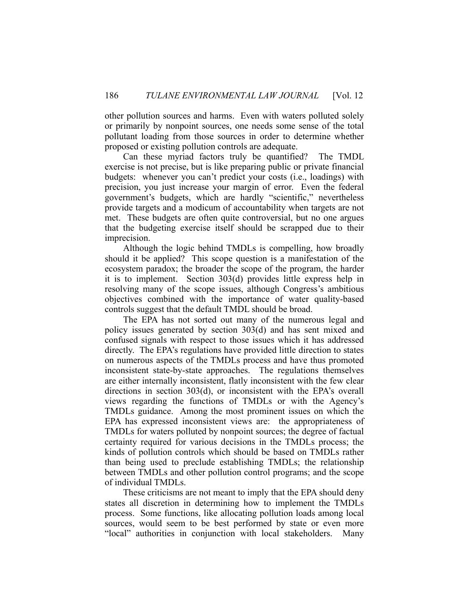other pollution sources and harms. Even with waters polluted solely or primarily by nonpoint sources, one needs some sense of the total pollutant loading from those sources in order to determine whether proposed or existing pollution controls are adequate.

 Can these myriad factors truly be quantified? The TMDL exercise is not precise, but is like preparing public or private financial budgets: whenever you can't predict your costs (i.e., loadings) with precision, you just increase your margin of error. Even the federal government's budgets, which are hardly "scientific," nevertheless provide targets and a modicum of accountability when targets are not met. These budgets are often quite controversial, but no one argues that the budgeting exercise itself should be scrapped due to their imprecision.

 Although the logic behind TMDLs is compelling, how broadly should it be applied? This scope question is a manifestation of the ecosystem paradox; the broader the scope of the program, the harder it is to implement. Section 303(d) provides little express help in resolving many of the scope issues, although Congress's ambitious objectives combined with the importance of water quality-based controls suggest that the default TMDL should be broad.

 The EPA has not sorted out many of the numerous legal and policy issues generated by section 303(d) and has sent mixed and confused signals with respect to those issues which it has addressed directly. The EPA's regulations have provided little direction to states on numerous aspects of the TMDLs process and have thus promoted inconsistent state-by-state approaches. The regulations themselves are either internally inconsistent, flatly inconsistent with the few clear directions in section 303(d), or inconsistent with the EPA's overall views regarding the functions of TMDLs or with the Agency's TMDLs guidance. Among the most prominent issues on which the EPA has expressed inconsistent views are: the appropriateness of TMDLs for waters polluted by nonpoint sources; the degree of factual certainty required for various decisions in the TMDLs process; the kinds of pollution controls which should be based on TMDLs rather than being used to preclude establishing TMDLs; the relationship between TMDLs and other pollution control programs; and the scope of individual TMDLs.

 These criticisms are not meant to imply that the EPA should deny states all discretion in determining how to implement the TMDLs process. Some functions, like allocating pollution loads among local sources, would seem to be best performed by state or even more "local" authorities in conjunction with local stakeholders. Many